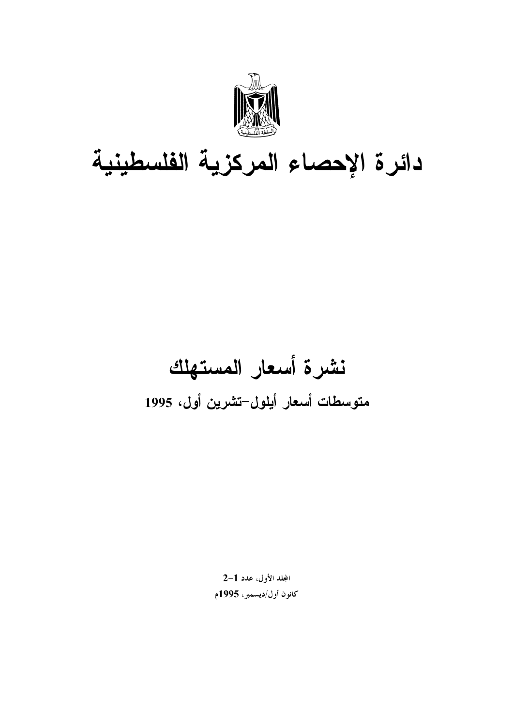

# دائرة الإحصاء المركزية الفلسطينية

# نشرة أسعار المستهلك متوسطات أسعار أيلول–تشرين أول، 1995

المجلد الأول، عدد 1-2 كانون أول/ديسمبر، 1995م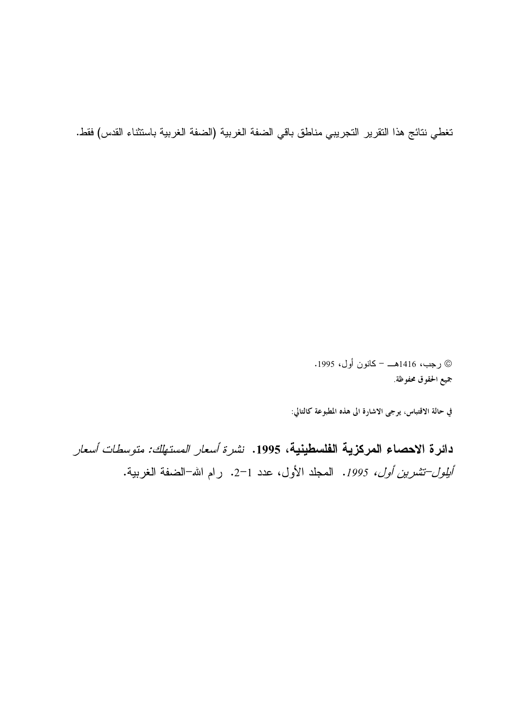تغطي نتائج هذا التقرير التجريبي مناطق باقي الضفة الغربية (الضفة الغربية باستثناء القدس) فقط.

© رجب، 1416هـــ <sup>–</sup> كانون أول، 1995. جميع الحقوق محفوظة.

في حالة الاقتباس، يرجى الاشارة الى هذه المطبوعة كالتالي:

دائرة الاحصاء المركزية الفلسطينية، 1995. نشرة أسعار المستهلك: متوسطات أسعار *أيلول–تشرين أول، 1995.* المجلد الأول، عدد 1–2. رام الله–الضفة الغربية.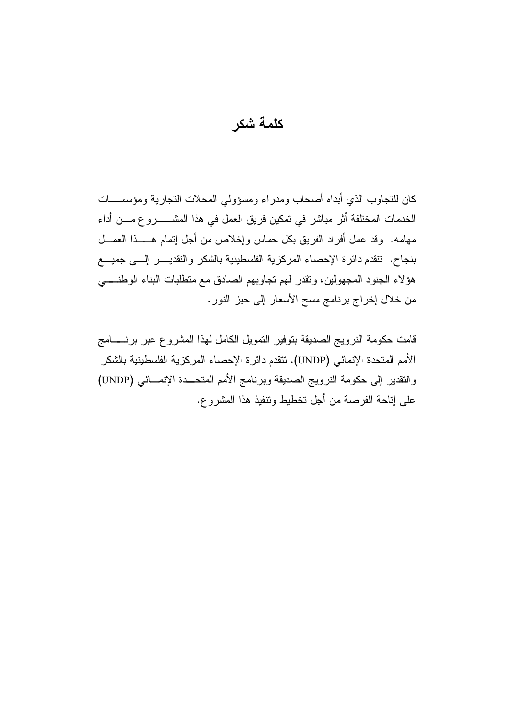كلمة شكر

كان للتجاوب الذي أبداه أصحاب ومدراء ومسؤولي المحلات التجارية ومؤسســـات الخدمات المختلفة أثر مباشر في تمكين فريق العمل في هذا المشـــــــروع مــــن أداء مهامه. وقد عمل أفراد الفريق بكل حماس وإخلاص من أجل إتمام هـــــذا العمـــل بنجاح. تتقدم دائر ة الإحصاء المركزية الفلسطينية بالشكر والتقديــــــر إلــــى جميــــع هؤلاء الجنود المجهولين، ونقدر لمهم نجاوبهم الصادق مع متطلبات البناء الوطنـــــي من خلال إخراج برنامج مسح الأسعار إلى حيز النور.

قامت حكومة النرويج الصديقة بتوفير التمويل الكامل لهذا المشروع عبر برنـــــامج الأمم المتحدة الإنمائي (UNDP). تتقدم دائرة الإحصاء المركزية الفلسطينية بالشكر والتقدير إلى حكومة النرويج الصديقة وبرنامج الأمم المتحدة الإنمائي (UNDP) علمي إناحة الفرصة من أجل تخطيط وتنفيذ هذا المشروع.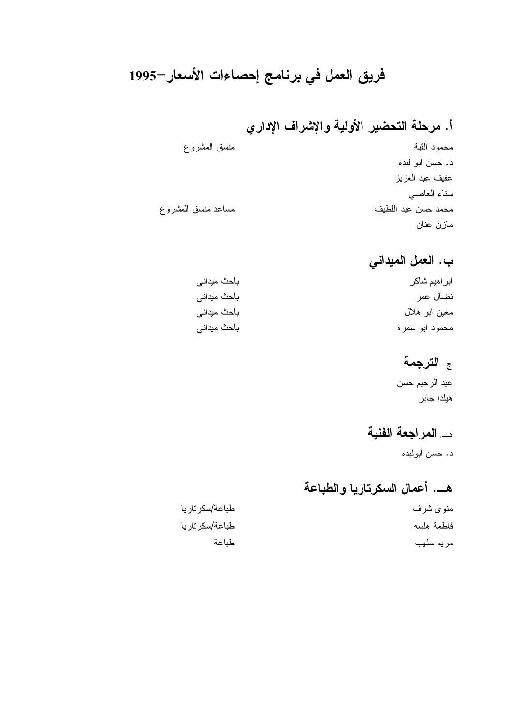# فريق العمل في برنامج إحصاءات الأسعار –1995

# أ. مرحلة التحضير الأولية والإشراف الإدارى

منسق المشروع محمود القبة د. حسن ابو لبده عفيف عبد العزيز سناء العاصبي محمد حسن عبد اللطيف مساعد منسق المشروع ماز ن عنان

# ب. العمل الميداني

ابر اهیم شاکر باحث ميداني باحث ميداني نضال عمر باحث ميداني معين ابو هلال باحث ميداني محمود ابو سمره

# ج. ا**لترجمة**

عبد الرحيم حسن هيلدا جابر

# د\_ المراجعة الفنية د. حسن أبولبده

- هـــ. أعمال السكرتاريا والطباعة منوي شرف فاطمة هلسه طناعة مريم سلهب
- طباعة/سكرتاريا طباعة/سكر تاريا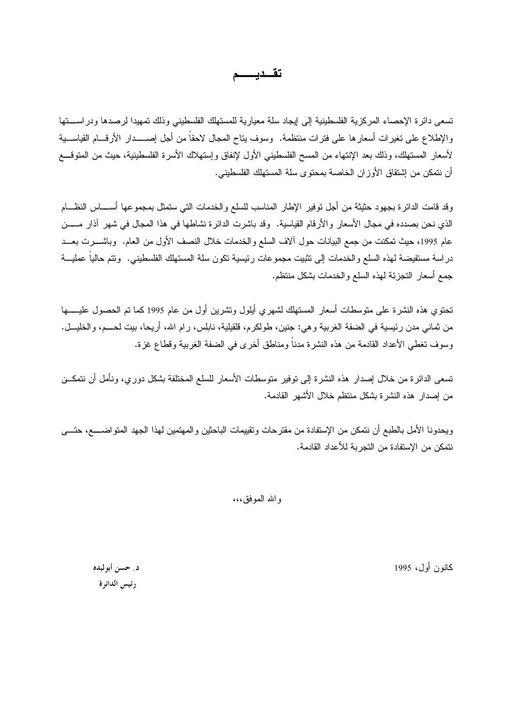# تقديسه

تسعى دائرة الإحصاء المركزية الفلسطينية إلى إيجاد سلة معيارية للمستهلك الفلسطيني وذلك تمهيدا لرصدها ودراستها والإطلاع على نغيرات أسعارها على فترات منتظمة. وسوف يتاح المجال لاحقاً من أجل إصـــــدار الأرقـــام القياســـية لأسعار المستهلك، وذلك بعد الإنتهاء من المسح الفلسطيني الأول لإنفاق وإستهلاك الأسرة الفلسطينية، حيث من المتوقــع أن نتمكن من إشتقاق الأوزان الخاصة بمحتوى سلة المستهلك الفلسطيني.

وقد قامت الدائرة بجهود حثيثة من أجل نوفير الإطار المناسب للسلع والخدمات النتي ستمثل بمجموعها أســـــاس النظـــام الذي نحن بصدده في مجال الأسعار والأرقام القياسية. وقد باشرت الدائرة نشاطها في هذا المجال في شهر آذار مـــــن عام 1995، حيث تمكنت من جمع البيانات حول ألاف السلع والخدمات خلال النصف الأول من العام. وباشــــرت بعـــد دراسة مستفيضة لهذه السلع والخدمات إلى نثبيت مجموعات رئيسية نكون سلة المستهلك الفلسطيني. ونتم حالياً عمليـــة جمع أسعار التجزئة لهذه السلع والخدمات بشكل منتظم.

تحتوي هذه النشرة على متوسطات أسعار المستهلك لشهري أيلول وتشرين أول من عام 1995 كما تم الحصول عليـــــها من ثماني مدن رئيسية في الضفة الغربية وهي: جنين، طولكرم، فلقيلية، نابلس، رام الله، أريحا، بيت لحـــم، والخليــل. وسوف تغطي الأعداد القادمة من هذه النشرة مدنا ومناطق أخرى في الضفة الغربية وقطاع غزة.

تسعى الدائرة من خلال إصدار هذه النشرة إلى نوفير متوسطات الأسعار للسلع المختلفة بشكل دوري، ونأمل أن نتمكــن من إصدار هذه النشرة بشكل منتظم خلال الأشهر القادمة.

ويحدونا الأمل بالطبع أن نتمكن من الإستفادة من مقتر حات وتقييمات الباحثين والمهتمين لهذا الجهد المتو اضــــع، حتـــى نتمكن من الإستفادة من التجر بة للأعداد القادمة.

#### والله الموفق،،،

كانون أول، 1995

د. حسن أبو لبده رئيس الدائرة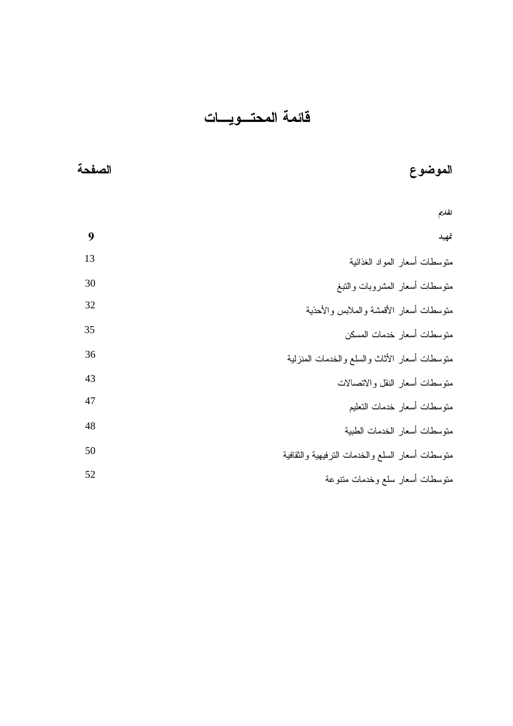قائمة المحتسويسات

| الموضوع                                          | الصفحة |
|--------------------------------------------------|--------|
|                                                  |        |
| تقديم                                            |        |
| تمهيد                                            | 9      |
| منوسطات أسعار المواد الغذائية                    | 13     |
| منوسطات أسعار المشروبات والننبغ                  | 30     |
| منوسطات أسعار الأقمشة والملابس والأحذية          | 32     |
| متوسطات أسعار خدمات المسكن                       | 35     |
| منوسطات أسعار الأثاث والسلع والخدمات المنزلية    | 36     |
| منوسطات أسعار النقل والاتصالات                   | 43     |
| متوسطات أسعار خدمات التعليم                      | 47     |
| متوسطات أسعار الخدمات الطبية                     | 48     |
| متوسطات أسعار السلع والخدمات النزفيهية والثقافية | 50     |
| منوسطات أسعار سلع وخدمات منتوعة                  | 52     |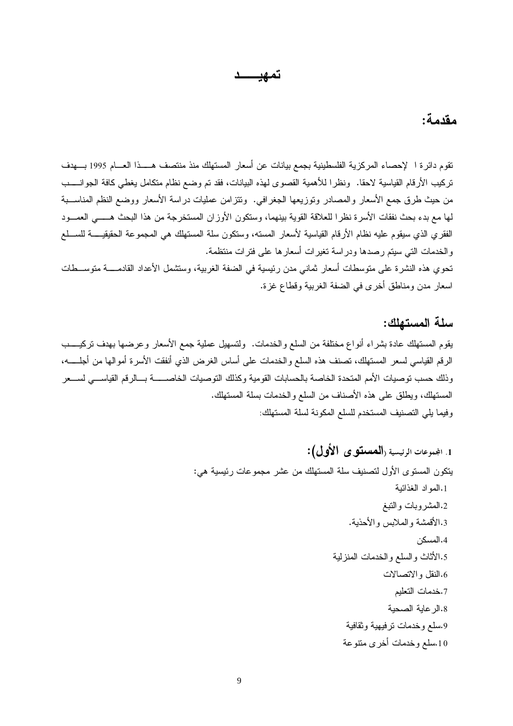# تمهيــــد

# مقدمة:

<span id="page-6-0"></span>تقوم دائرة ا لإحصاء المركزية الفلسطينية بجمع بيانات عن أسعار المستهلك منذ منتصف هــــذا العـــام 1995 بـــهدف تركيب الأرقام القياسية لاحقا. ونظرًا للأهمية القصوى لمهذه البيانات، فقد تم وضع نظام متكامل يغطي كافة الجوانــــب من حيث طرق جمع الأسعار والمصادر وتوزيعها الجغرافي. ونتزامن عمليات دراسة الأسعار ووضىع النظم المناســـبة لمها مع بدء بحث نفقات الاسرة نظرًا للعلاقة القوية بينهما، وستكون الاوزان المستخرجة من هذا البحث هـــــي العمـــود الفقري الذي سيقوم عليه نظام الأرقام القياسية لاسعار المسته، وستكون سلة المستهلك هي المجموعة الحقيقيـــــة للســــلـع والخدمات التي سيتم رصدها ودر اسة تغيرات أسعار ها على فترات منتظمة. تحوي هذه النشرة على متوسطات أسعار ثماني مدن رئيسية في الضفة الغربية، وستشمل الاعداد القادمـــــة متوســـطات اسعار مدن ومناطق أخرى في الضفة الغربية وقطاع غزة.

#### سلة المستهلك:

يقوم المستهلك عادة بشراء أنواع مختلفة من السلع والخدمات. ولتسهيل عملية جمع الاسعار وعرضها بهدف نركيــــب الرقم القياسي لسعر المستهلك، تصنف هذه السلع والخدمات على أساس الغرض الذي أنفقت الاسرة أموالها من أجلـــــه، وذلك حسب توصيات الأمم المتحدة الخاصة بالحسابات القومية وكذلك التوصيات الخاصــــــة بـــالرقم القياســــي لســـعر المستهلك، ويطلق على هذه الأصناف من السلع والخدمات بسلة المستهلك. وفيما يلي التصنيف المستخدم للسلع المكونة لسلة المستهلك:

/2%34 D-"">5' E V(?G %%"9,82,& )2B522 ?RH- Z!2G !- -RBU!1AB- "- # G MI,[ OB- GD )2D - /,\$2G M- ) %- 7 O872G MI,-- % 25MG MI,-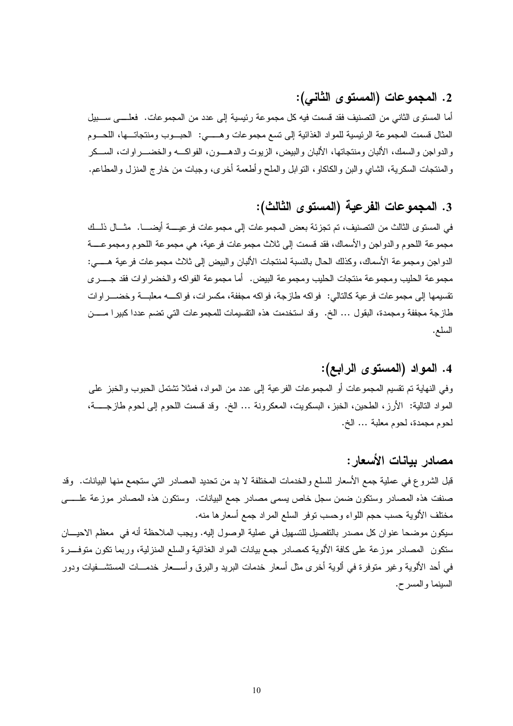# 2. المجموعات (المستوى الثاني):

أما المستو ي الثاني من التصنيف فقد قسمت فيه كل مجمو عة ر ئيسية إلى عدد من المجمو عات. فعلــــى ســــبيل المثال قسمت المجموعة الرئيسية للمواد الغذائية إلى نسع مجموعات وهـــــي: الحبـــوب ومنتجاتـــها، اللحـــوم والدواجن والسمك، الألبان ومنتجاتها، الألبان والبيض، الزيوت والدهــــون، الفواكــــه والخضــــر اوات، الســـكر والمنتجات السكرية، الشاي والبن والكاكاو، النوابل والملح وأطعمة أخرى، وجبات من خارج المنزل والمطاعم.

# 3. المجموعات الفرعية (المستوى الثالث):

في المستوى الثالث من التصنيف، تم تجزئة بعض المجموعات إلى مجموعات فرعيسة أيضـــا. مثـــال ذلـــك مجموعة اللحوم والدواجن والأسماك، فقد قسمت إلى ثلاث مجموعات فرعية، هي مجموعة اللحوم ومجمو عــــة الدو اجن و مجمو عة الأسماك، وكذلك الحال بالنسبة لمنتجات الألبان و البيض إلى ثلاث مجمو عات فر عية هـــــى: مجمو عة الحليب ومجمو عة منتجات الحليب ومجمو عة البيض. أما مجمو عة الفو اكه و الخضر او ات فقد جــــــر ي تقسيمها إلى مجموعات فرعية كالتالي: فواكه طازجة، فواكه مجففة، مكسر ات، فواكــــه معلبـــة وخضــــر اوات طازجة مجففة ومجمدة، البقول … الخ. وقد استخدمت هذه التقسيمات للمجموعات التي تضم عددا كبيرا مـــــن السلع.

### 4. المواد (المستوى الرابع):

مصادر بيانات الأسعار :

وفي النهاية تم تقسيم المجموعات أو المجموعات الفرعية إلى عدد من المواد، فمثلا تشتمل الحبوب والخبز على المواد النالية: الأرز، الطحين، الخبز، البسكويت، المعكرونة … الخ. وقد قسمت اللحوم إلى لحوم طازجـــــة، لحوم مجمدة، لحوم معلبة ... الخ.

قبل الشروع في عملية جمع الأسعار للسلع والخدمات المختلفة لا بد من تحديد المصادر التي ستجمع منها البيانات. وقد صنفت هذه المصادر وستكون ضمن سجل خاص يسمى مصادر جمع البيانات. وستكون هذه المصادر موزعة علـــــى مختلف الألوية حسب حجم اللواء وحسب نوفر السلع المراد جمع أسعارها منه. سيكون موضحا عنوان كل مصدر بالتفصيل للتسهيل في عملية الوصول إليه. ويجب الملاحظة أنه في معظم الاحيـــان ستكون المصادر موزعة على كافة الألوية كمصادر جمع بيانات المواد الغذائية والسلع المنزلية، وربما نكون متوفـــرة في أحد الألوية وغير متوفرة في ألوية أخرى مثل أسعار خدمات البريد والبرق وأســـعار خدمـــات المستثنـــفيات ودور السينما والمسرح.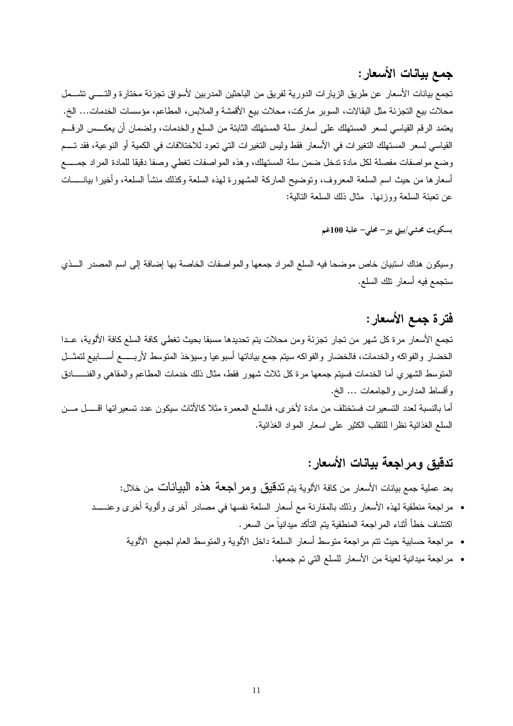## جمع بيانات الأسعار :

تجمع بيانات الأسعار عن طريق الزيارات الدورية لفريق من الباحثين المدربين لأسواق تجزئة مختارة والتــــى تشـــمل محلات بيع التجزئة مثل البقالات، السوبر ماركت، محلات بيع الأقمشة والملابس، المطاعم، مؤسسات الخدمات... الخ. يعتمد الرقم القياسي لسعر المستهلك على أسعار سلة المستهلك الثابتة من السلع والخدمات، ولضمان أن يعكـــس الرقـــم القياسي لسعر المستهلك التغيرات في الأسعار فقط وليس التغيرات التي تعود للاختلافات في الكمية أو النوعية، فقد تـــم وضع مواصفات مفصلة لكل مادة ندخل ضمن سلة المستهلك، وهذه المواصفات نغطي وصفا دقيقا للمادة المراد جمــــع أسعارها من حيث اسم السلعة المعروف، وتوضيح الماركة المشهورة لهذه السلعة وكذلك منشأ السلعة، وأخيرا بيانــــــات عن نعبئة السلعة ووزنها. مثال ذلك السلعة النالبة:

بسكويت محشى/بيتي بير– محلي– علبة 100غم

وسيكون هناك استبيان خاص موضحا فيه السلع المراد جمعها والمواصفات الخاصة بها إضافة إلى اسم المصدر السذي ستجمع فيه أسعار تلك السلع.

# فترة جمع الأسعار :

تجمع الأسعار مرة كل شهر من تجار تجزئة ومن محلات بتم تحديدها مسبقا بحيث تغطى كافة السلع كافة الألوية، عــدا الخضار والفواكه والخدمات، فالخضار والفواكه سيتم جمع بياناتها أسبوعيا وسيؤخذ المتوسط لأربـــــع أســـابيع لتمثـــل المنوسط الشهري أما الخدمات فسيتم جمعها مرة كل ثلاث شهور فقط، مثال ذلك خدمات المطاعم والمقاهي والفنـــــــادق و أقساط المدار س و الجامعات ... الخ.

أما بالنسبة لعدد التسعير ات فستختلف من مادة لأخرى، فالسلع المعمرة مثلا كالأثاث سيكون عدد تسعير اتها اقـــــل مـــن السلع الغذائية نظرًا للتقلب الكثير على اسعار المواد الغذائية.

### تدقيق ومراجعة بيانات الأسعار :

بعد عملية جمع بيانات الأسعار من كافة الألوية يتم ل**ذقيق** ومر **اجعة هذه البيانات** من خلال:

- مراجعة منطقية لهذه الأسعار وذلك بالمقارنة مع أسعار السلعة نفسها في مصادر أخرى وألوية أخرى وعنــــد اكتشاف خطأ أثناء المر اجعة المنطقية بتم التأكد مبدانياً من السعر .
	- مراجعة حسابية حيث نتم مراجعة منوسط أسعار السلعة داخل الألوية والمنوسط العام لجميع الألوية
		- مراجعة ميدانية لعينة من الأسعار للسلع التي تم جمعها.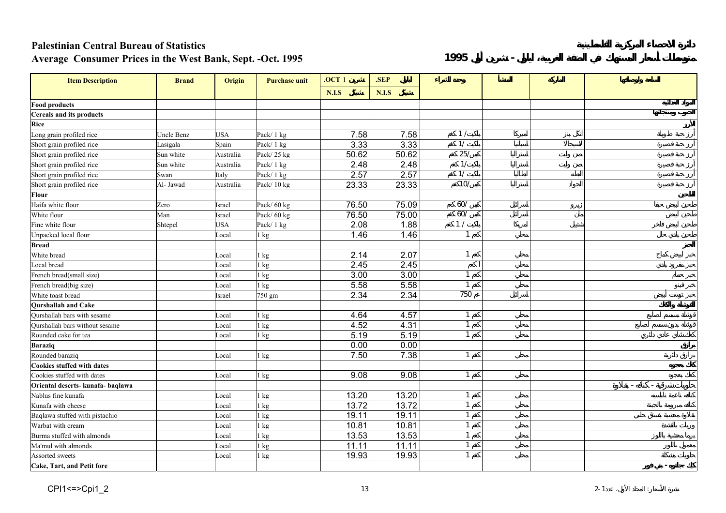<span id="page-9-0"></span>

| <b>Item Description</b>           | <b>Brand</b> | <b>Origin</b> | <b>Purchase unit</b> | <b>.OCT 1</b> | .SEP  |                          |  |                                                      |
|-----------------------------------|--------------|---------------|----------------------|---------------|-------|--------------------------|--|------------------------------------------------------|
|                                   |              |               |                      | N.I.S         | N.I.S |                          |  |                                                      |
| <b>Food products</b>              |              |               |                      |               |       |                          |  |                                                      |
| <b>Cereals and its products</b>   |              |               |                      |               |       |                          |  |                                                      |
| Rice                              |              |               |                      |               |       |                          |  |                                                      |
| Long grain profiled rice          | Uncle Benz   | <b>USA</b>    | Pack/1 kg            | 7.58          | 7.58  | 1/                       |  |                                                      |
| Short grain profiled rice         | Lasigala     | Spain         | Pack/1 kg            | 3.33          | 3.33  | $\overline{\frac{1}{2}}$ |  |                                                      |
| Short grain profiled rice         | Sun white    | Australia     | Pack/25 kg           | 50.62         | 50.62 | 25/                      |  |                                                      |
| Short grain profiled rice         | Sun white    | Australia     | Pack/1 kg            | 2.48          | 2.48  | 1/                       |  |                                                      |
| Short grain profiled rice         | Swan         | Italy         | Pack/1 kg            | 2.57          | 2.57  | 1/                       |  |                                                      |
| Short grain profiled rice         | Al- Jawad    | Australia     | Pack/10 kg           | 23.33         | 23.33 | 10/                      |  |                                                      |
| Flour                             |              |               |                      |               |       |                          |  |                                                      |
| Haifa white flour                 | Zero         | Israel        | Pack/60 kg           | 76.50         | 75.09 | 60/                      |  |                                                      |
| White flour                       | Man          | Israel        | Pack/60 kg           | 76.50         | 75.00 | 60/                      |  |                                                      |
| Fine white flour                  | Shtepel      | <b>USA</b>    | Pack/1 kg            | 2.08          | 1.88  | 1/                       |  |                                                      |
| Unpacked local flour              |              | Local         | l kg                 | 1.46          | 1.46  | $\overline{1}$           |  |                                                      |
| <b>Bread</b>                      |              |               |                      |               |       |                          |  |                                                      |
| White bread                       |              | Local         | l kg                 | 2.14          | 2.07  | $\mathbf{1}$             |  |                                                      |
| Local bread                       |              | Local         | l kg                 | 2.45          | 2.45  |                          |  |                                                      |
| French bread(small size)          |              | Local         | l kg                 | 3.00          | 3.00  | $\mathbf{1}$             |  |                                                      |
| French bread(big size)            |              | Local         | l kg                 | 5.58          | 5.58  | $\mathbf{1}$             |  |                                                      |
| White toast bread                 |              | Israel        | 750 gm               | 2.34          | 2.34  | 750                      |  |                                                      |
| Qurshallah and Cake               |              |               |                      |               |       |                          |  |                                                      |
| Ourshallah bars with sesame       |              | Local         | 1 kg                 | 4.64          | 4.57  | $\mathbf{1}$             |  |                                                      |
| Ourshallah bars without sesame    |              | Local         | l kg                 | 4.52          | 4.31  | $\mathbf{1}$             |  |                                                      |
| Rounded cake for tea              |              | Local         | l kg                 | 5.19          | 5.19  | $\mathbf{1}$             |  |                                                      |
| <b>Baraziq</b>                    |              |               |                      | 0.00          | 0.00  |                          |  |                                                      |
| Rounded baraziq                   |              | Local         | l kg                 | 7.50          | 7.38  | $\mathbf{1}$             |  |                                                      |
| <b>Cookies stuffed with dates</b> |              |               |                      |               |       |                          |  |                                                      |
| Cookies stuffed with dates        |              | Local         | l kg                 | 9.08          | 9.08  | 1                        |  |                                                      |
| Oriental deserts- kunafa- baqlawa |              |               |                      |               |       |                          |  |                                                      |
| Nablus fine kunafa                |              | Local         | l kg                 | 13.20         | 13.20 | $\mathbf{1}$             |  |                                                      |
| Kunafa with cheese                |              | Local         | l kg                 | 13.72         | 13.72 | $\overline{1}$           |  |                                                      |
| Baqlawa stuffed with pistachio    |              | Local         | l kg                 | 19.11         | 19.11 | $\overline{1}$           |  |                                                      |
| Warbat with cream                 |              | Local         | l kg                 | 10.81         | 10.81 | $\mathbf{1}$             |  |                                                      |
| Burma stuffed with almonds        |              | Local         | l kg                 | 13.53         | 13.53 | $\mathbf{1}$             |  |                                                      |
| Ma'mul with almonds               |              | Local         | l kg                 | 11.11         | 11.11 | $\mathbf{1}$             |  |                                                      |
| Assorted sweets                   |              | Local         | l kg                 | 19.93         | 19.93 | $\mathbf{1}$             |  |                                                      |
| Cake, Tart, and Petit fore        |              |               |                      |               |       |                          |  | $\overline{\phantom{a}}$<br>$\overline{\phantom{a}}$ |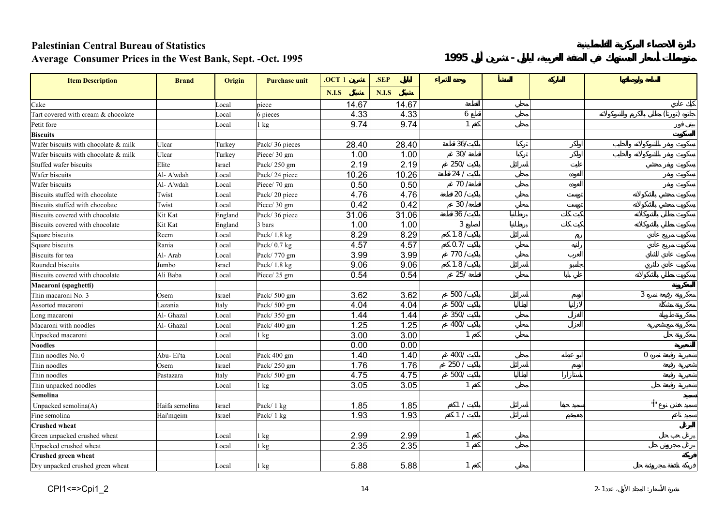| <b>Item Description</b>              | <b>Brand</b>   | Origin  | <b>Purchase unit</b> | <b>.OCT 1</b> | .SEP  |                 |  |                |
|--------------------------------------|----------------|---------|----------------------|---------------|-------|-----------------|--|----------------|
|                                      |                |         |                      | N.I.S         | N.I.S |                 |  |                |
| Cake                                 |                | Local   | piece                | 14.67         | 14.67 |                 |  |                |
| Tart covered with cream & chocolate  |                | Local   | 6 pieces             | 4.33          | 4.33  | 6               |  |                |
| Petit fore                           |                | Local   | kg                   | 9.74          | 9.74  | $\mathbf{1}$    |  |                |
| <b>Biscuits</b>                      |                |         |                      |               |       |                 |  |                |
| Wafer biscuits with chocolate & milk | Jlcar          | Turkey  | Pack/36 pieces       | 28.40         | 28.40 | 36/             |  |                |
| Wafer biscuits with chocolate & milk | Ulcar          | Turkey  | Piece/ 30 gm         | 1.00          | 1.00  | 30/             |  |                |
| Stuffed wafer biscuits               | Elite          | Israel  | Pack/250 gm          | 2.19          | 2.19  | 250/            |  |                |
| Wafer biscuits                       | Al-A'wdah      | Local   | Pack/24 piece        | 10.26         | 10.26 | 24/             |  |                |
| Wafer biscuits                       | Al-A'wdah      | Local   | Piece/70 gm          | 0.50          | 0.50  | 70/             |  |                |
| Biscuits stuffed with chocolate      | Twist          | Local   | Pack/20 piece        | 4.76          | 4.76  | 20/             |  |                |
| Biscuits stuffed with chocolate      | Twist          | Local   | Piece/ 30 gm         | 0.42          | 0.42  | 30/             |  |                |
| Biscuits covered with chocolate      | Kit Kat        | England | Pack/36 piece        | 31.06         | 31.06 | 36/             |  |                |
| Biscuits covered with chocolate      | Kit Kat        | England | 3 bars               | 1.00          | 1.00  | 3               |  |                |
| Square biscuits                      | Reem           | Local   | Pack/1.8 kg          | 8.29          | 8.29  | 1.8/            |  |                |
| Square biscuits                      | Rania          | Local   | Pack/ 0.7 kg         | 4.57          | 4.57  | 0.7/            |  |                |
| <b>Biscuits</b> for tea              | Al-Arab        | Local   | Pack/770 gm          | 3.99          | 3.99  | 770/            |  |                |
| Rounded biscuits                     | Jumbo          | Israel  | Pack/1.8 kg          | 9.06          | 9.06  | 1.8/            |  |                |
| Biscuits covered with chocolate      | Ali Baba       | Local   | Piece/25 gm          | 0.54          | 0.54  | 25/             |  |                |
| Macaroni (spaghetti)                 |                |         |                      |               |       |                 |  |                |
| Thin macaroni No. 3                  | Osem           | Israel  | Pack/500 gm          | 3.62          | 3.62  | 500/            |  | 3              |
| Assorted macaroni                    | Lazania        | Italy   | Pack/500 gm          | 4.04          | 4.04  | 500/            |  |                |
| Long macaroni                        | Al- Ghazal     | Local   | Pack/350 gm          | 1.44          | 1.44  | 350/            |  |                |
| Macaroni with noodles                | Al- Ghazal     | Local   | Pack/400 gm          | 1.25          | 1.25  | 400/            |  |                |
| Unpacked macaroni                    |                | Local   | 1 kg                 | 3.00          | 3.00  | $\overline{1}$  |  |                |
| <b>Noodles</b>                       |                |         |                      | 0.00          | 0.00  |                 |  |                |
| Thin noodles No. 0                   | Abu-Ei'ta      | Local   | Pack 400 gm          | 1.40          | 1.40  | 400/            |  | $\overline{0}$ |
| Thin noodles                         | Osem           | Israel  | Pack/250 gm          | 1.76          | 1.76  | 250/            |  |                |
| Thin noodles                         | Pastazara      | Italy   | Pack/500 gm          | 4.75          | 4.75  | 500/            |  |                |
| Thin unpacked noodles                |                | Local   | l kg                 | 3.05          | 3.05  |                 |  |                |
| Semolina                             |                |         |                      |               |       |                 |  |                |
| Unpacked semolina(A)                 | Haifa semolina | Israel  | Pack/1 kg            | 1.85          | 1.85  | 1/              |  | $\mathbf{H}$   |
| Fine semolina                        | Hai'mqeim      | Israel  | Pack/1 kg            | 1.93          | 1.93  | $\overline{1/}$ |  |                |
| <b>Crushed wheat</b>                 |                |         |                      |               |       |                 |  |                |
| Green unpacked crushed wheat         |                | Local   | 1 kg                 | 2.99          | 2.99  | $\mathbf{1}$    |  |                |
| Unpacked crushed wheat               |                | Local   | kg                   | 2.35          | 2.35  | $\mathbf{1}$    |  |                |
| <b>Crushed green wheat</b>           |                |         |                      |               |       |                 |  |                |
| Dry unpacked crushed green wheat     |                | Local   | $1 \text{ kg}$       | 5.88          | 5.88  | $\mathbf{1}$    |  |                |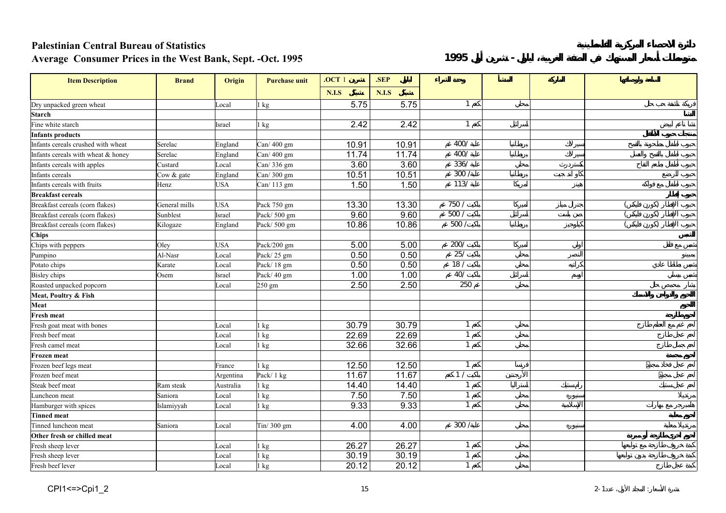| <b>Item Description</b>            | <b>Brand</b>  | Origin     | <b>Purchase unit</b> | <b>.OCT 1</b> | .SEP  |                |  |  |  |
|------------------------------------|---------------|------------|----------------------|---------------|-------|----------------|--|--|--|
|                                    |               |            |                      | N.I.S         | N.I.S |                |  |  |  |
| Dry unpacked green wheat           |               | Local      | 1 kg                 | 5.75          | 5.75  | 1              |  |  |  |
| <b>Starch</b>                      |               |            |                      |               |       |                |  |  |  |
| Fine white starch                  |               | Israel     | 1 kg                 | 2.42          | 2.42  | 1              |  |  |  |
| <b>Infants products</b>            |               |            |                      |               |       |                |  |  |  |
| Infants cereals crushed with wheat | Serelac       | England    | Can/ 400 gm          | 10.91         | 10.91 | 400/           |  |  |  |
| Infants cereals with wheat & honey | Serelac       | England    | Can/ 400 gm          | 11.74         | 11.74 | 400/           |  |  |  |
| Infants cereals with apples        | Custard       | Local      | Can/ 336 gm          | 3.60          | 3.60  | 336/           |  |  |  |
| Infants cereals                    | Cow & gate    | England    | Can/ 300 gm          | 10.51         | 10.51 | 300/           |  |  |  |
| Infants cereals with fruits        | Henz          | <b>USA</b> | Can/113 gm           | 1.50          | 1.50  | 113/           |  |  |  |
| <b>Breakfast cereals</b>           |               |            |                      |               |       |                |  |  |  |
| Breakfast cereals (corn flakes)    | General mills | <b>USA</b> | Pack 750 gm          | 13.30         | 13.30 | 750 /          |  |  |  |
| Breakfast cereals (corn flakes)    | Sunblest      | Israel     | Pack/500 gm          | 9.60          | 9.60  | 500/           |  |  |  |
| Breakfast cereals (corn flakes)    | Kilogaze      | England    | Pack/500 gm          | 10.86         | 10.86 | 500/           |  |  |  |
| <b>Chips</b>                       |               |            |                      |               |       |                |  |  |  |
| Chips with peppers                 | Oley          | <b>USA</b> | Pack/200 gm          | 5.00          | 5.00  | 200/           |  |  |  |
| Pumpino                            | Al-Nasr       | Local      | Pack/25 gm           | 0.50          | 0.50  | 25/            |  |  |  |
| Potato chips                       | Karate        | Local      | Pack/18 gm           | 0.50          | 0.50  | 18/            |  |  |  |
| <b>Bisley</b> chips                | Osem          | Israel     | Pack/40 gm           | 1.00          | 1.00  | 40/            |  |  |  |
| Roasted unpacked popcorn           |               | Local      | 250 gm               | 2.50          | 2.50  | 250            |  |  |  |
| Meat, Poultry & Fish               |               |            |                      |               |       |                |  |  |  |
| Meat                               |               |            |                      |               |       |                |  |  |  |
| <b>Fresh meat</b>                  |               |            |                      |               |       |                |  |  |  |
| Fresh goat meat with bones         |               | Local      | $1$ kg               | 30.79         | 30.79 | $\mathbf{1}$   |  |  |  |
| Fresh beef meat                    |               | Local      | 1 kg                 | 22.69         | 22.69 | $\mathbf{1}$   |  |  |  |
| Fresh camel meat                   |               | Local      | l kg                 | 32.66         | 32.66 | $\mathbf{1}$   |  |  |  |
| Frozen meat                        |               |            |                      |               |       |                |  |  |  |
| Frozen beef legs meat              |               | France     | 1 kg                 | 12.50         | 12.50 | $\overline{1}$ |  |  |  |
| Frozen beef meat                   |               | Argentina  | Pack/1 kg            | 11.67         | 11.67 | 1/             |  |  |  |
| Steak beef meat                    | Ram steak     | Australia  | 1 kg                 | 14.40         | 14.40 |                |  |  |  |
| Luncheon meat                      | Saniora       | Local      | kg                   | 7.50          | 7.50  | 1              |  |  |  |
| Hamburger with spices              | Islamiyyah    | Local      | kg                   | 9.33          | 9.33  | 1              |  |  |  |
| <b>Tinned</b> meat                 |               |            |                      |               |       |                |  |  |  |
| Tinned luncheon meat               | Saniora       | Local      | Tin/300 gm           | 4.00          | 4.00  | 300/           |  |  |  |
| Other fresh or chilled meat        |               |            |                      |               |       |                |  |  |  |
| Fresh sheep lever                  |               | Local      | 1 kg                 | 26.27         | 26.27 | $\mathbf{1}$   |  |  |  |
| Fresh sheep lever                  |               | Local      | $\mathrm{kg}$        | 30.19         | 30.19 | $\mathbf{1}$   |  |  |  |
| Fresh beef lever                   |               | Local      | $1 \text{ kg}$       | 20.12         | 20.12 | $\mathbf{1}$   |  |  |  |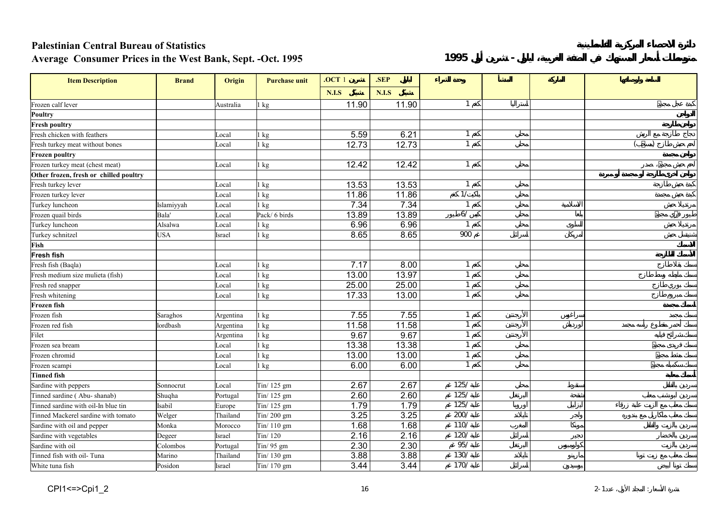| <b>Item Description</b>                | <b>Brand</b> | Origin    | <b>Purchase unit</b> | .0CT <sub>1</sub> | SEP   |              |  |  |
|----------------------------------------|--------------|-----------|----------------------|-------------------|-------|--------------|--|--|
|                                        |              |           |                      | N.I.S             | N.I.S |              |  |  |
| Frozen calf lever                      |              | Australia | $1$ kg               | 11.90             | 11.90 |              |  |  |
| Poultry                                |              |           |                      |                   |       |              |  |  |
| <b>Fresh poultry</b>                   |              |           |                      |                   |       |              |  |  |
| Fresh chicken with feathers            |              | Local     | 1 kg                 | 5.59              | 6.21  | $\mathbf{1}$ |  |  |
| Fresh turkey meat without bones        |              | Local     | 1 kg                 | 12.73             | 12.73 | $\mathbf{1}$ |  |  |
| <b>Frozen poultry</b>                  |              |           |                      |                   |       |              |  |  |
| Frozen turkey meat (chest meat)        |              | Local     | $1$ kg               | 12.42             | 12.42 |              |  |  |
| Other frozen, fresh or chilled poultry |              |           |                      |                   |       |              |  |  |
| Fresh turkey lever                     |              | Local     | 1 kg                 | 13.53             | 13.53 | $\mathbf 1$  |  |  |
| Frozen turkey lever                    |              | Local     | 1 kg                 | 11.86             | 11.86 | 1/           |  |  |
| Turkey luncheon                        | Islamiyyah   | Local     | $1$ kg               | 7.34              | 7.34  | 1            |  |  |
| Frozen quail birds                     | Bala'        | Local     | Pack/6 birds         | 13.89             | 13.89 | 6/           |  |  |
| Turkey luncheon                        | Alsalwa      | Local     | $1 \text{ kg}$       | 6.96              | 6.96  | $\mathbf{1}$ |  |  |
| Turkey schnitzel                       | <b>JSA</b>   | Israel    | 1 kg                 | 8.65              | 8.65  | 900          |  |  |
| Fish                                   |              |           |                      |                   |       |              |  |  |
| Fresh fish                             |              |           |                      |                   |       |              |  |  |
| Fresh fish (Baqla)                     |              | Local     | $1$ kg               | 7.17              | 8.00  | $\mathbf{1}$ |  |  |
| Fresh medium size mulieta (fish)       |              | Local     | 1 kg                 | 13.00             | 13.97 | $\mathbf{1}$ |  |  |
| Fresh red snapper                      |              | Local     | $1 \text{ kg}$       | 25.00             | 25.00 | $\mathbf{1}$ |  |  |
| Fresh whitening                        |              | Local     | $1$ kg               | 17.33             | 13.00 | 1            |  |  |
| <b>Frozen</b> fish                     |              |           |                      |                   |       |              |  |  |
| Frozen fish                            | Saraghos     | Argentina | 1 kg                 | 7.55              | 7.55  | $\mathbf{1}$ |  |  |
| Frozen red fish                        | lordbash     | Argentina | 1 kg                 | 11.58             | 11.58 | $\mathbf{1}$ |  |  |
| Filet                                  |              | Argentina | $1$ kg               | 9.67              | 9.67  | $\mathbf{1}$ |  |  |
| Frozen sea bream                       |              | Local     | $1$ kg               | 13.38             | 13.38 | 1            |  |  |
| Frozen chromid                         |              | Local     | 1 kg                 | 13.00             | 13.00 | 1            |  |  |
| Frozen scampi                          |              | Local     | 1 kg                 | 6.00              | 6.00  | $\mathbf{1}$ |  |  |
| <b>Tinned fish</b>                     |              |           |                      |                   |       |              |  |  |
| Sardine with peppers                   | Sonnocrut    | Local     | Tin/125 gm           | 2.67              | 2.67  | 125/         |  |  |
| Tinned sardine (Abu-shanab)            | Shuqha       | Portugal  | Tin/125 gm           | 2.60              | 2.60  | 125/         |  |  |
| Tinned sardine with oil-In blue tin    | Isabil       | Europe    | Tin/125 gm           | 1.79              | 1.79  | 125/         |  |  |
| Tinned Mackerel sardine with tomato    | Welger       | Thailand  | Tin/200 gm           | 3.25              | 3.25  | 200/         |  |  |
| Sardine with oil and pepper            | Monka        | Morocco   | Tin/110 gm           | 1.68              | 1.68  | 110/         |  |  |
| Sardine with vegetables                | Degeer       | Israel    | Tin/120              | 2.16              | 2.16  | 120/         |  |  |
| Sardine with oil                       | Colombos     | Portugal  | Tin/ 95 gm           | 2.30              | 2.30  | 95/          |  |  |
| Tinned fish with oil- Tuna             | Marino       | Thailand  | Tin/130 gm           | 3.88              | 3.88  | 130/         |  |  |
| White tuna fish                        | Posidon      | Israel    | Tin/170 gm           | 3.44              | 3.44  | 170/         |  |  |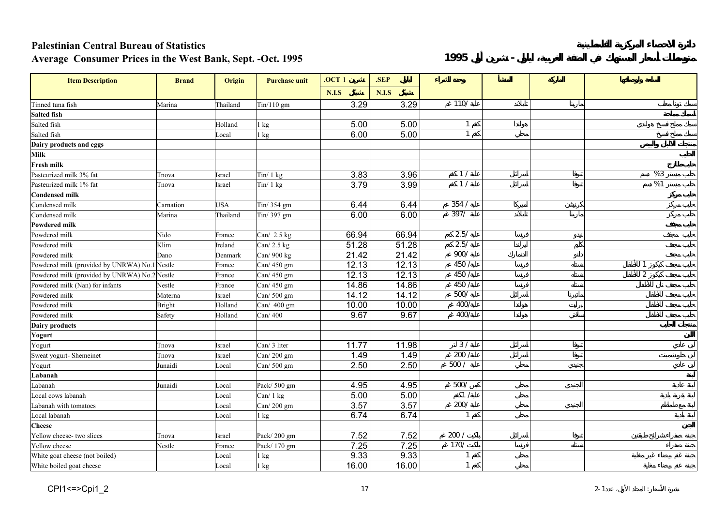| <b>Item Description</b>                       | <b>Brand</b>  | Origin     | <b>Purchase unit</b>                 | <b>.OCT 1</b> | .SEP  |              |  |                |
|-----------------------------------------------|---------------|------------|--------------------------------------|---------------|-------|--------------|--|----------------|
|                                               |               |            |                                      | N.I.S         | N.I.S |              |  |                |
| Tinned tuna fish                              | Marina        | Thailand   | $Tin/110$ gm                         | 3.29          | 3.29  | 110/         |  |                |
| <b>Salted fish</b>                            |               |            |                                      |               |       |              |  |                |
| Salted fish                                   |               | Holland    | $1$ kg                               | 5.00          | 5.00  |              |  |                |
| Salted fish                                   |               | Local      | $1$ kg                               | 6.00          | 5.00  | $\mathbf{1}$ |  |                |
| Dairy products and eggs                       |               |            |                                      |               |       |              |  |                |
| <b>Milk</b>                                   |               |            |                                      |               |       |              |  |                |
| <b>Fresh milk</b>                             |               |            |                                      |               |       |              |  |                |
| Pasteurized milk 3% fat                       | Tnova         | Israel     | $\overline{\text{Tim}}/1 \text{ kg}$ | 3.83          | 3.96  | 1/           |  | %3             |
| Pasteurized milk 1% fat                       | Tnova         | Israel     | $Tin/1$ kg                           | 3.79          | 3.99  | 1/           |  | %1             |
| <b>Condensed milk</b>                         |               |            |                                      |               |       |              |  |                |
| Condensed milk                                | Carnation     | <b>USA</b> | Tin/ 354 gm                          | 6.44          | 6.44  | 354/         |  |                |
| Condensed milk                                | Marina        | Thailand   | Tin/ 397 gm                          | 6.00          | 6.00  | 397/         |  |                |
| <b>Powdered milk</b>                          |               |            |                                      |               |       |              |  |                |
| Powdered milk                                 | Nido          | France     | Can/ 2.5 kg                          | 66.94         | 66.94 | 2.5/         |  |                |
| Powdered milk                                 | Klim          | Ireland    | Can/ 2.5 kg                          | 51.28         | 51.28 | 2.5/         |  |                |
| Powdered milk                                 | Dano          | Denmark    | Can/ 900 kg                          | 21.42         | 21.42 | 900/         |  |                |
| Powdered milk (provided by UNRWA) No.1 Nestle |               | France     | Can/ 450 gm                          | 12.13         | 12.13 | 450 /        |  | -1             |
| Powdered milk (provided by UNRWA) No.2        | Nestle        | France     | Can/ 450 gm                          | 12.13         | 12.13 | 450/         |  | $\overline{2}$ |
| Powdered milk (Nan) for infants               | Nestle        | France     | Can/ 450 gm                          | 14.86         | 14.86 | 450/         |  |                |
| Powdered milk                                 | Materna       | Israel     | Can/ 500 gm                          | 14.12         | 14.12 | 500/         |  |                |
| Powdered milk                                 | <b>Bright</b> | Holland    | Can/ 400 gm                          | 10.00         | 10.00 | 400/         |  |                |
| Powdered milk                                 | Safety        | Holland    | Can/400                              | 9.67          | 9.67  | 400/         |  |                |
| <b>Dairy products</b>                         |               |            |                                      |               |       |              |  |                |
| Yogurt                                        |               |            |                                      |               |       |              |  |                |
| Yogurt                                        | Tnova         | Israel     | Can/ 3 liter                         | 11.77         | 11.98 | 3/           |  |                |
| Sweat yogurt-Shemeinet                        | Tnova         | Israel     | Can/200 gm                           | 1.49          | 1.49  | 200/         |  |                |
| Yogurt                                        | Junaidi       | Local      | Can/ 500 gm                          | 2.50          | 2.50  | 500/         |  |                |
| Labanah                                       |               |            |                                      |               |       |              |  |                |
| Labanah                                       | Junaidi       | Local      | Pack/500 gm                          | 4.95          | 4.95  | 500/         |  |                |
| Local cows labanah                            |               | Local      | Can/1 kg                             | 5.00          | 5.00  | 1/           |  |                |
| Labanah with tomatoes                         |               | Local      | Can/200 gm                           | 3.57          | 3.57  | 200/         |  |                |
| Local labanah                                 |               | Local      | 1 kg                                 | 6.74          | 6.74  |              |  |                |
| <b>Cheese</b>                                 |               |            |                                      |               |       |              |  |                |
| Yellow cheese- two slices                     | Tnova         | Israel     | Pack/200 gm                          | 7.52          | 7.52  | 200/         |  |                |
| Yellow cheese                                 | Nestle        | France     | Pack/170 gm                          | 7.25          | 7.25  | 170/         |  |                |
| White goat cheese (not boiled)                |               | Local      | l kg                                 | 9.33          | 9.33  |              |  |                |
| White boiled goat cheese                      |               | Local      | $1$ kg                               | 16.00         | 16.00 | $\mathbf{1}$ |  |                |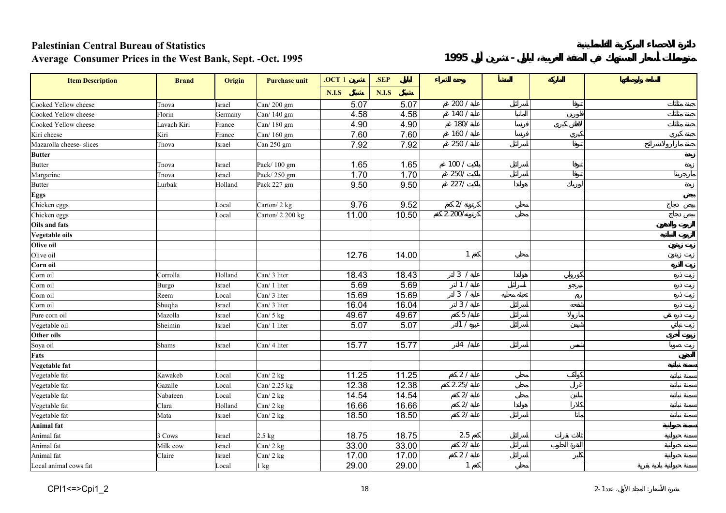| <b>Item Description</b>  | <b>Brand</b> | Origin  | <b>Purchase unit</b> | .0CT <sub>1</sub> | .SEP  |                 |  |  |
|--------------------------|--------------|---------|----------------------|-------------------|-------|-----------------|--|--|
|                          |              |         |                      | N.I.S             | N.I.S |                 |  |  |
| Cooked Yellow cheese     | Tnova        | Israel  | Can/200 gm           | 5.07              | 5.07  | 200/            |  |  |
| Cooked Yellow cheese     | Florin       | Germany | Can/140 gm           | 4.58              | 4.58  | 140/            |  |  |
| Cooked Yellow cheese     | Lavach Kiri  | France  | Can/180 gm           | 4.90              | 4.90  | 180/            |  |  |
| Kiri cheese              | Kiri         | France  | Can/160 gm           | 7.60              | 7.60  | 160/            |  |  |
| Mazarolla cheese- slices | Tnova        | Israel  | Can 250 gm           | 7.92              | 7.92  | 250/            |  |  |
| <b>Butter</b>            |              |         |                      |                   |       |                 |  |  |
| <b>Butter</b>            | Tnova        | Israel  | Pack/100 gm          | 1.65              | 1.65  | 100/            |  |  |
| Margarine                | Tnova        | Israel  | Pack/250 gm          | 1.70              | 1.70  | 250/            |  |  |
| <b>Butter</b>            | Lurbak       | Holland | Pack 227 gm          | 9.50              | 9.50  | 227/            |  |  |
| Eggs                     |              |         |                      |                   |       |                 |  |  |
| Chicken eggs             |              | Local   | Carton/2 kg          | 9.76              | 9.52  | $\overline{2l}$ |  |  |
| Chicken eggs             |              | Local   | Carton/2.200 kg      | 11.00             | 10.50 | 2.200/          |  |  |
| Oils and fats            |              |         |                      |                   |       |                 |  |  |
| Vegetable oils           |              |         |                      |                   |       |                 |  |  |
| Olive oil                |              |         |                      |                   |       |                 |  |  |
| Olive oil                |              |         |                      | 12.76             | 14.00 | $\mathbf{1}$    |  |  |
| Corn oil                 |              |         |                      |                   |       |                 |  |  |
| Corn oil                 | Corrolla     | Holland | Can/ 3 liter         | 18.43             | 18.43 | 3/              |  |  |
| Corn oil                 | <b>Burgo</b> | Israel  | Can/ 1 liter         | 5.69              | 5.69  | $\overline{1/}$ |  |  |
| Corn oil                 | Reem         | Local   | Can/ 3 liter         | 15.69             | 15.69 | 3/              |  |  |
| Corn oil                 | Shuqha       | Israel  | Can/ 3 liter         | 16.04             | 16.04 | 3/              |  |  |
| Pure corn oil            | Mazolla      | Israel  | Can/ 5 kg            | 49.67             | 49.67 | 5/              |  |  |
| Vegetable oil            | Sheimin      | Israel  | Can/ 1 liter         | 5.07              | 5.07  | 1/              |  |  |
| Other oils               |              |         |                      |                   |       |                 |  |  |
| Soya oil                 | Shams        | Israel  | Can/ 4 liter         | 15.77             | 15.77 | 4/              |  |  |
| Fats                     |              |         |                      |                   |       |                 |  |  |
| Vegetable fat            |              |         |                      |                   |       |                 |  |  |
| Vegetable fat            | Kawakeb      | Local   | Can/ 2 kg            | 11.25             | 11.25 | 2/              |  |  |
| Vegetable fat            | Gazalle      | Local   | Can/ 2.25 kg         | 12.38             | 12.38 | 2.25/           |  |  |
| Vegetable fat            | Nabateen     | Local   | Can/ 2 kg            | 14.54             | 14.54 | $\overline{2l}$ |  |  |
| Vegetable fat            | Clara        | Holland | Can/ 2 kg            | 16.66             | 16.66 | 2/              |  |  |
| Vegetable fat            | Mata         | Israel  | Can/ 2 kg            | 18.50             | 18.50 | 2/              |  |  |
| Animal fat               |              |         |                      |                   |       |                 |  |  |
| Animal fat               | 3 Cows       | Israel  | $2.5$ kg             | 18.75             | 18.75 | 2.5             |  |  |
| Animal fat               | Milk cow     | Israel  | Can/ 2 kg            | 33.00             | 33.00 | $\overline{2}$  |  |  |
| Animal fat               | Claire       | Israel  | Can/ 2 kg            | 17.00             | 17.00 | 2/              |  |  |
| Local animal cows fat    |              | Local   | $1 \text{ kg}$       | 29.00             | 29.00 | $\mathbf{1}$    |  |  |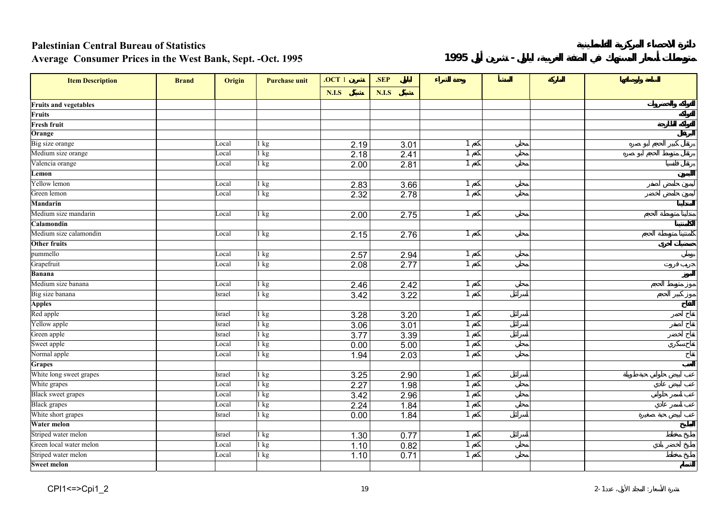| <b>Item Description</b>      | <b>Brand</b> | Origin | <b>Purchase unit</b> | .0CT <sub>1</sub> | .SEP  |              |  |  |
|------------------------------|--------------|--------|----------------------|-------------------|-------|--------------|--|--|
|                              |              |        |                      | N.I.S             | N.I.S |              |  |  |
| <b>Fruits and vegetables</b> |              |        |                      |                   |       |              |  |  |
| <b>Fruits</b>                |              |        |                      |                   |       |              |  |  |
| <b>Fresh fruit</b>           |              |        |                      |                   |       |              |  |  |
| Orange                       |              |        |                      |                   |       |              |  |  |
| Big size orange              |              | Local  | $1 \text{ kg}$       | 2.19              | 3.01  | $\mathbf{1}$ |  |  |
| Medium size orange           |              | Local  | 1 kg                 | 2.18              | 2.41  | 1            |  |  |
| Valencia orange              |              | Local  | kg                   | 2.00              | 2.81  |              |  |  |
| Lemon                        |              |        |                      |                   |       |              |  |  |
| Yellow lemon                 |              | Local  | 1 kg                 | 2.83              | 3.66  | $\mathbf{1}$ |  |  |
| Green lemon                  |              | Local  | $1 \text{ kg}$       | 2.32              | 2.78  | 1            |  |  |
| <b>Mandarin</b>              |              |        |                      |                   |       |              |  |  |
| Medium size mandarin         |              | Local  | l kg                 | 2.00              | 2.75  | 1            |  |  |
| Calamondin                   |              |        |                      |                   |       |              |  |  |
| Medium size calamondin       |              | Local  | $1 \text{ kg}$       | 2.15              | 2.76  | 1            |  |  |
| <b>Other fruits</b>          |              |        |                      |                   |       |              |  |  |
| pummello                     |              | Local  | 1 kg                 | 2.57              | 2.94  | 1            |  |  |
| Grapefruit                   |              | Local  | l kg                 | 2.08              | 2.77  | $\mathbf{1}$ |  |  |
| <b>Banana</b>                |              |        |                      |                   |       |              |  |  |
| Medium size banana           |              | Local  | 1 kg                 | 2.46              | 2.42  | 1            |  |  |
| Big size banana              |              | Israel | 1 kg                 | 3.42              | 3.22  | $\mathbf{1}$ |  |  |
| <b>Apples</b>                |              |        |                      |                   |       |              |  |  |
| Red apple                    |              | Israel | l kg                 | 3.28              | 3.20  | 1            |  |  |
| Yellow apple                 |              | Israel | $1 \text{ kg}$       | 3.06              | 3.01  | 1            |  |  |
| Green apple                  |              | Israel | 1 kg                 | 3.77              | 3.39  | 1            |  |  |
| Sweet apple                  |              | Local  | l kg                 | 0.00              | 5.00  |              |  |  |
| Normal apple                 |              | Local  | kg                   | 1.94              | 2.03  | 1            |  |  |
| <b>Grapes</b>                |              |        |                      |                   |       |              |  |  |
| White long sweet grapes      |              | Israel | 1 kg                 | 3.25              | 2.90  | 1            |  |  |
| White grapes                 |              | Local  | $1 \text{ kg}$       | 2.27              | 1.98  | 1            |  |  |
| <b>Black sweet grapes</b>    |              | Local  | 1 kg                 | 3.42              | 2.96  |              |  |  |
| <b>Black</b> grapes          |              | Local  | l kg                 | 2.24              | 1.84  | 1            |  |  |
| White short grapes           |              | Israel | l kg                 | 0.00              | 1.84  | $\mathbf{1}$ |  |  |
| <b>Water melon</b>           |              |        |                      |                   |       |              |  |  |
| Striped water melon          |              | Israel | $1 \text{ kg}$       | 1.30              | 0.77  | 1            |  |  |
| Green local water melon      |              | Local  | kg                   | 1.10              | 0.82  |              |  |  |
| Striped water melon          |              | Local  | kg                   | 1.10              | 0.71  | 1            |  |  |
| <b>Sweet melon</b>           |              |        |                      |                   |       |              |  |  |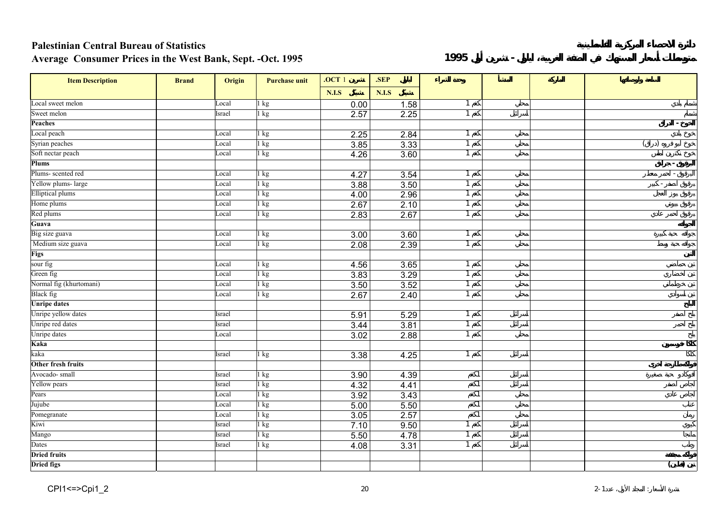| <b>Item Description</b> | <b>Brand</b> | Origin | <b>Purchase unit</b> | <b>.OCT</b> 1     | .SEP  |                |  |                          |
|-------------------------|--------------|--------|----------------------|-------------------|-------|----------------|--|--------------------------|
|                         |              |        |                      | N.I.S             | N.I.S |                |  |                          |
| Local sweet melon       |              | Local  | 1 kg                 | 0.00              | 1.58  |                |  |                          |
| Sweet melon             |              | Israel | $1 \text{ kg}$       | 2.57              | 2.25  |                |  |                          |
| Peaches                 |              |        |                      |                   |       |                |  | $\overline{\phantom{a}}$ |
| Local peach             |              | Local  | 1 kg                 | 2.25              | 2.84  | 1              |  |                          |
| Syrian peaches          |              | Local  | 1 <sub>kg</sub>      | 3.85              | 3.33  | 1              |  |                          |
| Soft nectar peach       |              | Local  | 1 kg                 | 4.26              | 3.60  | 1              |  |                          |
| <b>Plums</b>            |              |        |                      |                   |       |                |  | $\overline{\phantom{a}}$ |
| Plums- scented red      |              | Local  | 1 kg                 | 4.27              | 3.54  |                |  | $\overline{\phantom{a}}$ |
| Yellow plums-large      |              | Local  | 1 <sub>kg</sub>      | 3.88              | 3.50  |                |  | $\overline{\phantom{a}}$ |
| <b>Elliptical plums</b> |              | Local  | 1 kg                 | 4.00              | 2.96  |                |  |                          |
| Home plums              |              | Local  | 1 kg                 | 2.67              | 2.10  |                |  |                          |
| Red plums               |              | Local  | 1 kg                 | 2.83              | 2.67  |                |  |                          |
| Guava                   |              |        |                      |                   |       |                |  |                          |
| Big size guava          |              | Local  | 1 <sub>kg</sub>      | $\overline{3.00}$ | 3.60  |                |  |                          |
| Medium size guava       |              | Local  | 1 kg                 | 2.08              | 2.39  |                |  |                          |
| <b>Figs</b>             |              |        |                      |                   |       |                |  |                          |
| sour fig                |              | Local  | 1 kg                 | 4.56              | 3.65  | 1              |  |                          |
| Green fig               |              | Local  | 1 kg                 | 3.83              | 3.29  | 1              |  |                          |
| Normal fig (khurtomani) |              | Local  | 1 kg                 | 3.50              | 3.52  | 1              |  |                          |
| <b>Black</b> fig        |              | Local  | 1 kg                 | 2.67              | 2.40  |                |  |                          |
| <b>Unripe dates</b>     |              |        |                      |                   |       |                |  |                          |
| Unripe yellow dates     |              | Israel |                      | 5.91              | 5.29  | 1              |  |                          |
| Unripe red dates        |              | Israel |                      | 3.44              | 3.81  |                |  |                          |
| Unripe dates            |              | Local  |                      | 3.02              | 2.88  | 1              |  |                          |
| Kaka                    |              |        |                      |                   |       |                |  | $\overline{\phantom{a}}$ |
| kaka                    |              | Israel | $1 \text{ kg}$       | 3.38              | 4.25  | $\mathbf{1}$   |  |                          |
| Other fresh fruits      |              |        |                      |                   |       |                |  |                          |
| Avocado- small          |              | Israel | 1 <sub>kg</sub>      | 3.90              | 4.39  | 1              |  |                          |
| Yellow pears            |              | Israel | 1 kg                 | 4.32              | 4.41  | 1              |  |                          |
| Pears                   |              | Local  | $1 \text{ kg}$       | 3.92              | 3.43  | 1              |  |                          |
| Jujube                  |              | Local  | 1 kg                 | 5.00              | 5.50  | $\overline{1}$ |  |                          |
| Pomegranate             |              | Local  | 1 <sub>kg</sub>      | 3.05              | 2.57  |                |  |                          |
| Kiwi                    |              | Israel | 1 kg                 | 7.10              | 9.50  |                |  |                          |
| Mango                   |              | Israel | 1 kg                 | 5.50              | 4.78  |                |  |                          |
| Dates                   |              | Israel | l kg                 | 4.08              | 3.31  |                |  |                          |
| <b>Dried fruits</b>     |              |        |                      |                   |       |                |  |                          |
| <b>Dried</b> figs       |              |        |                      |                   |       |                |  |                          |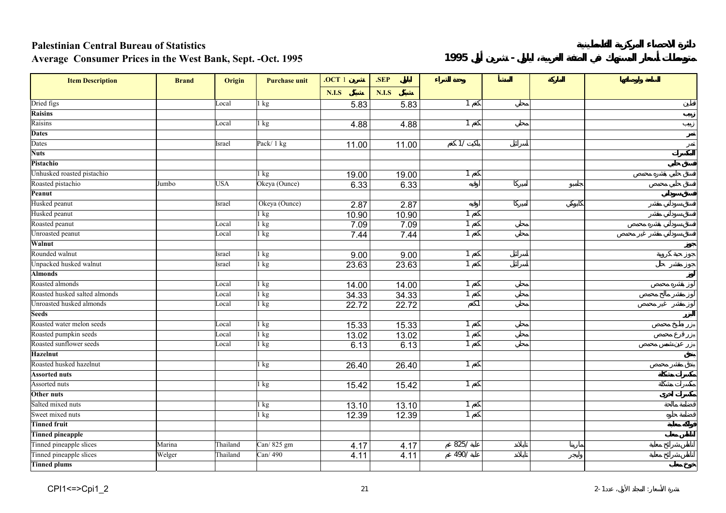| <b>Item Description</b>       | <b>Brand</b> | Origin     | <b>Purchase unit</b> | <b>.OCT 1</b> | .SEP  |              |  |  |
|-------------------------------|--------------|------------|----------------------|---------------|-------|--------------|--|--|
|                               |              |            |                      | N.I.S         | N.I.S |              |  |  |
| Dried figs                    |              | Local      | 1 kg                 | 5.83          | 5.83  | 1            |  |  |
| <b>Raisins</b>                |              |            |                      |               |       |              |  |  |
| Raisins                       |              | Local      | $1 \text{ kg}$       | 4.88          | 4.88  | $\mathbf{1}$ |  |  |
| <b>Dates</b>                  |              |            |                      |               |       |              |  |  |
| <b>Dates</b>                  |              | Israel     | Pack/1 kg            | 11.00         | 11.00 | 1/           |  |  |
| <b>Nuts</b>                   |              |            |                      |               |       |              |  |  |
| Pistachio                     |              |            |                      |               |       |              |  |  |
| Unhusked roasted pistachio    |              |            | 1 <sub>kg</sub>      | 19.00         | 19.00 | $\mathbf{1}$ |  |  |
| Roasted pistachio             | Jumbo        | <b>USA</b> | Okeya (Ounce)        | 6.33          | 6.33  |              |  |  |
| Peanut                        |              |            |                      |               |       |              |  |  |
| Husked peanut                 |              | Israel     | Okeya (Ounce)        | 2.87          | 2.87  |              |  |  |
| Husked peanut                 |              |            | 1 kg                 | 10.90         | 10.90 | 1            |  |  |
| Roasted peanut                |              | Local      | 1 kg                 | 7.09          | 7.09  | 1            |  |  |
| Unroasted peanut              |              | Local      | 1 kg                 | 7.44          | 7.44  | 1            |  |  |
| Walnut                        |              |            |                      |               |       |              |  |  |
| Rounded walnut                |              | Israel     | $1 \text{ kg}$       | 9.00          | 9.00  |              |  |  |
| Unpacked husked walnut        |              | Israel     | $1 \text{ kg}$       | 23.63         | 23.63 | $\mathbf{1}$ |  |  |
| <b>Almonds</b>                |              |            |                      |               |       |              |  |  |
| Roasted almonds               |              | Local      | 1 kg                 | 14.00         | 14.00 | $\mathbf{1}$ |  |  |
| Roasted husked salted almonds |              | Local      | 1 kg                 | 34.33         | 34.33 | 1            |  |  |
| Unroasted husked almonds      |              | Local      | $1 \text{ kg}$       | 22.72         | 22.72 | $\mathbf{1}$ |  |  |
| <b>Seeds</b>                  |              |            |                      |               |       |              |  |  |
| Roasted water melon seeds     |              | Local      | $1 \text{ kg}$       | 15.33         | 15.33 | $\mathbf{1}$ |  |  |
| Roasted pumpkin seeds         |              | Local      | 1 kg                 | 13.02         | 13.02 | $\mathbf{1}$ |  |  |
| Roasted sunflower seeds       |              | Local      | kg                   | 6.13          | 6.13  | 1            |  |  |
| <b>Hazelnut</b>               |              |            |                      |               |       |              |  |  |
| Roasted husked hazelnut       |              |            | $1 \text{ kg}$       | 26.40         | 26.40 | $\mathbf{1}$ |  |  |
| <b>Assorted nuts</b>          |              |            |                      |               |       |              |  |  |
| Assorted nuts                 |              |            | $1 \text{ kg}$       | 15.42         | 15.42 |              |  |  |
| Other nuts                    |              |            |                      |               |       |              |  |  |
| Salted mixed nuts             |              |            | 1 kg                 | 13.10         | 13.10 | -1           |  |  |
| Sweet mixed nuts              |              |            | 1 kg                 | 12.39         | 12.39 | 1            |  |  |
| <b>Tinned fruit</b>           |              |            |                      |               |       |              |  |  |
| <b>Tinned pineapple</b>       |              |            |                      |               |       |              |  |  |
| Tinned pineapple slices       | Marina       | Thailand   | Can/825 gm           | 4.17          | 4.17  | 825/         |  |  |
| Tinned pineapple slices       | Welger       | Thailand   | Can/490              | 4.11          | 4.11  | 490/         |  |  |
| <b>Tinned plums</b>           |              |            |                      |               |       |              |  |  |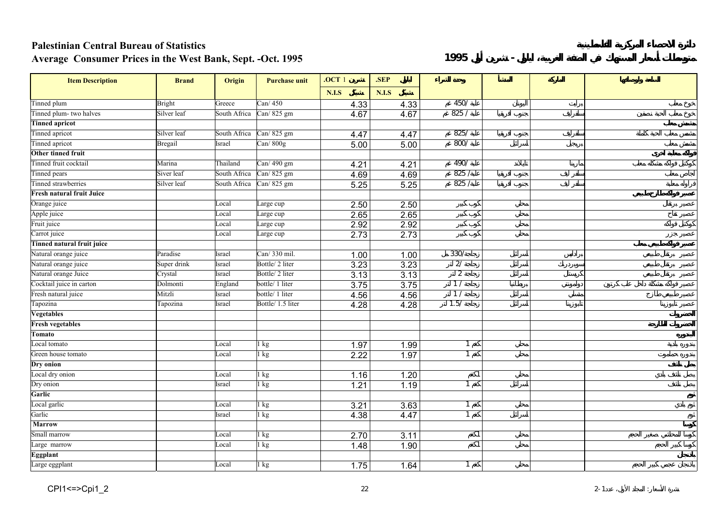| <b>Item Description</b>          | <b>Brand</b>  | Origin       | <b>Purchase unit</b> | <b>.OCT 1</b> | .SEP  |                 |  |  |
|----------------------------------|---------------|--------------|----------------------|---------------|-------|-----------------|--|--|
|                                  |               |              |                      | N.I.S         | N.I.S |                 |  |  |
| Tinned plum                      | <b>Bright</b> | Greece       | Can/450              | 4.33          | 4.33  | 450/            |  |  |
| Tinned plum-two halves           | Silver leaf   | South Africa | Can/825 gm           | 4.67          | 4.67  | 825/            |  |  |
| <b>Tinned apricot</b>            |               |              |                      |               |       |                 |  |  |
| Tinned apricot                   | Silver leaf   | South Africa | Can/825 gm           | 4.47          | 4.47  | 825/            |  |  |
| Tinned apricot                   | Bregail       | Israel       | Can/800g             | 5.00          | 5.00  | 800/            |  |  |
| Other tinned fruit               |               |              |                      |               |       |                 |  |  |
| Tinned fruit cocktail            | Marina        | Thailand     | Can/ 490 gm          | 4.21          | 4.21  | 490/            |  |  |
| Tinned pears                     | Siver leaf    | South Africa | Can/825 gm           | 4.69          | 4.69  | 825/            |  |  |
| Tinned strawberries              | Silver leaf   | South Africa | Can/825 gm           | 5.25          | 5.25  | 825/            |  |  |
| <b>Fresh natural fruit Juice</b> |               |              |                      |               |       |                 |  |  |
| Orange juice                     |               | Local        | Large cup            | 2.50          | 2.50  |                 |  |  |
| Apple juice                      |               | Local        | Large cup            | 2.65          | 2.65  |                 |  |  |
| Fruit juice                      |               | Local        | Large cup            | 2.92          | 2.92  |                 |  |  |
| Carrot juice                     |               | Local        | Large cup            | 2.73          | 2.73  |                 |  |  |
| Tinned natural fruit juice       |               |              |                      |               |       |                 |  |  |
| Natural orange juice             | Paradise      | Israel       | Can/ 330 mil.        | 1.00          | 1.00  | 330/            |  |  |
| Natural orange juice             | Super drink   | Israel       | Bottle/2 liter       | 3.23          | 3.23  | 2/              |  |  |
| Natural orange Juice             | Crystal       | Israel       | Bottle/2 liter       | 3.13          | 3.13  | $\overline{2}$  |  |  |
| Cocktail juice in carton         | Dolmonti      | England      | bottle/ 1 liter      | 3.75          | 3.75  | 1/              |  |  |
| Fresh natural juice              | Mitzli        | Israel       | bottle/ 1 liter      | 4.56          | 4.56  | $\overline{11}$ |  |  |
| Tapozina                         | apozina       | Israel       | Bottle/ 1.5 liter    | 4.28          | 4.28  | 1.5/            |  |  |
| <b>Vegetables</b>                |               |              |                      |               |       |                 |  |  |
| <b>Fresh vegetables</b>          |               |              |                      |               |       |                 |  |  |
| Tomato                           |               |              |                      |               |       |                 |  |  |
| Local tomato                     |               | Local        | l kg                 | 1.97          | 1.99  | 1               |  |  |
| Green house tomato               |               | Local        | kg                   | 2.22          | 1.97  | $\mathbf{1}$    |  |  |
| Dry onion                        |               |              |                      |               |       |                 |  |  |
| Local dry onion                  |               | Local        | 1 kg                 | 1.16          | 1.20  | 1               |  |  |
| Dry onion                        |               | Israel       | $1 \text{ kg}$       | 1.21          | 1.19  | 1               |  |  |
| Garlic                           |               |              |                      |               |       |                 |  |  |
| Local garlic                     |               | Local        | kg                   | 3.21          | 3.63  |                 |  |  |
| Garlic                           |               | Israel       | l kg                 | 4.38          | 4.47  | 1               |  |  |
| <b>Marrow</b>                    |               |              |                      |               |       |                 |  |  |
| Small marrow                     |               | Local        | $1 \text{ kg}$       | 2.70          | 3.11  | -1              |  |  |
| Large marrow                     |               | Local        | kg                   | 1.48          | 1.90  |                 |  |  |
| Eggplant                         |               |              |                      |               |       |                 |  |  |
| Large eggplant                   |               | Local        | $1 \text{ kg}$       | 1.75          | 1.64  | 1               |  |  |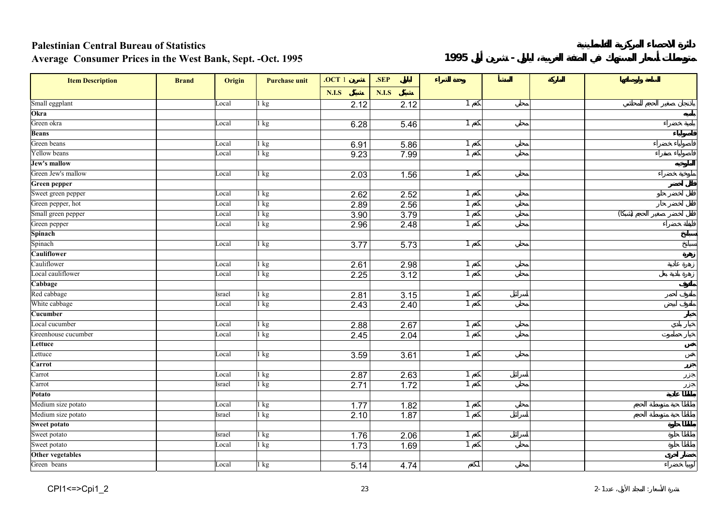| <b>Item Description</b> | <b>Brand</b> | Origin | <b>Purchase unit</b> | <b>.OCT</b> 1 | .SEP  |                |  |  |
|-------------------------|--------------|--------|----------------------|---------------|-------|----------------|--|--|
|                         |              |        |                      | N.I.S         | N.I.S |                |  |  |
| Small eggplant          |              | Local  | $1 \text{ kg}$       | 2.12          | 2.12  | 1              |  |  |
| Okra                    |              |        |                      |               |       |                |  |  |
| Green okra              |              | Local  | $1 \text{ kg}$       | 6.28          | 5.46  | $\mathbf{1}$   |  |  |
| <b>Beans</b>            |              |        |                      |               |       |                |  |  |
| Green beans             |              | Local  | $1 \text{ kg}$       | 6.91          | 5.86  | 1              |  |  |
| Yellow beans            |              | Local  | $1 \text{ kg}$       | 9.23          | 7.99  | $\mathbf{1}$   |  |  |
| <b>Jew's mallow</b>     |              |        |                      |               |       |                |  |  |
| Green Jew's mallow      |              | Local  | l kg                 | 2.03          | 1.56  | 1              |  |  |
| <b>Green pepper</b>     |              |        |                      |               |       |                |  |  |
| Sweet green pepper      |              | Local  | 1 kg                 | 2.62          | 2.52  | 1              |  |  |
| Green pepper, hot       |              | Local  | 1 kg                 | 2.89          | 2.56  |                |  |  |
| Small green pepper      |              | Local  | kg                   | 3.90          | 3.79  | 1              |  |  |
| Green pepper            |              | Local  | l kg                 | 2.96          | 2.48  | 1              |  |  |
| Spinach                 |              |        |                      |               |       |                |  |  |
| Spinach                 |              | Local  | $1 \text{ kg}$       | 3.77          | 5.73  | 1              |  |  |
| <b>Cauliflower</b>      |              |        |                      |               |       |                |  |  |
| Cauliflower             |              | Local  | l kg                 | 2.61          | 2.98  | 1              |  |  |
| Local cauliflower       |              | Local  | l kg                 | 2.25          | 3.12  | $\overline{1}$ |  |  |
| Cabbage                 |              |        |                      |               |       |                |  |  |
| Red cabbage             |              | Israel | 1 kg                 | 2.81          | 3.15  | $\mathbf{1}$   |  |  |
| White cabbage           |              | Local  | 1 kg                 | 2.43          | 2.40  | 1              |  |  |
| Cucumber                |              |        |                      |               |       |                |  |  |
| Local cucumber          |              | Local  | $1 \text{ kg}$       | 2.88          | 2.67  | $\mathbf{1}$   |  |  |
| Greenhouse cucumber     |              | Local  | $1 \text{ kg}$       | 2.45          | 2.04  | $\mathbf{1}$   |  |  |
| Lettuce                 |              |        |                      |               |       |                |  |  |
| Lettuce                 |              | Local  | kg                   | 3.59          | 3.61  | $\mathbf{1}$   |  |  |
| Carrot                  |              |        |                      |               |       |                |  |  |
| Carrot                  |              | Local  | $1 \text{ kg}$       | 2.87          | 2.63  | 1              |  |  |
| Carrot                  |              | Israel | l kg                 | 2.71          | 1.72  | 1              |  |  |
| Potato                  |              |        |                      |               |       |                |  |  |
| Medium size potato      |              | Local  | l kg                 | 1.77          | 1.82  | 1              |  |  |
| Medium size potato      |              | Israel | l kg                 | 2.10          | 1.87  | $\overline{1}$ |  |  |
| <b>Sweet potato</b>     |              |        |                      |               |       |                |  |  |
| Sweet potato            |              | Israel | $1 \text{ kg}$       | 1.76          | 2.06  | 1              |  |  |
| Sweet potato            |              | Local  | kg                   | 1.73          | 1.69  |                |  |  |
| <b>Other vegetables</b> |              |        |                      |               |       |                |  |  |
| Green beans             |              | Local  | 1 kg                 | 5.14          | 4.74  | $\mathbf{1}$   |  |  |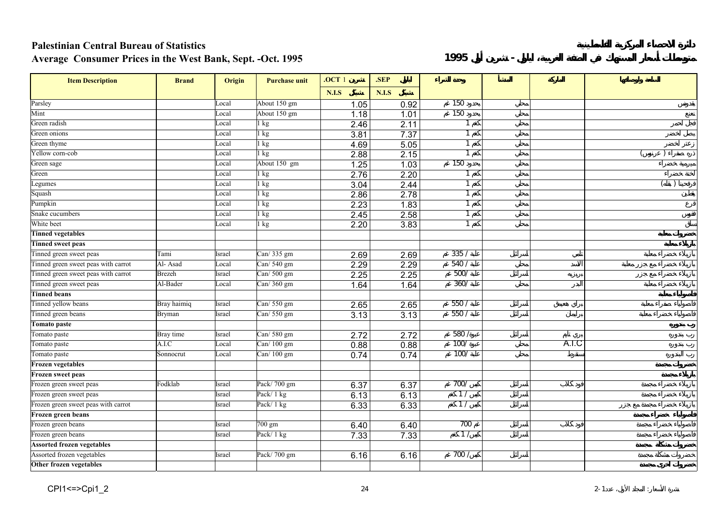| <b>Item Description</b>             | <b>Brand</b>  | Origin | <b>Purchase unit</b> | .0CT <sub>1</sub> | SEP   |                 |       |  |
|-------------------------------------|---------------|--------|----------------------|-------------------|-------|-----------------|-------|--|
|                                     |               |        |                      | N.I.S             | N.I.S |                 |       |  |
| Parsley                             |               | Local  | About 150 gm         | 1.05              | 0.92  | 150             |       |  |
| Mint                                |               | Local  | About 150 gm         | 1.18              | 1.01  | 150             |       |  |
| Green radish                        |               | Local  | $1 \text{ kg}$       | 2.46              | 2.11  | $\mathbf{1}$    |       |  |
| Green onions                        |               | Local  | $1 \text{ kg}$       | 3.81              | 7.37  | $\mathbf{1}$    |       |  |
| Green thyme                         |               | Local  | $1 \text{ kg}$       | 4.69              | 5.05  | $\mathbf{1}$    |       |  |
| Yellow corn-cob                     |               | Local  | $1 \text{ kg}$       | 2.88              | 2.15  | $\mathbf 1$     |       |  |
| Green sage                          |               | Local  | About 150 gm         | 1.25              | 1.03  | 150             |       |  |
| Green                               |               | Local  | $1 \text{ kg}$       | 2.76              | 2.20  |                 |       |  |
| Legumes                             |               | Local  | 1 kg                 | 3.04              | 2.44  | 1               |       |  |
| Squash                              |               | Local  | $1 \text{ kg}$       | 2.86              | 2.78  | 1               |       |  |
| Pumpkin                             |               | Local  | l kg                 | 2.23              | 1.83  |                 |       |  |
| Snake cucumbers                     |               | Local  | l kg                 | 2.45              | 2.58  |                 |       |  |
| White beet                          |               | Local  | 1 kg                 | 2.20              | 3.83  | 1               |       |  |
| <b>Tinned vegetables</b>            |               |        |                      |                   |       |                 |       |  |
| <b>Tinned sweet peas</b>            |               |        |                      |                   |       |                 |       |  |
| Tinned green sweet peas             | Tami          | Israel | Can/ 335 gm          | 2.69              | 2.69  | 335/            |       |  |
| Tinned green sweet peas with carrot | Al-Asad       | Local  | Can/ 540 gm          | 2.29              | 2.29  | 540/            |       |  |
| Tinned green sweet peas with carrot | <b>Brezeh</b> | Israel | Can/ 500 gm          | 2.25              | 2.25  | 500/            |       |  |
| Tinned green sweet peas             | Al-Bader      | Local  | Can/ 360 gm          | 1.64              | 1.64  | 360/            |       |  |
| <b>Tinned beans</b>                 |               |        |                      |                   |       |                 |       |  |
| Tinned yellow beans                 | Bray haimiq   | Israel | Can/ 550 gm          | 2.65              | 2.65  | 550/            |       |  |
| Tinned green beans                  | <b>Bryman</b> | Israel | Can/ 550 gm          | 3.13              | 3.13  | 550/            |       |  |
| <b>Tomato paste</b>                 |               |        |                      |                   |       |                 |       |  |
| Tomato paste                        | Bray time     | Israel | Can/ 580 gm          | 2.72              | 2.72  | 580/            |       |  |
| Tomato paste                        | A.I.C         | Local  | Can/100 gm           | 0.88              | 0.88  | 100/            | A.I.C |  |
| Tomato paste                        | Sonnocrut     | Local  | Can/100 gm           | 0.74              | 0.74  | 100/            |       |  |
| <b>Frozen vegetables</b>            |               |        |                      |                   |       |                 |       |  |
| Frozen sweet peas                   |               |        |                      |                   |       |                 |       |  |
| Frozen green sweet peas             | Fodklab       | Israel | Pack/700 gm          | 6.37              | 6.37  | 700/            |       |  |
| Frozen green sweet peas             |               | Israel | Pack/1 kg            | 6.13              | 6.13  | $\overline{11}$ |       |  |
| Frozen green sweet peas with carrot |               | Israel | Pack/1 kg            | 6.33              | 6.33  | $\overline{11}$ |       |  |
| Frozen green beans                  |               |        |                      |                   |       |                 |       |  |
| Frozen green beans                  |               | Israel | 700 gm               | 6.40              | 6.40  | 700             |       |  |
| Frozen green beans                  |               | Israel | Pack/1 kg            | 7.33              | 7.33  | 1/              |       |  |
| <b>Assorted frozen vegetables</b>   |               |        |                      |                   |       |                 |       |  |
| Assorted frozen vegetables          |               | Israel | Pack/700 gm          | 6.16              | 6.16  | 700 /           |       |  |
| Other frozen vegetables             |               |        |                      |                   |       |                 |       |  |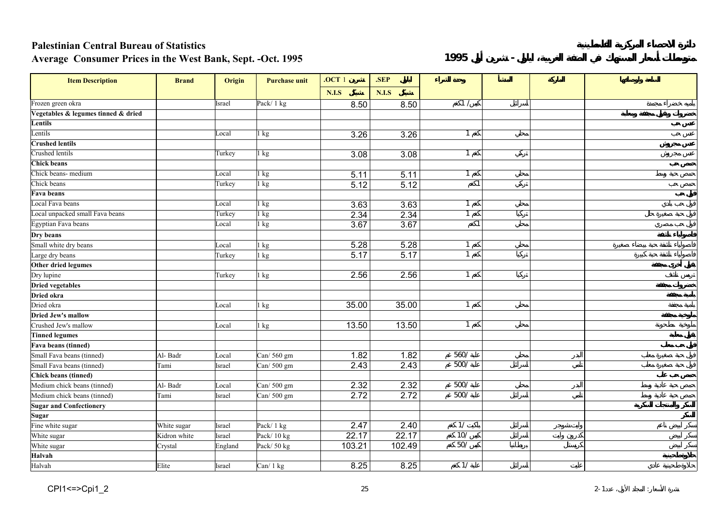| <b>Item Description</b>             | <b>Brand</b> | Origin  | <b>Purchase unit</b> | <b>.OCT 1</b> | .SEP   |                          |  |  |
|-------------------------------------|--------------|---------|----------------------|---------------|--------|--------------------------|--|--|
|                                     |              |         |                      | N.I.S         | N.I.S  |                          |  |  |
| Frozen green okra                   |              | Israel  | Pack/1 kg            | 8.50          | 8.50   | 1/                       |  |  |
| Vegetables & legumes tinned & dried |              |         |                      |               |        |                          |  |  |
| Lentils                             |              |         |                      |               |        |                          |  |  |
| Lentils                             |              | Local   | 1 kg                 | 3.26          | 3.26   | $\mathbf{1}$             |  |  |
| <b>Crushed lentils</b>              |              |         |                      |               |        |                          |  |  |
| Crushed lentils                     |              | Turkey  | 1 kg                 | 3.08          | 3.08   | $\mathbf 1$              |  |  |
| <b>Chick beans</b>                  |              |         |                      |               |        |                          |  |  |
| Chick beans-medium                  |              | Local   | l kg                 | 5.11          | 5.11   |                          |  |  |
| Chick beans                         |              | Turkey  | 1 kg                 | 5.12          | 5.12   |                          |  |  |
| <b>Fava</b> beans                   |              |         |                      |               |        |                          |  |  |
| Local Fava beans                    |              | Local   | 1 kg                 | 3.63          | 3.63   |                          |  |  |
| Local unpacked small Fava beans     |              | Turkey  | l kg                 | 2.34          | 2.34   |                          |  |  |
| Egyptian Fava beans                 |              | Local   | l kg                 | 3.67          | 3.67   |                          |  |  |
| Dry beans                           |              |         |                      |               |        |                          |  |  |
| Small white dry beans               |              | Local   | 1 kg                 | 5.28          | 5.28   | $\mathbf{1}$             |  |  |
| Large dry beans                     |              | Turkey  | l kg                 | 5.17          | 5.17   | $\overline{1}$           |  |  |
| Other dried legumes                 |              |         |                      |               |        |                          |  |  |
| Dry lupine                          |              | Turkey  | l kg                 | 2.56          | 2.56   | $\mathbf{1}$             |  |  |
| <b>Dried vegetables</b>             |              |         |                      |               |        |                          |  |  |
| Dried okra                          |              |         |                      |               |        |                          |  |  |
| Dried okra                          |              | Local   | 1 kg                 | 35.00         | 35.00  | $\mathbf{1}$             |  |  |
| <b>Dried Jew's mallow</b>           |              |         |                      |               |        |                          |  |  |
| Crushed Jew's mallow                |              | Local   | l kg                 | 13.50         | 13.50  | $\mathbf{1}$             |  |  |
| <b>Tinned legumes</b>               |              |         |                      |               |        |                          |  |  |
| Fava beans (tinned)                 |              |         |                      |               |        |                          |  |  |
| Small Fava beans (tinned)           | Al-Badr      | Local   | Can/ 560 gm          | 1.82          | 1.82   | 560/                     |  |  |
| Small Fava beans (tinned)           | Tami         | Israel  | Can/ 500 gm          | 2.43          | 2.43   | 500/                     |  |  |
| Chick beans (tinned)                |              |         |                      |               |        |                          |  |  |
| Medium chick beans (tinned)         | Al-Badr      | Local   | Can/ 500 gm          | 2.32          | 2.32   | 500/                     |  |  |
| Medium chick beans (tinned)         | Tami         | Israel  | Can/ 500 gm          | 2.72          | 2.72   | 500/                     |  |  |
| <b>Sugar and Confectionery</b>      |              |         |                      |               |        |                          |  |  |
| Sugar                               |              |         |                      |               |        |                          |  |  |
| Fine white sugar                    | White sugar  | Israel  | Pack/1 kg            | 2.47          | 2.40   | $\overline{\frac{1}{2}}$ |  |  |
| White sugar                         | Kidron white | Israel  | Pack/10 kg           | 22.17         | 22.17  | 10/                      |  |  |
| White sugar                         | Crystal      | England | Pack/50 kg           | 103.21        | 102.49 | 50/                      |  |  |
| Halvah                              |              |         |                      |               |        |                          |  |  |
| Halvah                              | Elite        | Israel  | Can/ $1$ kg          | 8.25          | 8.25   | 1/                       |  |  |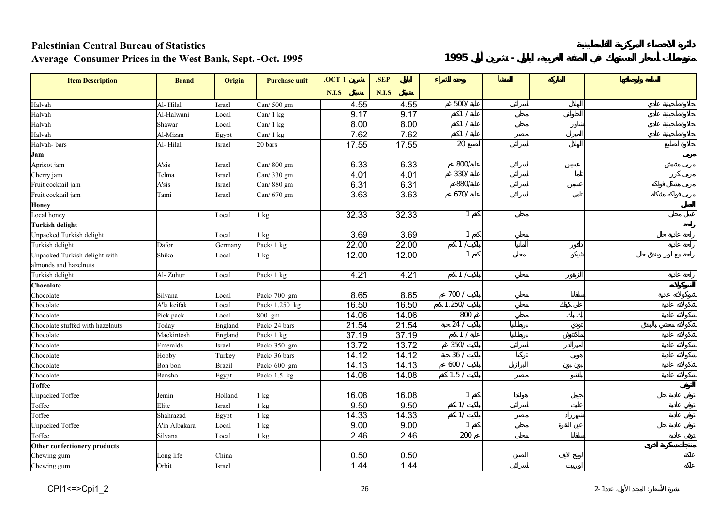| <b>Item Description</b>          | <b>Brand</b>  | Origin        | <b>Purchase unit</b> | <b>.OCT 1</b> | .SEP  |                 |  |  |
|----------------------------------|---------------|---------------|----------------------|---------------|-------|-----------------|--|--|
|                                  |               |               |                      | N.I.S         | N.I.S |                 |  |  |
| Halvah                           | Al-Hilal      | Israel        | Can/ 500 gm          | 4.55          | 4.55  | 500/            |  |  |
| Halvah                           | Al-Halwani    | Local         | Can/ 1 kg            | 9.17          | 9.17  | $\overline{1/}$ |  |  |
| Halvah                           | Shawar        | Local         | Can/1 kg             | 8.00          | 8.00  | $\overline{1/}$ |  |  |
| Halvah                           | Al-Mizan      | Egypt         | Can/ 1 kg            | 7.62          | 7.62  | $\overline{1/}$ |  |  |
| Halvah-bars                      | Al-Hilal      | Israel        | 20 bars              | 17.55         | 17.55 | 20              |  |  |
| Jam                              |               |               |                      |               |       |                 |  |  |
| Apricot jam                      | A'sis         | Israel        | Can/ 800 gm          | 6.33          | 6.33  | 800/            |  |  |
| Cherry jam                       | Telma         | Israel        | Can/ 330 gm          | 4.01          | 4.01  | 330/            |  |  |
| Fruit cocktail jam               | A'sis         | Israel        | Can/ 880 gm          | 6.31          | 6.31  | 880/            |  |  |
| Fruit cocktail jam               | Tami          | Israel        | Can/ 670 gm          | 3.63          | 3.63  | 670/            |  |  |
| <b>Honey</b>                     |               |               |                      |               |       |                 |  |  |
| Local honey                      |               | Local         | $1$ kg               | 32.33         | 32.33 |                 |  |  |
| <b>Turkish delight</b>           |               |               |                      |               |       |                 |  |  |
| Unpacked Turkish delight         |               | Local         | $1 \text{ kg}$       | 3.69          | 3.69  | -1              |  |  |
| Turkish delight                  | Dafor         | Germany       | Pack/1 kg            | 22.00         | 22.00 | 1/              |  |  |
| Unpacked Turkish delight with    | Shiko         | Local         | 1 kg                 | 12.00         | 12.00 |                 |  |  |
| almonds and hazelnuts            |               |               |                      |               |       |                 |  |  |
| Turkish delight                  | Al-Zuhur      | Local         | Pack/1 kg            | 4.21          | 4.21  | 1/              |  |  |
| Chocolate                        |               |               |                      |               |       |                 |  |  |
| Chocolate                        | Silvana       | Local         | Pack/700 gm          | 8.65          | 8.65  | 700/            |  |  |
| Chocolate                        | A'la keifak   | Local         | Pack/1.250 kg        | 16.50         | 16.50 | 1.250/          |  |  |
| Chocolate                        | Pick pack     | Local         | 800 gm               | 14.06         | 14.06 | 800             |  |  |
| Chocolate stuffed with hazelnuts | Today         | England       | Pack/24 bars         | 21.54         | 21.54 | 24/             |  |  |
| Chocolate                        | Mackintosh    | England       | Pack/1 kg            | 37.19         | 37.19 | 1/              |  |  |
| Chocolate                        | Emeralds      | Israel        | Pack/350 gm          | 13.72         | 13.72 | 350/            |  |  |
| Chocolate                        | Hobby         | Turkey        | Pack/36 bars         | 14.12         | 14.12 | 36/             |  |  |
| Chocolate                        | Bon bon       | <b>Brazil</b> | Pack/600 gm          | 14.13         | 14.13 | 600/            |  |  |
| Chocolate                        | Bansho        | Egypt         | Pack/1.5 kg          | 14.08         | 14.08 | 1.5/            |  |  |
| <b>Toffee</b>                    |               |               |                      |               |       |                 |  |  |
| <b>Unpacked Toffee</b>           | Jemin         | Holland       | $1 \text{ kg}$       | 16.08         | 16.08 | $\mathbf{1}$    |  |  |
| Toffee                           | Elite         | Israel        | $1$ kg               | 9.50          | 9.50  | 1/              |  |  |
| Toffee                           | Shahrazad     | Egypt         | $1 \text{ kg}$       | 14.33         | 14.33 | 1/              |  |  |
| <b>Unpacked Toffee</b>           | A'in Albakara | Local         | $1$ kg               | 9.00          | 9.00  | -1              |  |  |
| Toffee                           | Silvana       | Local         | 1 kg                 | 2.46          | 2.46  | 200             |  |  |
| Other confectionery products     |               |               |                      |               |       |                 |  |  |
| Chewing gum                      | Long life     | China         |                      | 0.50          | 0.50  |                 |  |  |
| Chewing gum                      | Orbit         | Israel        |                      | 1.44          | 1.44  |                 |  |  |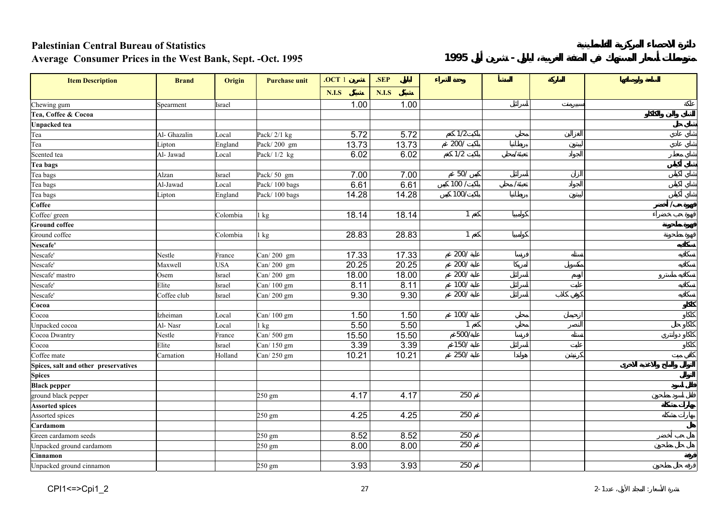| <b>Item Description</b>              | <b>Brand</b> | Origin     | <b>Purchase unit</b> | .0CT <sub>1</sub> | .SEP  |                  |  |  |
|--------------------------------------|--------------|------------|----------------------|-------------------|-------|------------------|--|--|
|                                      |              |            |                      | N.I.S             | N.I.S |                  |  |  |
| Chewing gum                          | Spearment    | Israel     |                      | 1.00              | 1.00  |                  |  |  |
| Tea, Coffee & Cocoa                  |              |            |                      |                   |       |                  |  |  |
| <b>Unpacked</b> tea                  |              |            |                      |                   |       |                  |  |  |
| Tea                                  | Al- Ghazalin | Local      | Pack/2/1 kg          | 5.72              | 5.72  | $\overline{1/2}$ |  |  |
| Tea                                  | Lipton       | England    | Pack/200 gm          | 13.73             | 13.73 | 200/             |  |  |
| Scented tea                          | Al- Jawad    | Local      | Pack/1/2 kg          | 6.02              | 6.02  | 1/2              |  |  |
| Tea bags                             |              |            |                      |                   |       |                  |  |  |
| Tea bags                             | Alzan        | Israel     | Pack/50 gm           | 7.00              | 7.00  | 50/              |  |  |
| Tea bags                             | Al-Jawad     | Local      | Pack/100 bags        | 6.61              | 6.61  | 100/             |  |  |
| Tea bags                             | Lipton       | England    | Pack/100 bags        | 14.28             | 14.28 | 100/             |  |  |
| Coffee                               |              |            |                      |                   |       |                  |  |  |
| Coffee/ green                        |              | Colombia   | l kg                 | 18.14             | 18.14 | $\mathbf{1}$     |  |  |
| <b>Ground coffee</b>                 |              |            |                      |                   |       |                  |  |  |
| Ground coffee                        |              | Colombia   | l kg                 | 28.83             | 28.83 | $\mathbf{1}$     |  |  |
| Nescafe'                             |              |            |                      |                   |       |                  |  |  |
| Nescafe'                             | Nestle       | France     | Can/200 gm           | 17.33             | 17.33 | 200/             |  |  |
| Nescafe'                             | Maxwell      | <b>USA</b> | Can/200 gm           | 20.25             | 20.25 | 200/             |  |  |
| Nescafe' mastro                      | Osem         | Israel     | Can/200 gm           | 18.00             | 18.00 | 200/             |  |  |
| Nescafe'                             | Elite        | Israel     | Can/100 gm           | 8.11              | 8.11  | 100/             |  |  |
| Nescafe'                             | Coffee club  | Israel     | Can/200 gm           | 9.30              | 9.30  | 200/             |  |  |
| Cocoa                                |              |            |                      |                   |       |                  |  |  |
| Cocoa                                | Izheiman     | Local      | Can/100 gm           | 1.50              | 1.50  | 100/             |  |  |
| Unpacked cocoa                       | Al-Nasr      | Local      | $1 \text{ kg}$       | 5.50              | 5.50  | $\overline{1}$   |  |  |
| Cocoa Dwantry                        | Nestle       | France     | Can/ 500 gm          | 15.50             | 15.50 | 500/             |  |  |
| Cocoa                                | Elite        | Israel     | Can/150 gm           | 3.39              | 3.39  | 150/             |  |  |
| Coffee mate                          | Carnation    | Holland    | Can/250 gm           | 10.21             | 10.21 | 250/             |  |  |
| Spices, salt and other preservatives |              |            |                      |                   |       |                  |  |  |
| <b>Spices</b>                        |              |            |                      |                   |       |                  |  |  |
| <b>Black pepper</b>                  |              |            |                      |                   |       |                  |  |  |
| ground black pepper                  |              |            | 250 gm               | 4.17              | 4.17  | 250              |  |  |
| <b>Assorted spices</b>               |              |            |                      |                   |       |                  |  |  |
| Assorted spices                      |              |            | 250 gm               | 4.25              | 4.25  | 250              |  |  |
| Cardamom                             |              |            |                      |                   |       |                  |  |  |
| Green cardamom seeds                 |              |            | 250 gm               | 8.52              | 8.52  | 250              |  |  |
| Unpacked ground cardamom             |              |            | 250 gm               | 8.00              | 8.00  | 250              |  |  |
| Cinnamon                             |              |            |                      |                   |       |                  |  |  |
| Unpacked ground cinnamon             |              |            | 250 gm               | 3.93              | 3.93  | 250              |  |  |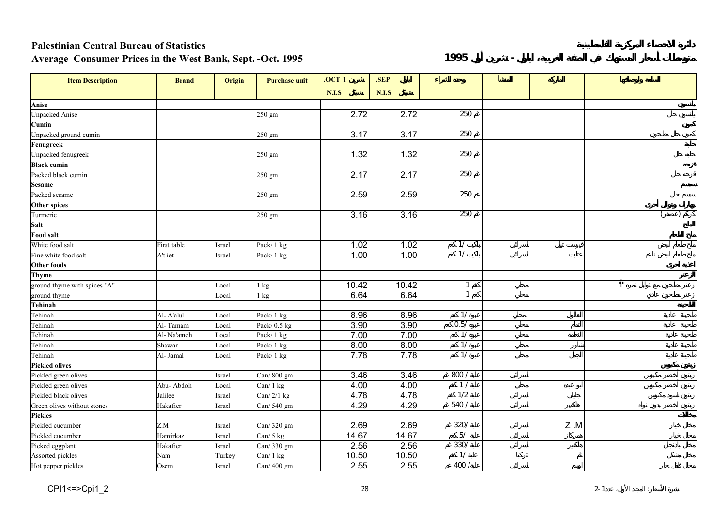| <b>Item Description</b>      | <b>Brand</b> | Origin | <b>Purchase unit</b>            | <b>.OCT</b> 1 | .SEP  |                 |     |              |
|------------------------------|--------------|--------|---------------------------------|---------------|-------|-----------------|-----|--------------|
|                              |              |        |                                 | N.I.S         | N.I.S |                 |     |              |
| Anise                        |              |        |                                 |               |       |                 |     |              |
| <b>Unpacked Anise</b>        |              |        | 250 gm                          | 2.72          | 2.72  | 250             |     |              |
| Cumin                        |              |        |                                 |               |       |                 |     |              |
| Unpacked ground cumin        |              |        | 250 gm                          | 3.17          | 3.17  | 250             |     |              |
| Fenugreek                    |              |        |                                 |               |       |                 |     |              |
| Unpacked fenugreek           |              |        | 250 gm                          | 1.32          | 1.32  | 250             |     |              |
| <b>Black cumin</b>           |              |        |                                 |               |       |                 |     |              |
| Packed black cumin           |              |        | 250 gm                          | 2.17          | 2.17  | 250             |     |              |
| <b>Sesame</b>                |              |        |                                 |               |       |                 |     |              |
| Packed sesame                |              |        | 250 gm                          | 2.59          | 2.59  | 250             |     |              |
| Other spices                 |              |        |                                 |               |       |                 |     |              |
| Turmeric                     |              |        | 250 gm                          | 3.16          | 3.16  | 250             |     |              |
| <b>Salt</b>                  |              |        |                                 |               |       |                 |     |              |
| <b>Food salt</b>             |              |        |                                 |               |       |                 |     |              |
| White food salt              | First table  | Israel | Pack/1 kg                       | 1.02          | 1.02  | 1/              |     |              |
| Fine white food salt         | A'tliet      | Israel | Pack/1 kg                       | 1.00          | 1.00  | 1/              |     |              |
| <b>Other foods</b>           |              |        |                                 |               |       |                 |     |              |
| <b>Thyme</b>                 |              |        |                                 |               |       |                 |     |              |
| ground thyme with spices "A" |              | Local  | l kg                            | 10.42         | 10.42 | $\mathbf{1}$    |     | $\mathbf{u}$ |
| ground thyme                 |              | Local  | l kg                            | 6.64          | 6.64  | $\mathbf{1}$    |     |              |
| Tehinah                      |              |        |                                 |               |       |                 |     |              |
| Tehinah                      | Al- A'alul   | Local  | Pack/1 kg                       | 8.96          | 8.96  | 1/              |     |              |
| Tehinah                      | Al-Tamam     | Local  | Pack/ 0.5 kg                    | 3.90          | 3.90  | 0.5/            |     |              |
| Tehinah                      | Al- Na'ameh  | Local  | Pack/1 kg                       | 7.00          | 7.00  | 1/              |     |              |
| Tehinah                      | Shawar       | Local  | Pack/1 kg                       | 8.00          | 8.00  | 1/              |     |              |
| Tehinah                      | Al- Jamal    | Local  | Pack/1 kg                       | 7.78          | 7.78  | 1/              |     |              |
| <b>Pickled olives</b>        |              |        |                                 |               |       |                 |     |              |
| Pickled green olives         |              | Israel | Can/800 gm                      | 3.46          | 3.46  | 800/            |     |              |
| Pickled green olives         | Abu- Abdoh   | Local  | Can/ 1 kg                       | 4.00          | 4.00  | 1/              |     |              |
| Pickled black olives         | Jalilee      | Israel | $\overline{\text{Can/ 2/1 kg}}$ | 4.78          | 4.78  | 1/2             |     |              |
| Green olives without stones  | Hakafier     | Israel | Can/ 540 gm                     | 4.29          | 4.29  | 540/            |     |              |
| <b>Pickles</b>               |              |        |                                 |               |       |                 |     |              |
| Pickled cucumber             | Z.M          | Israel | Can/ 320 gm                     | 2.69          | 2.69  | 320/            | Z.M |              |
| Pickled cucumber             | Hamirkaz     | Israel | Can/ 5 kg                       | 14.67         | 14.67 | $\overline{5/}$ |     |              |
| Picked eggplant              | Hakafier     | Israel | Can/ 330 gm                     | 2.56          | 2.56  | 330/            |     |              |
| Assorted pickles             | Nam          | Turkey | Can/ 1 kg                       | 10.50         | 10.50 | 1/              |     |              |
| Hot pepper pickles           | Osem         | Israel | Can/ 400 gm                     | 2.55          | 2.55  | 400/            |     |              |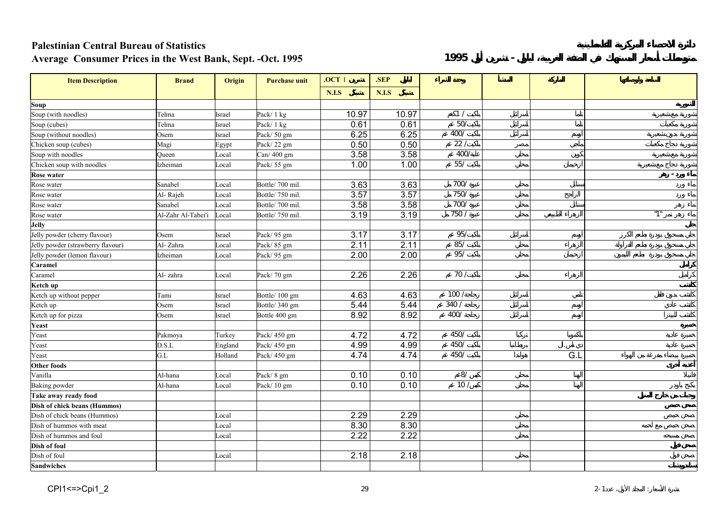| <b>Item Description</b>           | <b>Brand</b>       | <b>Origin</b> | <b>Purchase unit</b> | .0CT <sub>1</sub> | .SEP  |       |                           |                          |
|-----------------------------------|--------------------|---------------|----------------------|-------------------|-------|-------|---------------------------|--------------------------|
|                                   |                    |               |                      | N.I.S             | N.I.S |       |                           |                          |
| Soup                              |                    |               |                      |                   |       |       |                           |                          |
| Soup (with noodles)               | Telma              | Israel        | Pack/1 kg            | 10.97             | 10.97 | 1/    |                           |                          |
| Soup (cubes)                      | Telma              | Israel        | Pack/1 kg            | 0.61              | 0.61  | 50/   |                           |                          |
| Soup (without noodles)            | Osem               | Israel        | Pack/50 gm           | 6.25              | 6.25  | 400/  |                           |                          |
| Chicken soup (cubes)              | Magi               | Egypt         | Pack/22 gm           | 0.50              | 0.50  | 22/   |                           |                          |
| Soup with noodles                 | Oueen              | Local         | Can/ 400 gm          | 3.58              | 3.58  | 400/  |                           |                          |
| Chicken soup with noodles         | Izheiman           | Local         | Pack/55 gm           | 1.00              | 1.00  | 55/   |                           |                          |
| <b>Rose water</b>                 |                    |               |                      |                   |       |       |                           | $\overline{\phantom{a}}$ |
| Rose water                        | Sanabel            | Local         | Bottle/700 mil.      | 3.63              | 3.63  | 700/  |                           |                          |
| Rose water                        | Al-Rajeh           | Local         | Bottle/750 mil.      | 3.57              | 3.57  | 750/  |                           |                          |
| Rose water                        | Sanabel            | Local         | Bottle/700 mil.      | 3.58              | 3.58  | 700/  |                           |                          |
| Rose water                        | Al-Zahr Al-Tabei'i | Local         | Bottle/750 mil.      | 3.19              | 3.19  | 750 / |                           | "1"                      |
| <b>Jelly</b>                      |                    |               |                      |                   |       |       |                           |                          |
| Jelly powder (cherry flavour)     | Osem               | Israel        | Pack/95 gm           | 3.17              | 3.17  | 95/   |                           |                          |
| Jelly powder (strawberry flavour) | Al-Zahra           | Local         | Pack/85 gm           | 2.11              | 2.11  | 85/   |                           |                          |
| Jelly powder (lemon flavour)      | Izheiman           | Local         | Pack/95 gm           | 2.00              | 2.00  | 95/   |                           |                          |
| Caramel                           |                    |               |                      |                   |       |       |                           |                          |
| Caramel                           | Al-zahra           | Local         | Pack/70 gm           | 2.26              | 2.26  | 70/   |                           |                          |
| Ketch up                          |                    |               |                      |                   |       |       |                           |                          |
| Ketch up without pepper           | Tami               | Israel        | Bottle/100 gm        | 4.63              | 4.63  | 100/  |                           |                          |
| Ketch up                          | )sem               | Israel        | Bottle/340 gm        | 5.44              | 5.44  | 340/  |                           |                          |
| Ketch up for pizza                | Osem               | Israel        | Bottle 400 gm        | 8.92              | 8.92  | 400/  |                           |                          |
| Yeast                             |                    |               |                      |                   |       |       |                           |                          |
| Yeast                             | Pakmoya            | Turkey        | Pack/450 gm          | 4.72              | 4.72  | 450/  |                           |                          |
| Yeast                             | D.S.L              | England       | Pack/450 gm          | 4.99              | 4.99  | 450/  | $\mathbf{r} = \mathbf{r}$ |                          |
| Yeast                             | GL                 | Holland       | Pack/ 450 gm         | 4.74              | 4.74  | 450/  | G.L                       |                          |
| <b>Other foods</b>                |                    |               |                      |                   |       |       |                           |                          |
| Vanilla                           | Al-hana            | Local         | Pack/8 gm            | 0.10              | 0.10  | 8/    |                           |                          |
| Baking powder                     | Al-hana            | Local         | Pack/10 gm           | 0.10              | 0.10  | 10/   |                           |                          |
| Take away ready food              |                    |               |                      |                   |       |       |                           |                          |
| Dish of chick beans (Hummos)      |                    |               |                      |                   |       |       |                           |                          |
| Dish of chick beans (Hummos)      |                    | Local         |                      | 2.29              | 2.29  |       |                           |                          |
| Dish of hummos with meat          |                    | Local         |                      | 8.30              | 8.30  |       |                           |                          |
| Dish of hummos and foul           |                    | Local         |                      | 2.22              | 2.22  |       |                           |                          |
| <b>Dish of foul</b>               |                    |               |                      |                   |       |       |                           |                          |
| Dish of foul                      |                    | Local         |                      | 2.18              | 2.18  |       |                           |                          |
| <b>Sandwiches</b>                 |                    |               |                      |                   |       |       |                           |                          |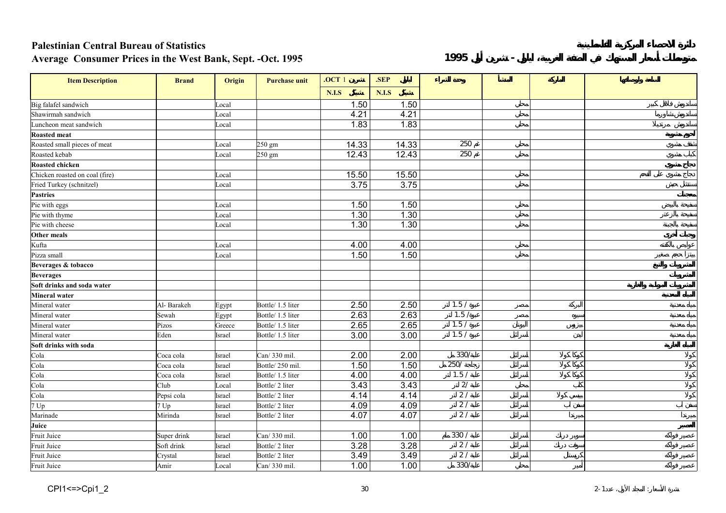<span id="page-26-0"></span>

| <b>Item Description</b>        | <b>Brand</b> | Origin | <b>Purchase unit</b> | .0CT <sub>1</sub> | .SEP  |                  |  |  |
|--------------------------------|--------------|--------|----------------------|-------------------|-------|------------------|--|--|
|                                |              |        |                      | N.I.S             | N.I.S |                  |  |  |
| Big falafel sandwich           |              | Local  |                      | 1.50              | 1.50  |                  |  |  |
| Shawirmah sandwich             |              | Local  |                      | 4.21              | 4.21  |                  |  |  |
| Luncheon meat sandwich         |              | Local  |                      | 1.83              | 1.83  |                  |  |  |
| <b>Roasted meat</b>            |              |        |                      |                   |       |                  |  |  |
| Roasted small pieces of meat   |              | Local  | 250 gm               | 14.33             | 14.33 | 250              |  |  |
| Roasted kebab                  |              | Local  | 250 gm               | 12.43             | 12.43 | 250              |  |  |
| <b>Roasted chicken</b>         |              |        |                      |                   |       |                  |  |  |
| Chicken roasted on coal (fire) |              | Local  |                      | 15.50             | 15.50 |                  |  |  |
| Fried Turkey (schnitzel)       |              | Local  |                      | 3.75              | 3.75  |                  |  |  |
| <b>Pastries</b>                |              |        |                      |                   |       |                  |  |  |
| Pie with eggs                  |              | Local  |                      | 1.50              | 1.50  |                  |  |  |
| Pie with thyme                 |              | Local  |                      | 1.30              | 1.30  |                  |  |  |
| Pie with cheese                |              | Local  |                      | 1.30              | 1.30  |                  |  |  |
| Other meals                    |              |        |                      |                   |       |                  |  |  |
| Kufta                          |              | Local  |                      | 4.00              | 4.00  |                  |  |  |
| Pizza small                    |              | Local  |                      | 1.50              | 1.50  |                  |  |  |
| Beverages & tobacco            |              |        |                      |                   |       |                  |  |  |
| <b>Beverages</b>               |              |        |                      |                   |       |                  |  |  |
| Soft drinks and soda water     |              |        |                      |                   |       |                  |  |  |
| Mineral water                  |              |        |                      |                   |       |                  |  |  |
| Mineral water                  | Al-Barakeh   | Egypt  | Bottle/ 1.5 liter    | 2.50              | 2.50  | 1.5/             |  |  |
| Mineral water                  | Sewah        | Egypt  | Bottle/ 1.5 liter    | 2.63              | 2.63  | 1.5/             |  |  |
| Mineral water                  | Pizos        | Greece | Bottle/ 1.5 liter    | 2.65              | 2.65  | 1.5/             |  |  |
| Mineral water                  | Eden         | Israel | Bottle/ 1.5 liter    | 3.00              | 3.00  | 1.5/             |  |  |
| Soft drinks with soda          |              |        |                      |                   |       |                  |  |  |
| Cola                           | Coca cola    | Israel | Can/ 330 mil.        | 2.00              | 2.00  | 330/             |  |  |
| Cola                           | Coca cola    | Israel | Bottle/250 mil       | 1.50              | 1.50  | 250/             |  |  |
| Cola                           | Coca cola    | Israel | Bottle/ 1.5 liter    | 4.00              | 4.00  | 1.5/             |  |  |
| Cola                           | Club         | Local  | Bottle/ 2 liter      | 3.43              | 3.43  | 2/               |  |  |
| Cola                           | Pepsi cola   | Israel | Bottle/ 2 liter      | 4.14              | 4.14  | 2/               |  |  |
| $\overline{7}$ Up              | 7 Up         | Israel | Bottle/ 2 liter      | 4.09              | 4.09  | 2/               |  |  |
| Marinade                       | Mirinda      | Israel | Bottle/ 2 liter      | 4.07              | 4.07  | 2/               |  |  |
| Juice                          |              |        |                      |                   |       |                  |  |  |
| Fruit Juice                    | Super drink  | Israel | Can/ 330 mil.        | 1.00              | 1.00  | 330/             |  |  |
| Fruit Juice                    | Soft drink   | Israel | Bottle/ 2 liter      | 3.28              | 3.28  | 2/               |  |  |
| Fruit Juice                    | Crystal      | Israel | Bottle/ 2 liter      | 3.49              | 3.49  | $\overline{2}$ / |  |  |
| Fruit Juice                    | Amir         | Local  | Can/ 330 mil.        | 1.00              | 1.00  | 330/             |  |  |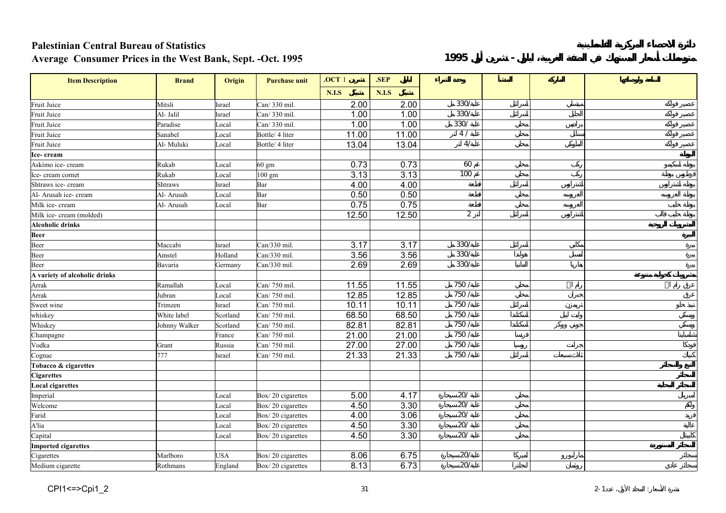| <b>Item Description</b>       | <b>Brand</b>  | <b>Origin</b> | <b>Purchase unit</b> | <b>.OCT 1</b> | SEP   |                |  |  |
|-------------------------------|---------------|---------------|----------------------|---------------|-------|----------------|--|--|
|                               |               |               |                      | N.I.S         | N.I.S |                |  |  |
| Fruit Juice                   | Mitsli        | Israel        | Can/ 330 mil.        | 2.00          | 2.00  | 330/           |  |  |
| Fruit Juice                   | Al- Jalil     | Israel        | Can/ 330 mil.        | 1.00          | 1.00  | 330/           |  |  |
| Fruit Juice                   | Paradise      | Local         | Can/ 330 mil.        | 1.00          | 1.00  | 330/           |  |  |
| Fruit Juice                   | Sanabel       | Local         | Bottle/ 4 liter      | 11.00         | 11.00 | 4/             |  |  |
| Fruit Juice                   | Al- Muluki    | Local         | Bottle/ 4 liter      | 13.04         | 13.04 | 4/             |  |  |
| Ice- cream                    |               |               |                      |               |       |                |  |  |
| Askimo ice- cream             | Rukab         | Local         | $60 \text{ gm}$      | 0.73          | 0.73  | 60             |  |  |
| Ice-cream cornet              | Rukab         | Local         | 100 gm               | 3.13          | 3.13  | 100            |  |  |
| Shtraws ice-cream             | Shtraws       | Israel        | Bar                  | 4.00          | 4.00  |                |  |  |
| Al- Arusah ice- cream         | Al- Arusah    | Local         | Bar                  | 0.50          | 0.50  |                |  |  |
| Milk ice-cream                | Al- Arusah    | Local         | Bar                  | 0.75          | 0.75  |                |  |  |
| Milk ice- cream (molded)      |               |               |                      | 12.50         | 12.50 | $\overline{2}$ |  |  |
| <b>Alcoholic drinks</b>       |               |               |                      |               |       |                |  |  |
| Beer                          |               |               |                      |               |       |                |  |  |
| Beer                          | Maccabi       | Israel        | Can/330 mil.         | 3.17          | 3.17  | 330/           |  |  |
| Beer                          | Amstel        | Holland       | Can/330 mil.         | 3.56          | 3.56  | 330/           |  |  |
| Beer                          | Bavaria       | Germany       | Can/330 mil.         | 2.69          | 2.69  | 330/           |  |  |
| A variety of alcoholic drinks |               |               |                      |               |       |                |  |  |
| Arrak                         | Ramallah      | Local         | Can/ 750 mil.        | 11.55         | 11.55 | 750 /          |  |  |
| Arrak                         | Jubran        | Local         | Can/ 750 mil.        | 12.85         | 12.85 | 750 /          |  |  |
| Sweet wine                    | Trimzen       | Israel        | Can/ 750 mil.        | 10.11         | 10.11 | 750 /          |  |  |
| whiskey                       | White label   | Scotland      | Can/ 750 mil.        | 68.50         | 68.50 | 750/           |  |  |
| Whiskey                       | Johnny Walker | Scotland      | Can/ 750 mil.        | 82.81         | 82.81 | 750 /          |  |  |
| Champagne                     |               | France        | Can/ 750 mil.        | 21.00         | 21.00 | 750/           |  |  |
| Vodka                         | Grant         | Russia        | Can/ 750 mil.        | 27.00         | 27.00 | 750 /          |  |  |
| Cognac                        | 777           | Israel        | Can/ 750 mil.        | 21.33         | 21.33 | 750 /          |  |  |
| Tobacco & cigarettes          |               |               |                      |               |       |                |  |  |
| <b>Cigarettes</b>             |               |               |                      |               |       |                |  |  |
| <b>Local cigarettes</b>       |               |               |                      |               |       |                |  |  |
| Imperial                      |               | Local         | Box/20 cigarettes    | 5.00          | 4.17  | 20/            |  |  |
| Welcome                       |               | Local         | Box/20 cigarettes    | 4.50          | 3.30  | 20/            |  |  |
| Farid                         |               | Local         | Box/20 cigarettes    | 4.00          | 3.06  | 20/            |  |  |
| A'lia                         |               | Local         | Box/20 cigarettes    | 4.50          | 3.30  | 20/            |  |  |
| Capital                       |               | Local         | Box/20 cigarettes    | 4.50          | 3.30  | 20/            |  |  |
| <b>Imported cigarettes</b>    |               |               |                      |               |       |                |  |  |
| Cigarettes                    | Marlboro      | <b>USA</b>    | Box/20 cigarettes    | 8.06          | 6.75  | 20/            |  |  |
| Medium cigarette              | Rothmans      | England       | Box/20 cigarettes    | 8.13          | 6.73  | 20/            |  |  |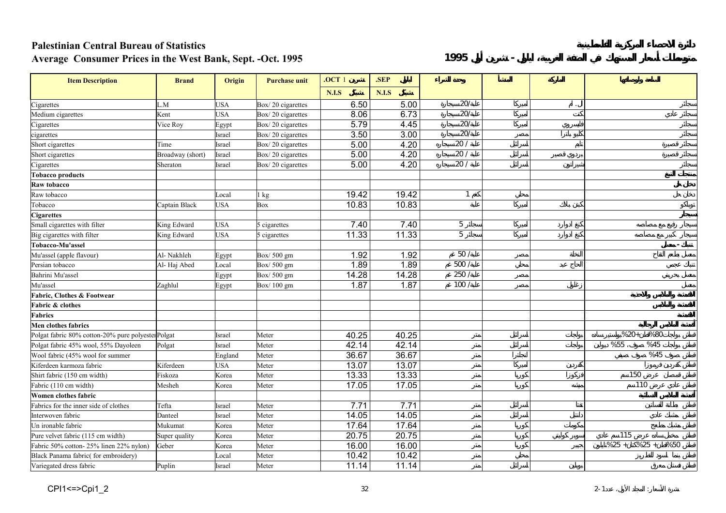<span id="page-28-0"></span>

| <b>Item Description</b>                            | <b>Brand</b>     | <b>Origin</b> | <b>Purchase unit</b> | <b>.OCT 1</b> | SEP   |                |         |         |                          |
|----------------------------------------------------|------------------|---------------|----------------------|---------------|-------|----------------|---------|---------|--------------------------|
|                                                    |                  |               |                      | N.I.S         | N.I.S |                |         |         |                          |
| Cigarettes                                         | L.M              | <b>USA</b>    | Box/20 cigarettes    | 6.50          | 5.00  | 20/            | $\cdot$ |         |                          |
| Medium cigarettes                                  | Kent             | <b>USA</b>    | Box/20 cigarettes    | 8.06          | 6.73  | 20/            |         |         |                          |
| Cigarettes                                         | Vice Roy         | Egypt         | Box/20 cigarettes    | 5.79          | 4.45  | 20/            |         |         |                          |
| cigarettes                                         |                  | Israel        | Box/20 cigarettes    | 3.50          | 3.00  | 20/            |         |         |                          |
| Short cigarettes                                   | Time             | Israel        | Box/20 cigarettes    | 5.00          | 4.20  | 20/            |         |         |                          |
| Short cigarettes                                   | Broadway (short) | Israel        | Box/20 cigarettes    | 5.00          | 4.20  | 20/            |         |         |                          |
| Cigarettes                                         | Sheraton         | Israel        | Box/20 cigarettes    | 5.00          | 4.20  | 20/            |         |         |                          |
| <b>Tobacco products</b>                            |                  |               |                      |               |       |                |         |         |                          |
| Raw tobacco                                        |                  |               |                      |               |       |                |         |         |                          |
| Raw tobacco                                        |                  | Local         | 1 kg                 | 19.42         | 19.42 | $\mathbf{1}$   |         |         |                          |
| Tobacco                                            | Captain Black    | <b>USA</b>    | Box                  | 10.83         | 10.83 |                |         |         |                          |
| <b>Cigarettes</b>                                  |                  |               |                      |               |       |                |         |         |                          |
| Small cigarettes with filter                       | King Edward      | <b>USA</b>    | 5 cigarettes         | 7.40          | 7.40  | 5              |         |         |                          |
| Big cigarettes with filter                         | King Edward      | <b>USA</b>    | 5 cigarettes         | 11.33         | 11.33 | $\overline{5}$ |         |         |                          |
| Tobacco-Mu'assel                                   |                  |               |                      |               |       |                |         |         | $\overline{\phantom{a}}$ |
| Mu'assel (apple flavour)                           | Al- Nakhleh      | Egypt         | Box/500 gm           | 1.92          | 1.92  | 50/            |         |         |                          |
| Persian tobacco                                    | Al-Haj Abed      | Local         | Box/500 gm           | 1.89          | 1.89  | 500/           |         |         |                          |
| Bahrini Mu'assel                                   |                  | Egypt         | Box/500 gm           | 14.28         | 14.28 | 250/           |         |         |                          |
| Mu'assel                                           | Zaghlul          | Egypt         | Box/100 gm           | 1.87          | 1.87  | 100/           |         |         |                          |
| Fabric, Clothes & Footwear                         |                  |               |                      |               |       |                |         |         |                          |
| <b>Fabric &amp; clothes</b>                        |                  |               |                      |               |       |                |         |         |                          |
| <b>Fabrics</b>                                     |                  |               |                      |               |       |                |         |         |                          |
| Men clothes fabrics                                |                  |               |                      |               |       |                |         |         |                          |
| Polgat fabric 80% cotton-20% pure polyester Polgat |                  | Israel        | Meter                | 40.25         | 40.25 |                |         | $%20+$  | %80                      |
| Polgat fabric 45% wool, 55% Dayoleen               | Polgat           | Israel        | Meter                | 42.14         | 42.14 |                |         | %55     | %45                      |
| Wool fabric (45% wool for summer                   |                  | England       | Meter                | 36.67         | 36.67 |                |         |         | %45                      |
| Kiferdeen karmoza fabric                           | Kiferdeen        | <b>USA</b>    | Meter                | 13.07         | 13.07 |                |         |         |                          |
| Shirt fabric (150 cm width)                        | Fiskoza          | Korea         | Meter                | 13.33         | 13.33 |                |         | 150     |                          |
| Fabric (110 cm width)                              | Mesheh           | Korea         | Meter                | 17.05         | 17.05 |                |         |         | 110                      |
| Women clothes fabric                               |                  |               |                      |               |       |                |         |         |                          |
| Fabrics for the inner side of clothes              | Tefta            | Israel        | Meter                | 7.71          | 7.71  |                |         |         |                          |
| Interwoven fabric                                  | Danteel          | Israel        | Meter                | 14.05         | 14.05 |                |         |         |                          |
| Un ironable fabric                                 | Mukumat          | Korea         | Meter                | 17.64         | 17.64 |                |         |         |                          |
| Pure velvet fabric (115 cm width)                  | Super quality    | Korea         | Meter                | 20.75         | 20.75 |                |         | 115     |                          |
| Fabric 50% cotton-25% linen 22% nylon)             | Geber            | Korea         | Meter                | 16.00         | 16.00 |                |         | $%25 +$ | $%25 +$<br>%50           |
| Black Panama fabric( for embroidery)               |                  | Local         | Meter                | 10.42         | 10.42 |                |         |         |                          |
| Variegated dress fabric                            | Puplin           | Israel        | Meter                | 11.14         | 11.14 |                |         |         |                          |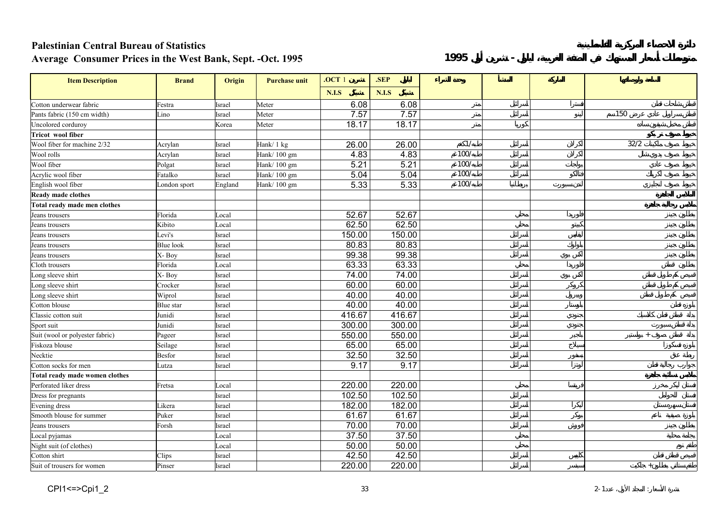| <b>Item Description</b>         | <b>Brand</b>     | <b>Origin</b> | <b>Purchase unit</b> | <b>.OCT 1</b> | SEP    |      |  |        |
|---------------------------------|------------------|---------------|----------------------|---------------|--------|------|--|--------|
|                                 |                  |               |                      | N.I.S         | N.I.S  |      |  |        |
| Cotton underwear fabric         | Festra           | Israel        | Meter                | 6.08          | 6.08   |      |  |        |
| Pants fabric (150 cm width)     | .ino             | Israel        | Meter                | 7.57          | 7.57   |      |  | 150    |
| Uncolored corduroy              |                  | Korea         | Meter                | 18.17         | 18.17  |      |  |        |
| <b>Tricot wool fiber</b>        |                  |               |                      |               |        |      |  |        |
| Wool fiber for machine 2/32     | Acrylan          | Israel        | Hank/ 1 kg           | 26.00         | 26.00  | 1/   |  | 32/2   |
| Wool rolls                      | Acrylan          | Israel        | Hank/100 gm          | 4.83          | 4.83   | 100/ |  |        |
| Wool fiber                      | Polgat           | Israel        | Hank/100 gm          | 5.21          | 5.21   | 100/ |  |        |
| Acrylic wool fiber              | Fatalko          | Israel        | Hank/100 gm          | 5.04          | 5.04   | 100/ |  |        |
| English wool fiber              | London sport     | England       | Hank/100 gm          | 5.33          | 5.33   | 100/ |  |        |
| <b>Ready made clothes</b>       |                  |               |                      |               |        |      |  |        |
| Total ready made men clothes    |                  |               |                      |               |        |      |  |        |
| Jeans trousers                  | Florida          | Local         |                      | 52.67         | 52.67  |      |  |        |
| Jeans trousers                  | Kibito           | Local         |                      | 62.50         | 62.50  |      |  |        |
| Jeans trousers                  | Levi's           | Israel        |                      | 150.00        | 150.00 |      |  |        |
| Jeans trousers                  | <b>Blue look</b> | Israel        |                      | 80.83         | 80.83  |      |  |        |
| Jeans trousers                  | X-Boy            | Israel        |                      | 99.38         | 99.38  |      |  |        |
| Cloth trousers                  | Florida          | Local         |                      | 63.33         | 63.33  |      |  |        |
| Long sleeve shirt               | X-Boy            | Israel        |                      | 74.00         | 74.00  |      |  |        |
| Long sleeve shirt               | Crocker          | Israel        |                      | 60.00         | 60.00  |      |  |        |
| Long sleeve shirt               | Wiprol           | Israel        |                      | 40.00         | 40.00  |      |  |        |
| Cotton blouse                   | Blue star        | Israel        |                      | 40.00         | 40.00  |      |  |        |
| Classic cotton suit             | Junidi           | Israel        |                      | 416.67        | 416.67 |      |  |        |
| Sport suit                      | Junidi           | Israel        |                      | 300.00        | 300.00 |      |  |        |
| Suit (wool or polyester fabric) | Pageer           | Israel        |                      | 550.00        | 550.00 |      |  | $^{+}$ |
| Fiskoza blouse                  | Seilage          | Israel        |                      | 65.00         | 65.00  |      |  |        |
| Necktie                         | Besfor           | Israel        |                      | 32.50         | 32.50  |      |  |        |
| Cotton socks for men            | Lutza            | Israel        |                      | 9.17          | 9.17   |      |  |        |
| Total ready made women clothes  |                  |               |                      |               |        |      |  |        |
| Perforated liker dress          | Fretsa           | Local         |                      | 220.00        | 220.00 |      |  |        |
| Dress for pregnants             |                  | Israel        |                      | 102.50        | 102.50 |      |  |        |
| Evening dress                   | Likera           | Israel        |                      | 182.00        | 182.00 |      |  |        |
| Smooth blouse for summer        | Puker            | Israel        |                      | 61.67         | 61.67  |      |  |        |
| Jeans trousers                  | Forsh            | Israel        |                      | 70.00         | 70.00  |      |  |        |
| Local pyjamas                   |                  | Local         |                      | 37.50         | 37.50  |      |  |        |
| Night suit (of clothes)         |                  | Local         |                      | 50.00         | 50.00  |      |  |        |
| Cotton shirt                    | Clips            | Israel        |                      | 42.50         | 42.50  |      |  |        |
| Suit of trousers for women      | Pinser           | Israel        |                      | 220.00        | 220.00 |      |  | $+$    |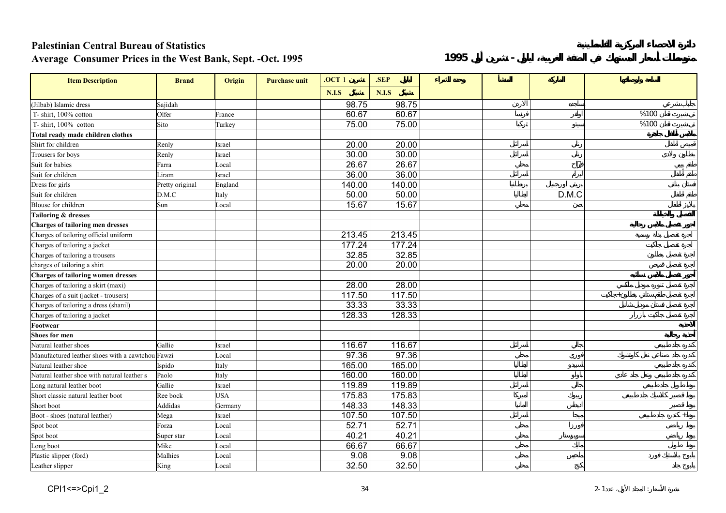| <b>Item Description</b>                          | <b>Brand</b>    | Origin     | <b>Purchase unit</b> | <b>.OCT 1</b> | .SEP   |  |       |        |
|--------------------------------------------------|-----------------|------------|----------------------|---------------|--------|--|-------|--------|
|                                                  |                 |            |                      | N.I.S         | N.I.S  |  |       |        |
| (Jilbab) Islamic dress                           | Sajidah         |            |                      | 98.75         | 98.75  |  |       |        |
| T-shirt, 100% cotton                             | Olfer           | France     |                      | 60.67         | 60.67  |  |       | %100   |
| T-shirt, 100% cotton                             | Sito            | Turkey     |                      | 75.00         | 75.00  |  |       | %100   |
| Total ready made children clothes                |                 |            |                      |               |        |  |       |        |
| Shirt for children                               | Renly           | Israel     |                      | 20.00         | 20.00  |  |       |        |
| Trousers for boys                                | Renly           | Israel     |                      | 30.00         | 30.00  |  |       |        |
| Suit for babies                                  | Farra           | Local      |                      | 26.67         | 26.67  |  |       |        |
| Suit for children                                | Liram           | Israel     |                      | 36.00         | 36.00  |  |       |        |
| Dress for girls                                  | Pretty original | England    |                      | 140.00        | 140.00 |  |       |        |
| Suit for children                                | D.M.C           | Italy      |                      | 50.00         | 50.00  |  | D.M.C |        |
| Blouse for children                              | Sun             | Local      |                      | 15.67         | 15.67  |  |       |        |
| Tailoring & dresses                              |                 |            |                      |               |        |  |       |        |
| Charges of tailoring men dresses                 |                 |            |                      |               |        |  |       |        |
| Charges of tailoring official uniform            |                 |            |                      | 213.45        | 213.45 |  |       |        |
| Charges of tailoring a jacket                    |                 |            |                      | 177.24        | 177.24 |  |       |        |
| Charges of tailoring a trousers                  |                 |            |                      | 32.85         | 32.85  |  |       |        |
| charges of tailoring a shirt                     |                 |            |                      | 20.00         | 20.00  |  |       |        |
| <b>Charges of tailoring women dresses</b>        |                 |            |                      |               |        |  |       |        |
| Charges of tailoring a skirt (maxi)              |                 |            |                      | 28.00         | 28.00  |  |       |        |
| Charges of a suit (jacket - trousers)            |                 |            |                      | 117.50        | 117.50 |  |       | $^{+}$ |
| Charges of tailoring a dress (shanil)            |                 |            |                      | 33.33         | 33.33  |  |       |        |
| Charges of tailoring a jacket                    |                 |            |                      | 128.33        | 128.33 |  |       |        |
| Footwear                                         |                 |            |                      |               |        |  |       |        |
| <b>Shoes for men</b>                             |                 |            |                      |               |        |  |       |        |
| Natural leather shoes                            | Gallie          | Israel     |                      | 116.67        | 116.67 |  |       |        |
| Manufactured leather shoes with a cawtchou Fawzi |                 | Local      |                      | 97.36         | 97.36  |  |       |        |
| Natural leather shoe                             | Ispido          | Italy      |                      | 165.00        | 165.00 |  |       |        |
| Natural leather shoe with natural leather s      | Paolo           | Italy      |                      | 160.00        | 160.00 |  |       |        |
| Long natural leather boot                        | Gallie          | Israel     |                      | 119.89        | 119.89 |  |       |        |
| Short classic natural leather boot               | Ree bock        | <b>USA</b> |                      | 175.83        | 175.83 |  |       |        |
| Short boot                                       | Addidas         | Germany    |                      | 148.33        | 148.33 |  |       |        |
| Boot - shoes (natural leather)                   | Mega            | Israel     |                      | 107.50        | 107.50 |  |       | $+$    |
| Spot boot                                        | Forza           | Local      |                      | 52.71         | 52.71  |  |       |        |
| Spot boot                                        | Super star      | Local      |                      | 40.21         | 40.21  |  |       |        |
| Long boot                                        | Mike            | Local      |                      | 66.67         | 66.67  |  |       |        |
| Plastic slipper (ford)                           | Malhies         | Local      |                      | 9.08          | 9.08   |  |       |        |
| Leather slipper                                  | King            | Local      |                      | 32.50         | 32.50  |  |       |        |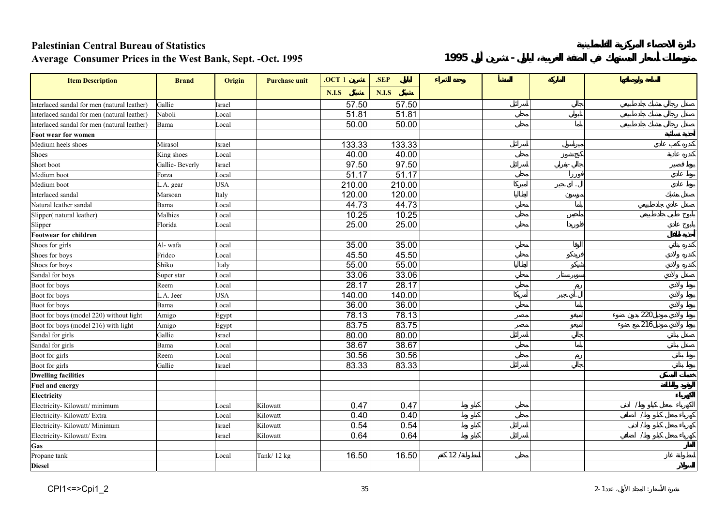<span id="page-31-0"></span>

| <b>Item Description</b>                     | <b>Brand</b>   | Origin     | <b>Purchase unit</b> | <b>.OCT 1</b> | .SEP   |     |                          |                  |
|---------------------------------------------|----------------|------------|----------------------|---------------|--------|-----|--------------------------|------------------|
|                                             |                |            |                      | N.I.S         | N.I.S  |     |                          |                  |
| Interlaced sandal for men (natural leather) | Gallie         | Israel     |                      | 57.50         | 57.50  |     |                          |                  |
| Interlaced sandal for men (natural leather) | Naboli         | Local      |                      | 51.81         | 51.81  |     |                          |                  |
| Interlaced sandal for men (natural leather) | Bama           | Local      |                      | 50.00         | 50.00  |     |                          |                  |
| Foot wear for women                         |                |            |                      |               |        |     |                          |                  |
| Medium heels shoes                          | Mirasol        | Israel     |                      | 133.33        | 133.33 |     |                          |                  |
| Shoes                                       | King shoes     | Local      |                      | 40.00         | 40.00  |     |                          |                  |
| Short boot                                  | Gallie-Beverly | Israel     |                      | 97.50         | 97.50  |     | $\overline{\phantom{a}}$ |                  |
| Medium boot                                 | Forza          | Local      |                      | 51.17         | 51.17  |     |                          |                  |
| Medium boot                                 | L.A. gear      | <b>USA</b> |                      | 210.00        | 210.00 |     | $\sim$ $\sim$            |                  |
| Interlaced sandal                           | Marsoan        | Italy      |                      | 120.00        | 120.00 |     |                          |                  |
| Natural leather sandal                      | Bama           | Local      |                      | 44.73         | 44.73  |     |                          |                  |
| Slipper(natural leather)                    | Malhies        | Local      |                      | 10.25         | 10.25  |     |                          |                  |
| Slipper                                     | Florida        | Local      |                      | 25.00         | 25.00  |     |                          |                  |
| <b>Footwear for children</b>                |                |            |                      |               |        |     |                          |                  |
| Shoes for girls                             | Al-wafa        | Local      |                      | 35.00         | 35.00  |     |                          |                  |
| Shoes for boys                              | Fridco         | Local      |                      | 45.50         | 45.50  |     |                          |                  |
| Shoes for boys                              | Shiko          | Italy      |                      | 55.00         | 55.00  |     |                          |                  |
| Sandal for boys                             | Super star     | Local      |                      | 33.06         | 33.06  |     |                          |                  |
| Boot for boys                               | Reem           | Local      |                      | 28.17         | 28.17  |     |                          |                  |
| Boot for boys                               | .A. Jeer       | <b>USA</b> |                      | 140.00        | 140.00 |     | $\sim$ $\sim$            |                  |
| Boot for boys                               | Bama           | Local      |                      | 36.00         | 36.00  |     |                          |                  |
| Boot for boys (model 220) without light     | Amigo          | Egypt      |                      | 78.13         | 78.13  |     |                          | $\overline{220}$ |
| Boot for boys (model 216) with light        | Amigo          | Egypt      |                      | 83.75         | 83.75  |     |                          | 216              |
| Sandal for girls                            | Gallie         | Israel     |                      | 80.00         | 80.00  |     |                          |                  |
| Sandal for girls                            | Bama           | Local      |                      | 38.67         | 38.67  |     |                          |                  |
| Boot for girls                              | Reem           | Local      |                      | 30.56         | 30.56  |     |                          |                  |
| Boot for girls                              | Gallie         | Israel     |                      | 83.33         | 83.33  |     |                          |                  |
| <b>Dwelling facilities</b>                  |                |            |                      |               |        |     |                          |                  |
| <b>Fuel and energy</b>                      |                |            |                      |               |        |     |                          |                  |
| Electricity                                 |                |            |                      |               |        |     |                          |                  |
| Electricity-Kilowatt/minimum                |                | Local      | Kilowatt             | 0.47          | 0.47   |     |                          |                  |
| Electricity-Kilowatt/Extra                  |                | Local      | Kilowatt             | 0.40          | 0.40   |     |                          |                  |
| Electricity-Kilowatt/Minimum                |                | Israel     | Kilowatt             | 0.54          | 0.54   |     |                          |                  |
| Electricity-Kilowatt/Extra                  |                | Israel     | Kilowatt             | 0.64          | 0.64   |     |                          |                  |
| Gas                                         |                |            |                      |               |        |     |                          |                  |
| Propane tank                                |                | Local      | Tank/12 kg           | 16.50         | 16.50  | 12/ |                          |                  |
| <b>Diesel</b>                               |                |            |                      |               |        |     |                          |                  |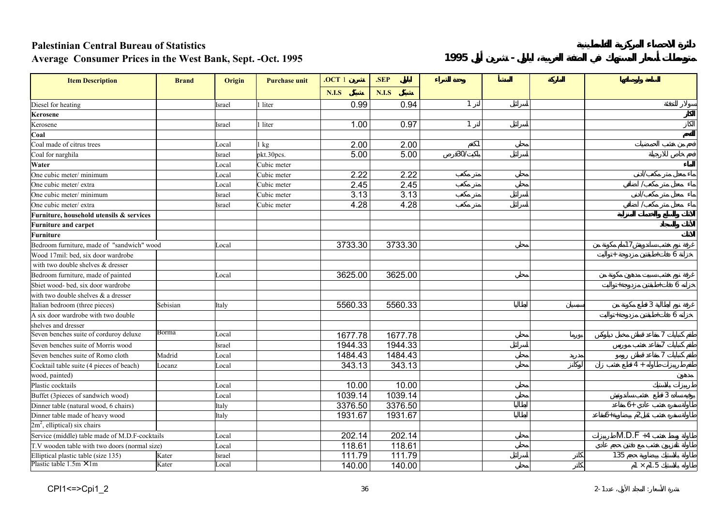<span id="page-32-0"></span>

| <b>Item Description</b>                        | <b>Brand</b> | <b>Origin</b> | <b>Purchase unit</b> | <b>.OCT 1</b> | .SEP    |              |  |             |                |
|------------------------------------------------|--------------|---------------|----------------------|---------------|---------|--------------|--|-------------|----------------|
|                                                |              |               |                      | N.I.S         | N.I.S   |              |  |             |                |
| Diesel for heating                             |              | Israel        | l liter              | 0.99          | 0.94    | $\mathbf{1}$ |  |             |                |
| Kerosene                                       |              |               |                      |               |         |              |  |             |                |
| Kerosene                                       |              | Israel        | 1 liter              | 1.00          | 0.97    | $\mathbf{1}$ |  |             |                |
| Coal                                           |              |               |                      |               |         |              |  |             |                |
| Coal made of citrus trees                      |              | Local         | 1 kg                 | 2.00          | 2.00    |              |  |             |                |
| Coal for narghila                              |              | Israel        | pkt.30pcs.           | 5.00          | 5.00    | 30/          |  |             |                |
| Water                                          |              | Local         | Cubic meter          |               |         |              |  |             |                |
| One cubic meter/minimum                        |              | Local         | Cubic meter          | 2.22          | 2.22    |              |  |             |                |
| One cubic meter/extra                          |              | Local         | Cubic meter          | 2.45          | 2.45    |              |  |             |                |
| One cubic meter/minimum                        |              | Israel        | Cubic meter          | 3.13          | 3.13    |              |  |             |                |
| One cubic meter/extra                          |              | Israel        | Cubic meter          | 4.28          | 4.28    |              |  |             |                |
| Furniture, household utensils & services       |              |               |                      |               |         |              |  |             |                |
| <b>Furniture and carpet</b>                    |              |               |                      |               |         |              |  |             |                |
| Furniture                                      |              |               |                      |               |         |              |  |             |                |
| Bedroom furniture, made of "sandwich" wood     |              | Local         |                      | 3733.30       | 3733.30 |              |  | 17          |                |
| Wood 17mil: bed, six door wardrobe             |              |               |                      |               |         |              |  | $\pm$       | 6<br>$+$       |
| with two double shelves & dresser              |              |               |                      |               |         |              |  |             |                |
| Bedroom furniture, made of painted             |              | Local         |                      | 3625.00       | 3625.00 |              |  |             |                |
| Sbiet wood- bed, six door wardrobe             |              |               |                      |               |         |              |  | $+$         | 6<br>$+$       |
| with two double shelves $\&$ a dresser         |              |               |                      |               |         |              |  |             |                |
| Italian bedroom (three pieces)                 | Sebisian     | Italy         |                      | 5560.33       | 5560.33 |              |  |             | 3              |
| A six door wardrobe with two double            |              |               |                      |               |         |              |  | $\,$ + $\,$ | 6<br>$+$       |
| shelves and dresser                            |              |               |                      |               |         |              |  |             |                |
| Seven benches suite of corduroy deluxe         | Borma        | Local         |                      | 1677.78       | 1677.78 |              |  |             | $\overline{7}$ |
| Seven benches suite of Morris wood             |              | Israel        |                      | 1944.33       | 1944.33 |              |  |             | $\overline{7}$ |
| Seven benches suite of Romo cloth              | Madrid       | Local         |                      | 1484.43       | 1484.43 |              |  |             | $\overline{7}$ |
| Cocktail table suite (4 pieces of beach)       | ocanz        | Local         |                      | 343.13        | 343.13  |              |  |             | $4 +$          |
| wood, painted)                                 |              |               |                      |               |         |              |  |             |                |
| Plastic cocktails                              |              | Local         |                      | 10.00         | 10.00   |              |  |             |                |
| Buffet (3pieces of sandwich wood)              |              | Local         |                      | 1039.14       | 1039.14 |              |  |             | 3              |
| Dinner table (natural wood, 6 chairs)          |              | Italy         |                      | 3376.50       | 3376.50 |              |  | $6+$        |                |
| Dinner table made of heavy wood                |              | Italy         |                      | 1931.67       | 1931.67 |              |  | $6+$        | 2              |
| $2m2$ , elliptical) six chairs                 |              |               |                      |               |         |              |  |             |                |
| Service (middle) table made of M.D.F-cocktails |              | Local         |                      | 202.14        | 202.14  |              |  |             | $M.D.F +4$     |
| T.V wooden table with two doors (normal size)  |              | Local         |                      | 118.61        | 118.61  |              |  |             |                |
| Elliptical plastic table (size 135)            | Kater        | Israel        |                      | 111.79        | 111.79  |              |  | 135         |                |
| Plastic table $1.5m \times 1m$                 | Kater        | Local         |                      | 140.00        | 140.00  |              |  |             | $1 \times 1.5$ |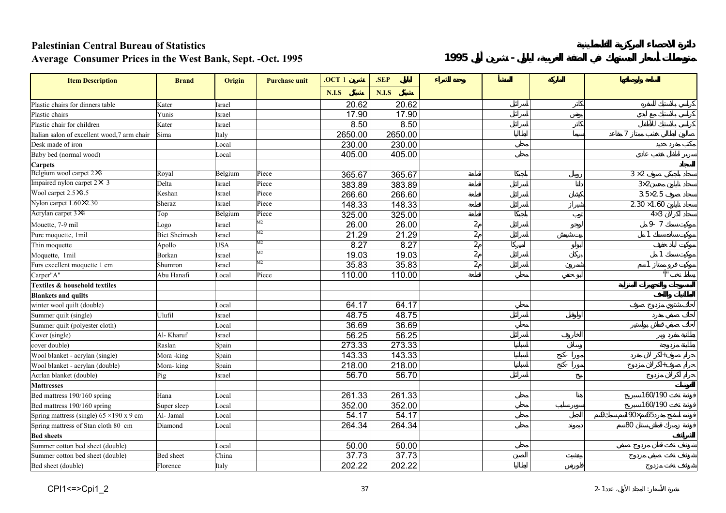| <b>Item Description</b>                         | <b>Brand</b>         | Origin     | <b>Purchase unit</b> | <b>.OCT 1</b> | .SEP    |                |                          |   |                    |
|-------------------------------------------------|----------------------|------------|----------------------|---------------|---------|----------------|--------------------------|---|--------------------|
|                                                 |                      |            |                      | N.I.S         | N.I.S   |                |                          |   |                    |
| Plastic chairs for dinners table                | Kater                | Israel     |                      | 20.62         | 20.62   |                |                          |   |                    |
| Plastic chairs                                  | Yunis                | Israel     |                      | 17.90         | 17.90   |                |                          |   |                    |
| Plastic chair for children                      | Kater                | Israel     |                      | 8.50          | 8.50    |                |                          |   |                    |
| Italian salon of excellent wood,7 arm chair     | Sima                 | Italy      |                      | 2650.00       | 2650.00 |                |                          |   | $\overline{7}$     |
| Desk made of iron                               |                      | Local      |                      | 230.00        | 230.00  |                |                          |   |                    |
| Baby bed (normal wood)                          |                      | Local      |                      | 405.00        | 405.00  |                |                          |   |                    |
| <b>Carpets</b>                                  |                      |            |                      |               |         |                |                          |   |                    |
| Belgium wool carpet 2×3                         | Royal                | Belgium    | Piece                | 365.67        | 365.67  |                |                          |   | $3 \times 2$       |
| Impaired nylon carpet $2 \times 3$              | Delta                | Israel     | Piece                | 383.89        | 383.89  |                |                          |   | $3\times2$         |
| Wool carpet 2.5×3.5                             | Keshan               | Israel     | Piece                | 266.60        | 266.60  |                |                          |   | $3.5 \times 2.5$   |
| Nylon carpet 1.60×2.30                          | Sheraz               | Israel     | Piece                | 148.33        | 148.33  |                |                          |   | $2.30 \times 1.60$ |
| Acrylan carpet 3×4                              | Гор                  | Belgium    | Piece                | 325.00        | 325.00  |                |                          |   | $4 \times 3$       |
| Mouette, 7-9 mil                                | ogo                  | Israel     | M2                   | 26.00         | 26.00   | $\overline{2}$ |                          |   | $9 - 7$            |
| Pure moquette, 1mil                             | <b>Biet Sheimesh</b> | Israel     | M2                   | 21.29         | 21.29   | $\overline{2}$ |                          |   | $\mathbf{1}$       |
| Thin moquette                                   | Apollo               | <b>USA</b> | M2                   | 8.27          | 8.27    | $\overline{2}$ |                          |   |                    |
| Moquette, 1mil                                  | Borkan               | Israel     | M2                   | 19.03         | 19.03   | $\overline{2}$ |                          |   | -1                 |
| Furs excellent moquette 1 cm                    | Shumron              | Israel     | M2                   | 35.83         | 35.83   | $\overline{2}$ |                          |   | $\mathbf{1}$       |
| Carper"A"                                       | Abu Hanafi           | Local      | Piece                | 110.00        | 110.00  |                |                          |   | $\overline{a}$     |
| <b>Textiles &amp; household textiles</b>        |                      |            |                      |               |         |                |                          |   |                    |
| <b>Blankets and quilts</b>                      |                      |            |                      |               |         |                |                          |   |                    |
| winter wool quilt (double)                      |                      | Local      |                      | 64.17         | 64.17   |                |                          |   |                    |
| Summer quilt (single)                           | Ulufil               | Israel     |                      | 48.75         | 48.75   |                |                          |   |                    |
| Summer quilt (polyester cloth)                  |                      | Local      |                      | 36.69         | 36.69   |                |                          |   |                    |
| Cover (single)                                  | Al-Kharuf            | Israel     |                      | 56.25         | 56.25   |                |                          |   |                    |
| cover double)                                   | Raslan               | Spain      |                      | 273.33        | 273.33  |                |                          |   |                    |
| Wool blanket - acrylan (single)                 | Mora-king            | Spain      |                      | 143.33        | 143.33  |                | $\overline{\phantom{a}}$ |   | $+$                |
| Wool blanket - acrylan (double)                 | Mora-king            | Spain      |                      | 218.00        | 218.00  |                | $\overline{\phantom{a}}$ |   | $+$                |
| Acrlan blanket (double)                         | Pig                  | Israel     |                      | 56.70         | 56.70   |                |                          |   |                    |
| <b>Mattresses</b>                               |                      |            |                      |               |         |                |                          |   |                    |
| Bed mattress 190/160 spring                     | Hana                 | Local      |                      | 261.33        | 261.33  |                |                          |   | 160/190            |
| Bed mattress 190/160 spring                     | Super sleep          | Local      |                      | 352.00        | 352.00  |                |                          |   | 160/190            |
| Spring mattress (single) $65 \times 190$ x 9 cm | Al- Jamal            | Local      |                      | 54.17         | 54.17   |                |                          | 9 | $190 \times 65$    |
| Spring mattress of Stan cloth 80 cm             | Diamond              | Local      |                      | 264.34        | 264.34  |                |                          |   | 80                 |
| <b>Bed sheets</b>                               |                      |            |                      |               |         |                |                          |   |                    |
| Summer cotton bed sheet (double)                |                      | Local      |                      | 50.00         | 50.00   |                |                          |   |                    |
| Summer cotton bed sheet (double)                | <b>Bed</b> sheet     | China      |                      | 37.73         | 37.73   |                |                          |   |                    |
| Bed sheet (double)                              | Florence             | Italy      |                      | 202.22        | 202.22  |                |                          |   |                    |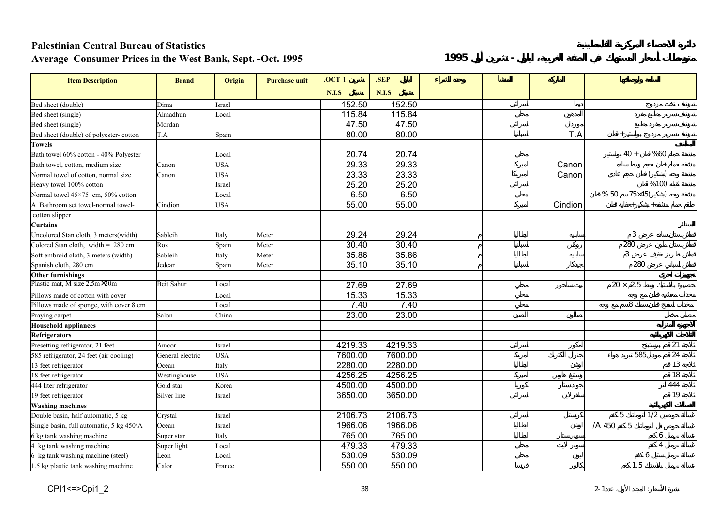| <b>Item Description</b>                      | <b>Brand</b>      | Origin     | <b>Purchase unit</b> | <b>.OCT 1</b> | .SEP    |  |         |                        |
|----------------------------------------------|-------------------|------------|----------------------|---------------|---------|--|---------|------------------------|
|                                              |                   |            |                      | N.I.S         | N.I.S   |  |         |                        |
| Bed sheet (double)                           | Dima              | Israel     |                      | 152.50        | 152.50  |  |         |                        |
| Bed sheet (single)                           | Almadhun          | Local      |                      | 115.84        | 115.84  |  |         |                        |
| Bed sheet (single)                           | Mordan            |            |                      | 47.50         | 47.50   |  |         |                        |
| Bed sheet (double) of polyester-cotton       | T.A               | Spain      |                      | 80.00         | 80.00   |  | T.A     | $+$                    |
| Towels                                       |                   |            |                      |               |         |  |         |                        |
| Bath towel 60% cotton - 40% Polyester        |                   | Local      |                      | 20.74         | 20.74   |  |         | $40+$<br>%60           |
| Bath towel, cotton, medium size              | Canon             | <b>USA</b> |                      | 29.33         | 29.33   |  | Canon   |                        |
| Normal towel of cotton, normal size          | Canon             | <b>USA</b> |                      | 23.33         | 23.33   |  | Canon   |                        |
| Heavy towel 100% cotton                      |                   | Israel     |                      | 25.20         | 25.20   |  |         | %100                   |
| Normal towel 45×75 cm, 50% cotton            |                   | Local      |                      | 6.50          | 6.50    |  |         | % 50<br>$75 \times 45$ |
| A Bathroom set towel-normal towel-           | Cindion           | <b>USA</b> |                      | 55.00         | 55.00   |  | Cindion | $+$<br>$+$             |
| cotton slipper                               |                   |            |                      |               |         |  |         |                        |
| <b>Curtains</b>                              |                   |            |                      |               |         |  |         |                        |
| Uncolored Stan cloth, 3 meters(width)        | Sableih           | Italy      | Meter                | 29.24         | 29.24   |  |         | 3                      |
| Colored Stan cloth, width = $280 \text{ cm}$ | Rox               | Spain      | Meter                | 30.40         | 30.40   |  |         | 280                    |
| Soft embroid cloth, 3 meters (width)         | Sableih           | Italy      | Meter                | 35.86         | 35.86   |  |         | 3                      |
| Spanish cloth, 280 cm                        | Jedcar            | Spain      | Meter                | 35.10         | 35.10   |  |         | 280                    |
| <b>Other furnishings</b>                     |                   |            |                      |               |         |  |         |                        |
| Plastic mat, M size 2.5m×20m                 | <b>Beit Sahur</b> | Local      |                      | 27.69         | 27.69   |  |         | $20 \times 2.5$        |
| Pillows made of cotton with cover            |                   | Local      |                      | 15.33         | 15.33   |  |         |                        |
| Pillows made of sponge, with cover 8 cm      |                   | Local      |                      | 7.40          | 7.40    |  |         | 8                      |
| Praying carpet                               | Salon             | China      |                      | 23.00         | 23.00   |  |         |                        |
| <b>Household appliances</b>                  |                   |            |                      |               |         |  |         |                        |
| <b>Refrigerators</b>                         |                   |            |                      |               |         |  |         |                        |
| Presetting refrigerator, 21 feet             | Amcor             | Israel     |                      | 4219.33       | 4219.33 |  |         | 21                     |
| 585 refrigerator, 24 feet (air cooling)      | General electric  | <b>USA</b> |                      | 7600.00       | 7600.00 |  |         | 585<br>$\overline{24}$ |
| 13 feet refrigerator                         | Ocean             | Italy      |                      | 2280.00       | 2280.00 |  |         | $\overline{13}$        |
| 18 feet refrigerator                         | Westinghouse      | <b>USA</b> |                      | 4256.25       | 4256.25 |  |         | $\overline{18}$        |
| 444 liter refrigerator                       | Gold star         | Korea      |                      | 4500.00       | 4500.00 |  |         | 444                    |
| 19 feet refrigerator                         | Silver line       | Israel     |                      | 3650.00       | 3650.00 |  |         | 19                     |
| <b>Washing machines</b>                      |                   |            |                      |               |         |  |         |                        |
| Double basin, half automatic, 5 kg           | Crystal           | Israel     |                      | 2106.73       | 2106.73 |  |         | 5<br>$\overline{1/2}$  |
| Single basin, full automatic, 5 kg 450/A     | Ocean             | Israel     |                      | 1966.06       | 1966.06 |  |         | /A 450<br>5            |
| 6 kg tank washing machine                    | Super star        | Italy      |                      | 765.00        | 765.00  |  |         | 6                      |
| 4 kg tank washing machine                    | Super light       | Local      |                      | 479.33        | 479.33  |  |         | $\overline{4}$         |
| 6 kg tank washing machine (steel)            | Leon              | Local      |                      | 530.09        | 530.09  |  |         | 6                      |
| 1.5 kg plastic tank washing machine          | Calor             | France     |                      | 550.00        | 550.00  |  |         | 1.5                    |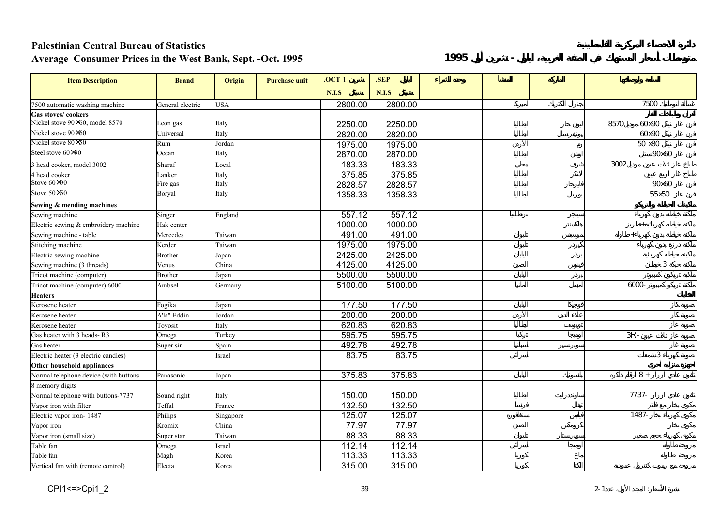| <b>Item Description</b>               | <b>Brand</b>     | <b>Origin</b> | <b>Purchase unit</b> | .0CT <sub>1</sub> | .SEP    |  |                      |
|---------------------------------------|------------------|---------------|----------------------|-------------------|---------|--|----------------------|
|                                       |                  |               |                      | N.I.S             | N.I.S   |  |                      |
| 7500 automatic washing machine        | General electric | <b>USA</b>    |                      | 2800.00           | 2800.00 |  | 7500                 |
| Gas stoves/cookers                    |                  |               |                      |                   |         |  |                      |
| Nickel stove 90×60, model 8570        | Leon gas         | Italy         |                      | 2250.00           | 2250.00 |  | 8570<br>$60\times90$ |
| Nickel stove 90×60                    | Universal        | Italy         |                      | 2820.00           | 2820.00 |  | $60\times90$         |
| Nickel stove $80\times50$             | Rum              | Jordan        |                      | 1975.00           | 1975.00 |  | $50 \times 80$       |
| Steel stove 60×90                     | Ocean            | Italy         |                      | 2870.00           | 2870.00 |  | $90 \times 60$       |
| 3 head cooker, model 3002             | Sharaf           | Local         |                      | 183.33            | 183.33  |  | 3002                 |
| 4 head cooker                         | Lanker           | Italy         |                      | 375.85            | 375.85  |  |                      |
| Stove $60\times90$                    | Fire gas         | Italy         |                      | 2828.57           | 2828.57 |  | $90 \times 60$       |
| Stove $50 \times 50$                  | Boryal           | Italy         |                      | 1358.33           | 1358.33 |  | $55\times50$         |
| Sewing & mending machines             |                  |               |                      |                   |         |  |                      |
| Sewing machine                        | Singer           | England       |                      | 557.12            | 557.12  |  |                      |
| Electric sewing & embroidery machine  | Hak center       |               |                      | 1000.00           | 1000.00 |  | $+$                  |
| Sewing machine - table                | Mercedes         | Taiwan        |                      | 491.00            | 491.00  |  | $+$                  |
| Stitching machine                     | Kerder           | Taiwan        |                      | 1975.00           | 1975.00 |  |                      |
| Electric sewing machine               | <b>Brother</b>   | Japan         |                      | 2425.00           | 2425.00 |  |                      |
| Sewing machine (3 threads)            | Venus            | China         |                      | 4125.00           | 4125.00 |  | 3                    |
| Tricot machine (computer)             | Brother          | Japan         |                      | 5500.00           | 5500.00 |  |                      |
| Tricot machine (computer) 6000        | Ambsel           | Germany       |                      | 5100.00           | 5100.00 |  | $6000 -$             |
| <b>Heaters</b>                        |                  |               |                      |                   |         |  |                      |
| Kerosene heater                       | Fogika           | Japan         |                      | 177.50            | 177.50  |  |                      |
| Kerosene heater                       | A'la" Eddin      | Jordan        |                      | 200.00            | 200.00  |  |                      |
| Kerosene heater                       | Toyosit          | Italy         |                      | 620.83            | 620.83  |  |                      |
| Gas heater with 3 heads-R3            | Omega            | Turkey        |                      | 595.75            | 595.75  |  | $3R -$               |
| Gas heater                            | Super sir        | Spain         |                      | 492.78            | 492.78  |  |                      |
| Electric heater (3 electric candles)  |                  | Israel        |                      | 83.75             | 83.75   |  | 3                    |
| Other household appliances            |                  |               |                      |                   |         |  |                      |
| Normal telephone device (with buttons | Panasonic        | Japan         |                      | 375.83            | 375.83  |  | $8+$                 |
| 8 memory digits                       |                  |               |                      |                   |         |  |                      |
| Normal telephone with buttons-7737    | Sound right      | Italy         |                      | 150.00            | 150.00  |  | $7737 -$             |
| Vapor iron with filter                | Teffal           | France        |                      | 132.50            | 132.50  |  |                      |
| Electric vapor iron-1487              | Philips          | Singapore     |                      | 125.07            | 125.07  |  | $1487 -$             |
| Vapor iron                            | Kromix           | China         |                      | 77.97             | 77.97   |  |                      |
| Vapor iron (small size)               | Super star       | Taiwan        |                      | 88.33             | 88.33   |  |                      |
| Table fan                             | Omega            | Israel        |                      | 112.14            | 112.14  |  |                      |
| Table fan                             | Magh             | Korea         |                      | 113.33            | 113.33  |  |                      |
| Vertical fan with (remote control)    | Electa           | Korea         |                      | 315.00            | 315.00  |  |                      |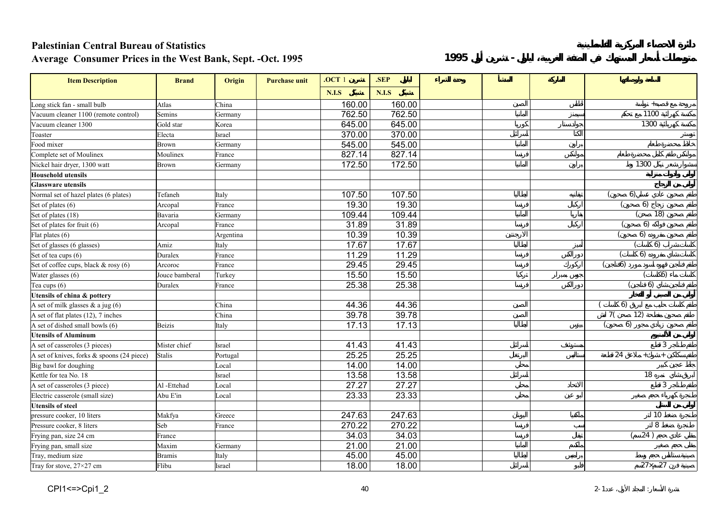| <b>Item Description</b>                    | <b>Brand</b>   | Origin    | <b>Purchase unit</b> | <b>.OCT 1</b> | .SEP   |  |                       |  |
|--------------------------------------------|----------------|-----------|----------------------|---------------|--------|--|-----------------------|--|
|                                            |                |           |                      | N.I.S         | N.I.S  |  |                       |  |
| Long stick fan - small bulb                | Atlas          | China     |                      | 160.00        | 160.00 |  | $+$                   |  |
| Vacuum cleaner 1100 (remote control)       | Semins         | Germany   |                      | 762.50        | 762.50 |  | 1100                  |  |
| Vacuum cleaner 1300                        | Gold star      | Korea     |                      | 645.00        | 645.00 |  | 1300                  |  |
| Toaster                                    | Electa         | Israel    |                      | 370.00        | 370.00 |  |                       |  |
| Food mixer                                 | Brown          | Germany   |                      | 545.00        | 545.00 |  |                       |  |
| Complete set of Moulinex                   | Moulinex       | France    |                      | 827.14        | 827.14 |  |                       |  |
| Nickel hair dryer, 1300 watt               | <b>Brown</b>   | Germany   |                      | 172.50        | 172.50 |  | 1300                  |  |
| <b>Household utensils</b>                  |                |           |                      |               |        |  |                       |  |
| <b>Glassware utensils</b>                  |                |           |                      |               |        |  |                       |  |
| Normal set of hazel plates (6 plates)      | Tefaneh        | Italy     |                      | 107.50        | 107.50 |  | 6)                    |  |
| Set of plates (6)                          | Arcopal        | France    |                      | 19.30         | 19.30  |  | 6)                    |  |
| Set of plates (18)                         | Bavaria        | Germany   |                      | 109.44        | 109.44 |  | 18)                   |  |
| Set of plates for fruit (6)                | Arcopal        | France    |                      | 31.89         | 31.89  |  | 6)                    |  |
| Flat plates (6)                            |                | Argentina |                      | 10.39         | 10.39  |  | 6)                    |  |
| Set of glasses (6 glasses)                 | Amiz           | Italy     |                      | 17.67         | 17.67  |  | 6)                    |  |
| Set of tea cups (6)                        | Duralex        | France    |                      | 11.29         | 11.29  |  | 6)                    |  |
| Set of coffee cups, black & rosy (6)       | Arcoroc        | France    |                      | 29.45         | 29.45  |  | 6)                    |  |
| Water glasses (6)                          | Jouce bamberal | Turkey    |                      | 15.50         | 15.50  |  | 6)                    |  |
| Tea cups (6)                               | Duralex        | France    |                      | 25.38         | 25.38  |  | 6)                    |  |
| <b>Utensils of china &amp; pottery</b>     |                |           |                      |               |        |  |                       |  |
| A set of milk glasses $\&$ a jug (6)       |                | China     |                      | 44.36         | 44.36  |  | 6)                    |  |
| A set of flat plates (12), 7 inches        |                | China     |                      | 39.78         | 39.78  |  | 7(<br>$\overline{12}$ |  |
| A set of dished small bowls (6)            | <b>Beizis</b>  | Italy     |                      | 17.13         | 17.13  |  | 6)                    |  |
| <b>Utensils of Aluminum</b>                |                |           |                      |               |        |  |                       |  |
| A set of casseroles (3 pieces)             | Mister chief   | Israel    |                      | 41.43         | 41.43  |  | 3                     |  |
| A set of knives, forks & spoons (24 piece) | <b>Stalis</b>  | Portugal  |                      | 25.25         | 25.25  |  | 24<br>$+$<br>$+$      |  |
| Big bawl for doughing                      |                | Local     |                      | 14.00         | 14.00  |  |                       |  |
| Kettle for tea No. 18                      |                | Israel    |                      | 13.58         | 13.58  |  | 18                    |  |
| A set of casseroles (3 piece)              | Al-Ettehad     | Local     |                      | 27.27         | 27.27  |  | 3                     |  |
| Electric casserole (small size)            | Abu E'in       | Local     |                      | 23.33         | 23.33  |  |                       |  |
| <b>Utensils of steel</b>                   |                |           |                      |               |        |  |                       |  |
| pressure cooker, 10 liters                 | Makfya         | Greece    |                      | 247.63        | 247.63 |  | 10                    |  |
| Pressure cooker, 8 liters                  | Seb            | France    |                      | 270.22        | 270.22 |  | 8                     |  |
| Frying pan, size 24 cm                     | France         |           |                      | 34.03         | 34.03  |  | 24)                   |  |
| Frying pan, small size                     | Maxim          | Germany   |                      | 21.00         | 21.00  |  |                       |  |
| Tray, medium size                          | <b>Bramis</b>  | Italy     |                      | 45.00         | 45.00  |  |                       |  |
| Tray for stove, 27×27 cm                   | Flibu          | Israel    |                      | 18.00         | 18.00  |  | $27 \times 27$        |  |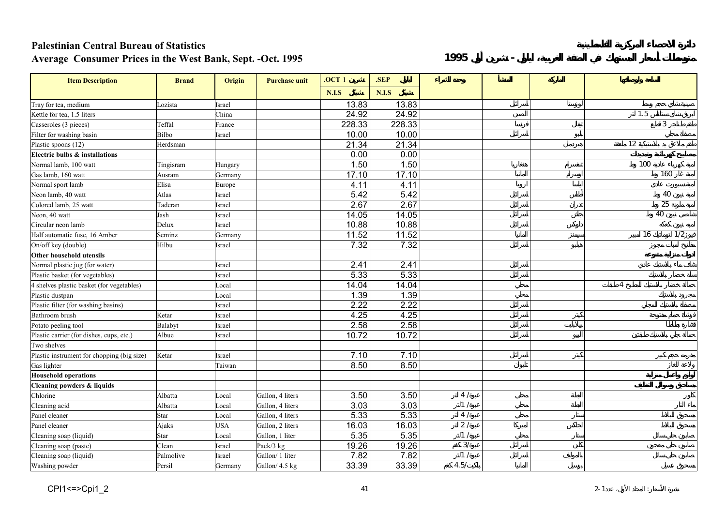| <b>Item Description</b>                    | <b>Brand</b>   | Origin     | <b>Purchase unit</b> | <b>.OCT 1</b>     | .SEP   |                  |  |                                     |
|--------------------------------------------|----------------|------------|----------------------|-------------------|--------|------------------|--|-------------------------------------|
|                                            |                |            |                      | N.I.S             | N.I.S  |                  |  |                                     |
| Tray for tea, medium                       | ozista         | Israel     |                      | 13.83             | 13.83  |                  |  |                                     |
| Kettle for tea, 1.5 liters                 |                | China      |                      | 24.92             | 24.92  |                  |  | 1.5                                 |
| Casseroles (3 pieces)                      | Teffal         | France     |                      | 228.33            | 228.33 |                  |  | 3                                   |
| Filter for washing basin                   | Bilbo          | Israel     |                      | 10.00             | 10.00  |                  |  |                                     |
| Plastic spoons (12)                        | Herdsman       |            |                      | 21.34             | 21.34  |                  |  | 12                                  |
| Electric bulbs & installations             |                |            |                      | 0.00              | 0.00   |                  |  |                                     |
| Normal lamb, 100 watt                      | Tingisram      | Hungary    |                      | 1.50              | 1.50   |                  |  | 100                                 |
| Gas lamb, 160 watt                         | Ausram         | Germany    |                      | 17.10             | 17.10  |                  |  | 160                                 |
| Normal sport lamb                          | Elisa          | Europe     |                      | 4.11              | 4.11   |                  |  |                                     |
| Neon lamb, 40 watt                         | Atlas          | Israel     |                      | 5.42              | 5.42   |                  |  | 40                                  |
| Colored lamb, 25 watt                      | <b>Taderan</b> | Israel     |                      | 2.67              | 2.67   |                  |  | $\overline{25}$                     |
| Neon, 40 watt                              | Jash           | Israel     |                      | 14.05             | 14.05  |                  |  | 40                                  |
| Circular neon lamb                         | Delux          | Israel     |                      | 10.88             | 10.88  |                  |  |                                     |
| Half automatic fuse, 16 Amber              | Seminz         | Germany    |                      | 11.52             | 11.52  |                  |  | $\overline{16}$<br>$\overline{1/2}$ |
| On/off key (double)                        | Hilbu          | Israel     |                      | 7.32              | 7.32   |                  |  |                                     |
| Other household utensils                   |                |            |                      |                   |        |                  |  |                                     |
| Normal plastic jug (for water)             |                | Israel     |                      | 2.41              | 2.41   |                  |  |                                     |
| Plastic basket (for vegetables)            |                | Israel     |                      | 5.33              | 5.33   |                  |  |                                     |
| 4 shelves plastic basket (for vegetables)  |                | Local      |                      | 14.04             | 14.04  |                  |  | $\overline{4}$                      |
| Plastic dustpan                            |                | Local      |                      | 1.39              | 1.39   |                  |  |                                     |
| Plastic filter (for washing basins)        |                | Israel     |                      | 2.22              | 2.22   |                  |  |                                     |
| Bathroom brush                             | Ketar          | Israel     |                      | 4.25              | 4.25   |                  |  |                                     |
| Potato peeling tool                        | Balabyt        | Israel     |                      | 2.58              | 2.58   |                  |  |                                     |
| Plastic carrier (for dishes, cups, etc.)   | Albue          | Israel     |                      | 10.72             | 10.72  |                  |  |                                     |
| Two shelves                                |                |            |                      |                   |        |                  |  |                                     |
| Plastic instrument for chopping (big size) | Ketar          | Israel     |                      | 7.10              | 7.10   |                  |  |                                     |
| Gas lighter                                |                | Taiwan     |                      | 8.50              | 8.50   |                  |  |                                     |
| <b>Household operations</b>                |                |            |                      |                   |        |                  |  |                                     |
| Cleaning powders & liquids                 |                |            |                      |                   |        |                  |  |                                     |
| Chlorine                                   | Albatta        | Local      | Gallon, 4 liters     | 3.50              | 3.50   | 4/               |  |                                     |
| Cleaning acid                              | Albatta        | Local      | Gallon, 4 liters     | $\overline{3.03}$ | 3.03   | 1/               |  |                                     |
| Panel cleaner                              | Star           | Local      | Gallon, 4 liters     | 5.33              | 5.33   | 4/               |  |                                     |
| Panel cleaner                              | Ajaks          | <b>USA</b> | Gallon, 2 liters     | 16.03             | 16.03  | $\overline{2}$ / |  |                                     |
| Cleaning soap (liquid)                     | Star           | Local      | Gallon, 1 liter      | 5.35              | 5.35   | 1/               |  |                                     |
| Cleaning soap (paste)                      | Clean          | Israel     | Pack/3 kg            | 19.26             | 19.26  | $\overline{3/}$  |  |                                     |
| Cleaning soap (liquid)                     | Palmolive      | Israel     | Gallon/ 1 liter      | 7.82              | 7.82   | 1/               |  |                                     |
| Washing powder                             | Persil         | Germany    | Gallon/ 4.5 kg       | 33.39             | 33.39  | 4.5/             |  |                                     |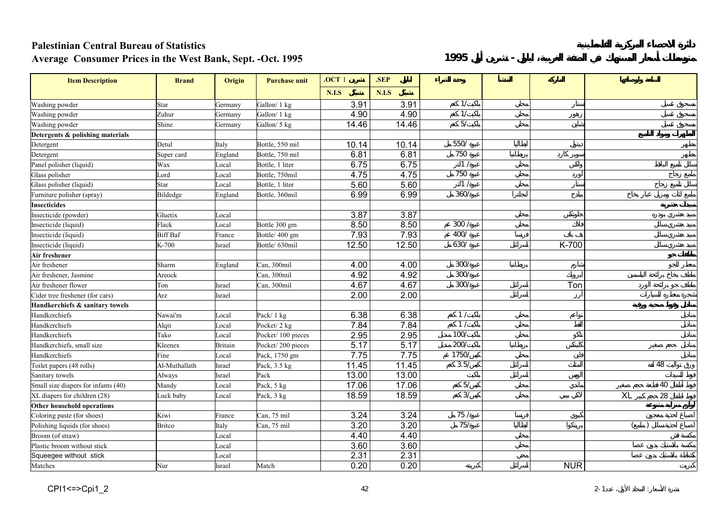| <b>Item Description</b>             | <b>Brand</b>  | <b>Origin</b> | <b>Purchase unit</b> | <b>.OCT 1</b> | .SEP  |                 |            |          |
|-------------------------------------|---------------|---------------|----------------------|---------------|-------|-----------------|------------|----------|
|                                     |               |               |                      | N.I.S         | N.I.S |                 |            |          |
| Washing powder                      | Star          | Germany       | Gallon/1 kg          | 3.91          | 3.91  | 1/              |            |          |
| Washing powder                      | Zuhur         | Germany       | Gallon/1 kg          | 4.90          | 4.90  | $\overline{1/}$ |            |          |
| Washing powder                      | Shine         | Germany       | Gallon/5 kg          | 14.46         | 14.46 | $\overline{5/}$ |            |          |
| Detergents & polishing materials    |               |               |                      |               |       |                 |            |          |
| Detergent                           | Detul         | Italy         | Bottle, 550 mil      | 10.14         | 10.14 | 550/            |            |          |
| Detergent                           | Super card    | England       | Bottle, 750 mil      | 6.81          | 6.81  | 750             |            |          |
| Panel polisher (liquid)             | Wax           | Local         | Bottle, 1 liter      | 6.75          | 6.75  | $\overline{1/}$ |            |          |
| Glass polisher                      | Lord          | Local         | Bottle, 750mil       | 4.75          | 4.75  | 750             |            |          |
| Glass polisher (liquid)             | Star          | Local         | Bottle, 1 liter      | 5.60          | 5.60  | 1/              |            |          |
| Furniture polisher (spray)          | Bildedge      | England       | Bottle, 360mil       | 6.99          | 6.99  | 360/            |            |          |
| <b>Insecticides</b>                 |               |               |                      |               |       |                 |            |          |
| Insecticide (powder)                | Gluetix       | Local         |                      | 3.87          | 3.87  |                 |            |          |
| Insecticide (liquid)                | Flack         | Local         | Bottle 300 gm        | 8.50          | 8.50  | 300/            |            |          |
| Insecticide (liquid)                | Biff Baf      | France        | Bottle/400 gm        | 7.93          | 7.93  | 400/            |            |          |
| Insecticide (liquid)                | K-700         | Israel        | Bottle/ 630mil       | 12.50         | 12.50 | 630/            | K-700      |          |
| Air freshener                       |               |               |                      |               |       |                 |            |          |
| Air freshener                       | Sharm         | England       | Can, 300mil          | 4.00          | 4.00  | 300/            |            |          |
| Air freshener, Jasmine              | Areock        |               | Can, 300mil          | 4.92          | 4.92  | 300/            |            |          |
| Air freshener flower                | Ton           | Israel        | Can, 300mil          | 4.67          | 4.67  | 300/            | Ton        |          |
| Cider tree freshener (for cars)     | Arz           | Israel        |                      | 2.00          | 2.00  |                 |            |          |
| Handkerchiefs & sanitary towels     |               |               |                      |               |       |                 |            |          |
| Handkerchiefs                       | Nawai'm       | Local         | Pack/1 kg            | 6.38          | 6.38  | 1/              |            |          |
| Handkerchiefs                       | Alqit         | Local         | Pocket/2 kg          | 7.84          | 7.84  | 1/              |            |          |
| Handkerchiefs                       | Tako          | Local         | Pocket/100 pieces    | 2.95          | 2.95  | 100/            |            |          |
| Handkerchiefs, small size           | Kleenex       | Britain       | Pocket/200 pieces    | 5.17          | 5.17  | 200/            |            |          |
| Handkerchiefs                       | Fine          | Local         | Pack, 1750 gm        | 7.75          | 7.75  | 1750/           |            |          |
| Toilet papers (48 rolls)            | Al-Muthallath | Israel        | Pack, 3.5 kg         | 11.45         | 11.45 | 3.5/            |            | 48       |
| Sanitary towels                     | Always        | Israel        | Pack                 | 13.00         | 13.00 |                 |            |          |
| Small size diapers for infants (40) | Mandy         | Local         | Pack, 5 kg           | 17.06         | 17.06 | 5/              |            | 40       |
| XL diapers for children (28)        | Luck baby     | Local         | Pack, 3 kg           | 18.59         | 18.59 | $\overline{3/}$ |            | XL<br>28 |
| <b>Other household operations</b>   |               |               |                      |               |       |                 |            |          |
| Coloring paste (for shoes)          | Kiwi          | France        | Can, 75 mil          | 3.24          | 3.24  | 75/             |            |          |
| Polishing liquids (for shoes)       | <b>Britco</b> | Italy         | Can, 75 mil          | 3.20          | 3.20  | 75/             |            |          |
| Broom (of straw)                    |               | Local         |                      | 4.40          | 4.40  |                 |            |          |
| Plastic broom without stick         |               | Local         |                      | 3.60          | 3.60  |                 |            |          |
| Squeegee without stick              |               | Local         |                      | 2.31          | 2.31  |                 |            |          |
| Matches                             | Nur           | Israel        | Match                | 0.20          | 0.20  |                 | <b>NUR</b> |          |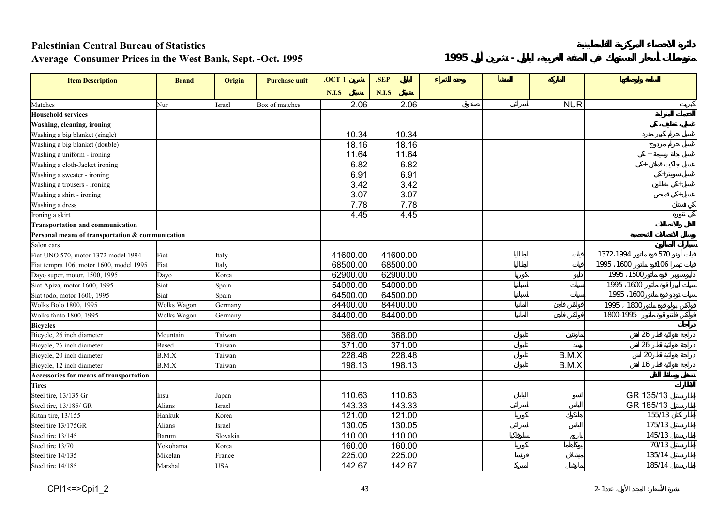<span id="page-39-0"></span>

| <b>Item Description</b>                          | <b>Brand</b> | <b>Origin</b> | <b>Purchase unit</b> | <b>.OCT 1</b> | .SEP              |  |            |              |                 |
|--------------------------------------------------|--------------|---------------|----------------------|---------------|-------------------|--|------------|--------------|-----------------|
|                                                  |              |               |                      | N.I.S         | N.I.S             |  |            |              |                 |
| Matches                                          | Nur          | Israel        | Box of matches       | 2.06          | 2.06              |  | <b>NUR</b> |              |                 |
| <b>Household services</b>                        |              |               |                      |               |                   |  |            |              |                 |
| Washing, cleaning, ironing                       |              |               |                      |               |                   |  |            |              |                 |
| Washing a big blanket (single)                   |              |               |                      | 10.34         | 10.34             |  |            |              |                 |
| Washing a big blanket (double)                   |              |               |                      | 18.16         | 18.16             |  |            |              |                 |
| Washing a uniform - ironing                      |              |               |                      | 11.64         | 11.64             |  |            |              | $+$             |
| Washing a cloth-Jacket ironing                   |              |               |                      | 6.82          | 6.82              |  |            |              | $^{+}$          |
| Washing a sweater - ironing                      |              |               |                      | 6.91          | 6.91              |  |            |              | $+$             |
| Washing a trousers - ironing                     |              |               |                      | 3.42          | 3.42              |  |            |              | $+$             |
| Washing a shirt - ironing                        |              |               |                      | 3.07          | $\overline{3.07}$ |  |            |              | $+$             |
| Washing a dress                                  |              |               |                      | 7.78          | 7.78              |  |            |              |                 |
| Ironing a skirt                                  |              |               |                      | 4.45          | 4.45              |  |            |              |                 |
| <b>Transportation and communication</b>          |              |               |                      |               |                   |  |            |              |                 |
| Personal means of transportation & communication |              |               |                      |               |                   |  |            |              |                 |
| Salon cars                                       |              |               |                      |               |                   |  |            |              |                 |
| Fiat UNO 570, motor 1372 model 1994              | Fiat         | Italy         |                      | 41600.00      | 41600.00          |  |            | 1372 1994    | 570             |
| Fiat tempra 106, motor 1600, model 1995          | Fiat         | Italy         |                      | 68500.00      | 68500.00          |  |            | 1995 1600    | 106             |
| Dayo super, motor, 1500, 1995                    | Dayo         | Korea         |                      | 62900.00      | 62900.00          |  |            | 1995 1500    |                 |
| Siat Apiza, motor 1600, 1995                     | Siat         | Spain         |                      | 54000.00      | 54000.00          |  |            | 1995 1600    |                 |
| Siat todo, motor 1600, 1995                      | Siat         | Spain         |                      | 64500.00      | 64500.00          |  |            | 1995 1600    |                 |
| Wolks Bolo 1800, 1995                            | Wolks Wagon  | Germany       |                      | 84400.00      | 84400.00          |  |            | 1800<br>1995 |                 |
| Wolks fanto 1800, 1995                           | Wolks Wagon  | Germany       |                      | 84400.00      | 84400.00          |  |            | 1800 1995    |                 |
| <b>Bicycles</b>                                  |              |               |                      |               |                   |  |            |              |                 |
| Bicycle, 26 inch diameter                        | Mountain     | Taiwan        |                      | 368.00        | 368.00            |  |            |              | 26              |
| Bicycle, 26 inch diameter                        | <b>Based</b> | Taiwan        |                      | 371.00        | 371.00            |  |            |              | 26              |
| Bicycle, 20 inch diameter                        | B.M.X        | Taiwan        |                      | 228.48        | 228.48            |  | B.M.X      |              | 20              |
| Bicycle, 12 inch diameter                        | B.M.X        | Taiwan        |                      | 198.13        | 198.13            |  | B.M.X      |              | $\overline{16}$ |
| <b>Accessories for means of transportation</b>   |              |               |                      |               |                   |  |            |              |                 |
| <b>Tires</b>                                     |              |               |                      |               |                   |  |            |              |                 |
| Steel tire, 13/135 Gr                            | Insu         | Japan         |                      | 110.63        | 110.63            |  |            |              | GR 135/13       |
| Steel tire, 13/185/ GR                           | Alians       | Israel        |                      | 143.33        | 143.33            |  |            |              | GR 185/13       |
| Kitan tire, 13/155                               | Hankuk       | Korea         |                      | 121.00        | 121.00            |  |            |              | 155/13          |
| Steel tire 13/175GR                              | Alians       | Israel        |                      | 130.05        | 130.05            |  |            |              | 175/13          |
| Steel tire 13/145                                | Barum        | Slovakia      |                      | 110.00        | 110.00            |  |            |              | 145/13          |
| Steel tire 13/70                                 | Yokohama     | Korea         |                      | 160.00        | 160.00            |  |            |              | 70/13           |
| Steel tire 14/135                                | Mikelan      | France        |                      | 225.00        | 225.00            |  |            |              | 135/14          |
| Steel tire 14/185                                | Marshal      | <b>USA</b>    |                      | 142.67        | 142.67            |  |            |              | 185/14          |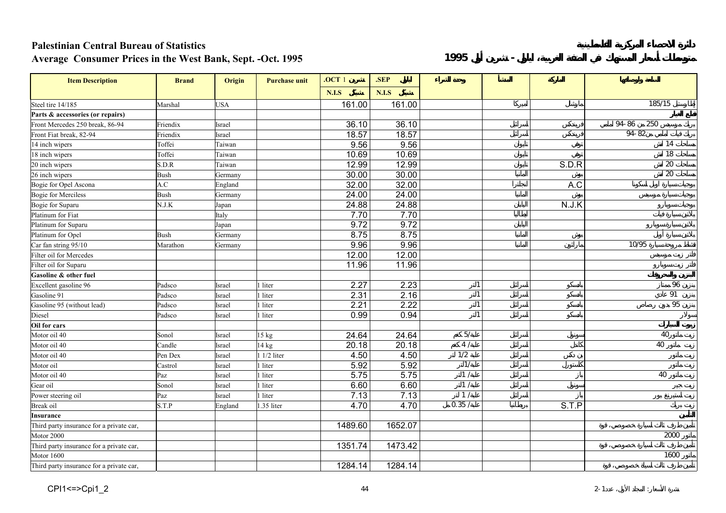| <b>Item Description</b>                  | <b>Brand</b> | Origin     | <b>Purchase unit</b> | <b>.OCT 1</b> | .SEP    |                 |       |                  |
|------------------------------------------|--------------|------------|----------------------|---------------|---------|-----------------|-------|------------------|
|                                          |              |            |                      | N.I.S         | N.I.S   |                 |       |                  |
| Steel tire 14/185                        | Marshal      | <b>USA</b> |                      | 161.00        | 161.00  |                 |       | 185/15           |
| Parts & accessories (or repairs)         |              |            |                      |               |         |                 |       |                  |
| Front Mercedes 250 break, 86-94          | Friendix     | Israel     |                      | 36.10         | 36.10   |                 |       | 250<br>$94 - 86$ |
| Front Fiat break, 82-94                  | Friendix     | Israel     |                      | 18.57         | 18.57   |                 |       | $94 - 82$        |
| 14 inch wipers                           | Toffei       | Taiwan     |                      | 9.56          | 9.56    |                 |       | $\overline{14}$  |
| 18 inch wipers                           | Toffei       | Taiwan     |                      | 10.69         | 10.69   |                 |       | 18               |
| 20 inch wipers                           | S.D.R        | Taiwan     |                      | 12.99         | 12.99   |                 | S.D.R | $\overline{20}$  |
| 26 inch wipers                           | <b>Bush</b>  | Germany    |                      | 30.00         | 30.00   |                 |       | 20               |
| Bogie for Opel Ascona                    | A.C          | England    |                      | 32.00         | 32.00   |                 | A.C   |                  |
| <b>Bogie for Merciless</b>               | <b>Bush</b>  | Germany    |                      | 24.00         | 24.00   |                 |       |                  |
| Bogie for Suparu                         | N.J.K        | Japan      |                      | 24.88         | 24.88   |                 | N.J.K |                  |
| Platinum for Fiat                        |              | Italy      |                      | 7.70          | 7.70    |                 |       |                  |
| Platinum for Suparu                      |              | Japan      |                      | 9.72          | 9.72    |                 |       |                  |
| Platinum for Opel                        | <b>Bush</b>  | Germany    |                      | 8.75          | 8.75    |                 |       |                  |
| Car fan string 95/10                     | Marathon     | Germany    |                      | 9.96          | 9.96    |                 |       | 10/95            |
| Filter oil for Mercedes                  |              |            |                      | 12.00         | 12.00   |                 |       |                  |
| Filter oil for Suparu                    |              |            |                      | 11.96         | 11.96   |                 |       |                  |
| Gasoline & other fuel                    |              |            |                      |               |         |                 |       |                  |
| Excellent gasoline 96                    | Padsco       | Israel     | 1 liter              | 2.27          | 2.23    | $\mathbf{1}$    |       | 96               |
| Gasoline 91                              | Padsco       | Israel     | 1 liter              | 2.31          | 2.16    | $\mathbf{1}$    |       | 91               |
| Gasoline 95 (without lead)               | Padsco       | Israel     | 1 liter              | 2.21          | 2.22    | $\mathbf{1}$    |       | 95               |
| Diesel                                   | Padsco       | Israel     | 1 liter              | 0.99          | 0.94    | $\mathbf{1}$    |       |                  |
| Oil for cars                             |              |            |                      |               |         |                 |       |                  |
| Motor oil 40                             | Sonol        | Israel     | 15 kg                | 24.64         | 24.64   | 5/              |       | 40               |
| Motor oil 40                             | Candle       | Israel     | 14 kg                | 20.18         | 20.18   | 4/              |       | 40               |
| Motor oil 40                             | Pen Dex      | Israel     | $11/2$ liter         | 4.50          | 4.50    | 1/2             |       |                  |
| Motor oil                                | Castrol      | Israel     | 1 liter              | 5.92          | 5.92    | $\overline{1/}$ |       |                  |
| Motor oil 40                             | Paz          | Israel     | 1 liter              | 5.75          | 5.75    | 1/              |       | 40               |
| Gear oil                                 | Sonol        | Israel     | 1 liter              | 6.60          | 6.60    | 1/              |       |                  |
| Power steering oil                       | Paz          | Israel     | 1 liter              | 7.13          | 7.13    | 1/              |       |                  |
| Break oil                                | S.T.P        | England    | 1.35 liter           | 4.70          | 4.70    | 0.35/           | S.T.P |                  |
| <b>Insurance</b>                         |              |            |                      |               |         |                 |       |                  |
| Third party insurance for a private car, |              |            |                      | 1489.60       | 1652.07 |                 |       |                  |
| Motor 2000                               |              |            |                      |               |         |                 |       | 2000             |
| Third party insurance for a private car, |              |            |                      | 1351.74       | 1473.42 |                 |       |                  |
| Motor 1600                               |              |            |                      |               |         |                 |       | 1600             |
| Third party insurance for a private car, |              |            |                      | 1284.14       | 1284.14 |                 |       |                  |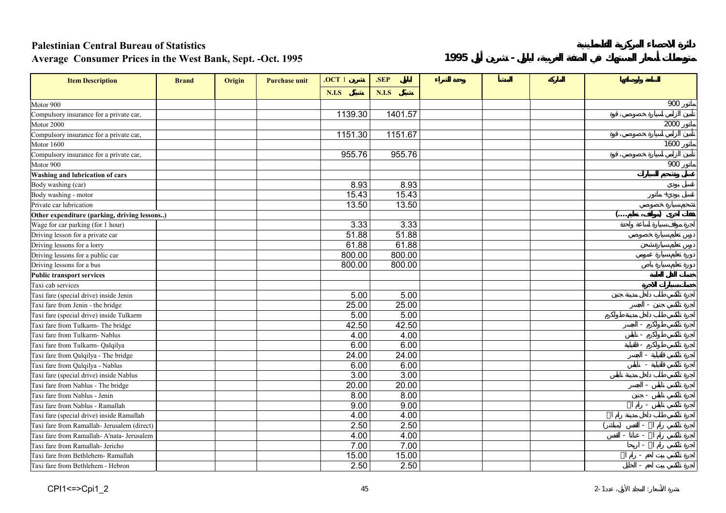| <b>Item Description</b>                      | <b>Brand</b> | <b>Origin</b> | <b>Purchase unit</b> | <b>.OCT 1</b>     | .SEP              |  |           |                          |
|----------------------------------------------|--------------|---------------|----------------------|-------------------|-------------------|--|-----------|--------------------------|
|                                              |              |               |                      | N.I.S             | N.I.S             |  |           |                          |
| Motor 900                                    |              |               |                      |                   |                   |  |           | 900                      |
| Compulsory insurance for a private car,      |              |               |                      | 1139.30           | 1401.57           |  |           |                          |
| Motor 2000                                   |              |               |                      |                   |                   |  |           | 2000                     |
| Compulsory insurance for a private car,      |              |               |                      | 1151.30           | 1151.67           |  |           |                          |
| Motor 1600                                   |              |               |                      |                   |                   |  |           | 1600                     |
| Compulsory insurance for a private car,      |              |               |                      | 955.76            | 955.76            |  |           |                          |
| Motor 900                                    |              |               |                      |                   |                   |  |           | 900                      |
| Washing and lubrication of cars              |              |               |                      |                   |                   |  |           |                          |
| Body washing (car)                           |              |               |                      | 8.93              | 8.93              |  |           |                          |
| Body washing - motor                         |              |               |                      | 15.43             | 15.43             |  |           | $+$                      |
| Private car lubrication                      |              |               |                      | 13.50             | 13.50             |  |           |                          |
| Other expenditure (parking, driving lessons) |              |               |                      |                   |                   |  | $(\dots)$ |                          |
| Wage for car parking (for 1 hour)            |              |               |                      | 3.33              | 3.33              |  |           |                          |
| Driving lesson for a private car             |              |               |                      | 51.88             | 51.88             |  |           |                          |
| Driving lessons for a lorry                  |              |               |                      | 61.88             | 61.88             |  |           |                          |
| Driving lessons for a public car             |              |               |                      | 800.00            | 800.00            |  |           |                          |
| Driving lessons for a bus                    |              |               |                      | 800.00            | 800.00            |  |           |                          |
| <b>Public transport services</b>             |              |               |                      |                   |                   |  |           |                          |
| Taxi cab services                            |              |               |                      |                   |                   |  |           |                          |
| Taxi fare (special drive) inside Jenin       |              |               |                      | 5.00              | 5.00              |  |           |                          |
| Taxi fare from Jenin - the bridge            |              |               |                      | 25.00             | 25.00             |  |           |                          |
| Taxi fare (special drive) inside Tulkarm     |              |               |                      | 5.00              | 5.00              |  |           |                          |
| Taxi fare from Tulkarm- The bridge           |              |               |                      | 42.50             | 42.50             |  |           | $\overline{\phantom{a}}$ |
| Taxi fare from Tulkarm- Nablus               |              |               |                      | 4.00              | 4.00              |  |           | $\overline{\phantom{a}}$ |
| Taxi fare from Tulkarm- Qalqilya             |              |               |                      | 6.00              | 6.00              |  |           | $\overline{\phantom{a}}$ |
| Taxi fare from Qalqilya - The bridge         |              |               |                      | 24.00             | 24.00             |  |           | $\overline{\phantom{a}}$ |
| Taxi fare from Qalqilya - Nablus             |              |               |                      | 6.00              | 6.00              |  |           |                          |
| Taxi fare (special drive) inside Nablus      |              |               |                      | $\overline{3.00}$ | $\overline{3.00}$ |  |           |                          |
| Taxi fare from Nablus - The bridge           |              |               |                      | 20.00             | 20.00             |  |           | $\overline{\phantom{a}}$ |
| Taxi fare from Nablus - Jenin                |              |               |                      | 8.00              | 8.00              |  |           |                          |
| Taxi fare from Nablus - Ramallah             |              |               |                      | 9.00              | 9.00              |  |           |                          |
| Taxi fare (special drive) inside Ramallah    |              |               |                      | 4.00              | 4.00              |  |           |                          |
| Taxi fare from Ramallah- Jerusalem (direct)  |              |               |                      | 2.50              | 2.50              |  |           | $\overline{\phantom{a}}$ |
| Taxi fare from Ramallah- A'nata- Jerusalem   |              |               |                      | 4.00              | 4.00              |  |           | $\overline{a}$           |
| Taxi fare from Ramallah- Jericho             |              |               |                      | 7.00              | 7.00              |  |           |                          |
| Taxi fare from Bethlehem- Ramallah           |              |               |                      | 15.00             | 15.00             |  |           |                          |
| Taxi fare from Bethlehem - Hebron            |              |               |                      | 2.50              | 2.50              |  |           |                          |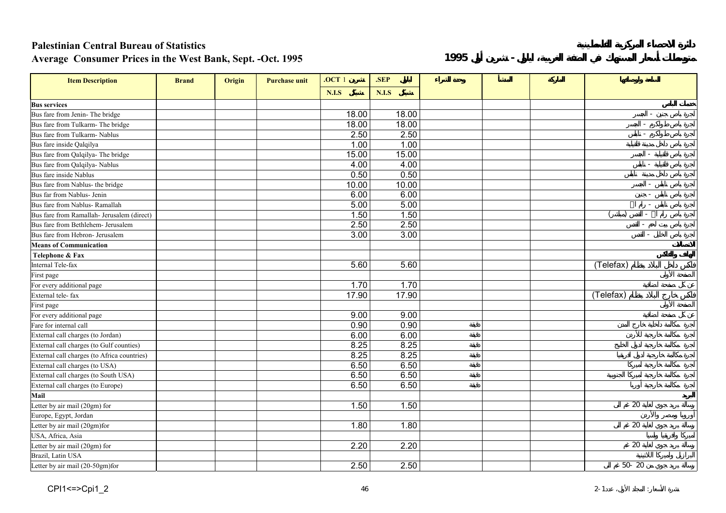| <b>Item Description</b>                     | <b>Brand</b> | Origin | <b>Purchase unit</b> | .0CT <sub>1</sub> | .SEP  |  |                          |
|---------------------------------------------|--------------|--------|----------------------|-------------------|-------|--|--------------------------|
|                                             |              |        |                      | N.I.S             | N.I.S |  |                          |
| <b>Bus services</b>                         |              |        |                      |                   |       |  |                          |
| Bus fare from Jenin- The bridge             |              |        |                      | 18.00             | 18.00 |  |                          |
| Bus fare from Tulkarm-The bridge            |              |        |                      | 18.00             | 18.00 |  |                          |
| Bus fare from Tulkarm- Nablus               |              |        |                      | 2.50              | 2.50  |  | $\overline{a}$           |
| Bus fare inside Qalqilya                    |              |        |                      | 1.00              | 1.00  |  |                          |
| Bus fare from Qalqilya- The bridge          |              |        |                      | 15.00             | 15.00 |  | $\overline{\phantom{a}}$ |
| Bus fare from Qalqilya- Nablus              |              |        |                      | 4.00              | 4.00  |  | $\overline{a}$           |
| Bus fare inside Nablus                      |              |        |                      | 0.50              | 0.50  |  |                          |
| Bus fare from Nablus- the bridge            |              |        |                      | 10.00             | 10.00 |  | $\overline{a}$           |
| Bus far from Nablus- Jenin                  |              |        |                      | 6.00              | 6.00  |  | $\overline{a}$           |
| Bus fare from Nablus- Ramallah              |              |        |                      | 5.00              | 5.00  |  | $\overline{\phantom{a}}$ |
| Bus fare from Ramallah- Jerusalem (direct)  |              |        |                      | 1.50              | 1.50  |  | $\overline{\phantom{a}}$ |
| Bus fare from Bethlehem- Jerusalem          |              |        |                      | 2.50              | 2.50  |  |                          |
| Bus fare from Hebron- Jerusalem             |              |        |                      | 3.00              | 3.00  |  |                          |
| <b>Means of Communication</b>               |              |        |                      |                   |       |  |                          |
| Telephone & Fax                             |              |        |                      |                   |       |  |                          |
| Internal Tele-fax                           |              |        |                      | 5.60              | 5.60  |  | (Telefax)                |
| First page                                  |              |        |                      |                   |       |  |                          |
| For every additional page                   |              |        |                      | 1.70              | 1.70  |  |                          |
| External tele-fax                           |              |        |                      | 17.90             | 17.90 |  | (Telefax)                |
| First page                                  |              |        |                      |                   |       |  |                          |
| For every additional page                   |              |        |                      | 9.00              | 9.00  |  |                          |
| Fare for internal call                      |              |        |                      | 0.90              | 0.90  |  |                          |
| External call charges (to Jordan)           |              |        |                      | 6.00              | 6.00  |  |                          |
| External call charges (to Gulf counties)    |              |        |                      | 8.25              | 8.25  |  |                          |
| External call charges (to Africa countries) |              |        |                      | 8.25              | 8.25  |  |                          |
| External call charges (to USA)              |              |        |                      | 6.50              | 6.50  |  |                          |
| External call charges (to South USA)        |              |        |                      | 6.50              | 6.50  |  |                          |
| External call charges (to Europe)           |              |        |                      | 6.50              | 6.50  |  |                          |
| Mail                                        |              |        |                      |                   |       |  |                          |
| Letter by air mail (20gm) for               |              |        |                      | 1.50              | 1.50  |  | 20                       |
| Europe, Egypt, Jordan                       |              |        |                      |                   |       |  |                          |
| Letter by air mail (20gm)for                |              |        |                      | 1.80              | 1.80  |  | 20                       |
| USA, Africa, Asia                           |              |        |                      |                   |       |  |                          |
| Letter by air mail (20gm) for               |              |        |                      | 2.20              | 2.20  |  | $\overline{20}$          |
| Brazil, Latin USA                           |              |        |                      |                   |       |  |                          |
| Letter by air mail (20-50gm) for            |              |        |                      | 2.50              | 2.50  |  | $50 - 20$                |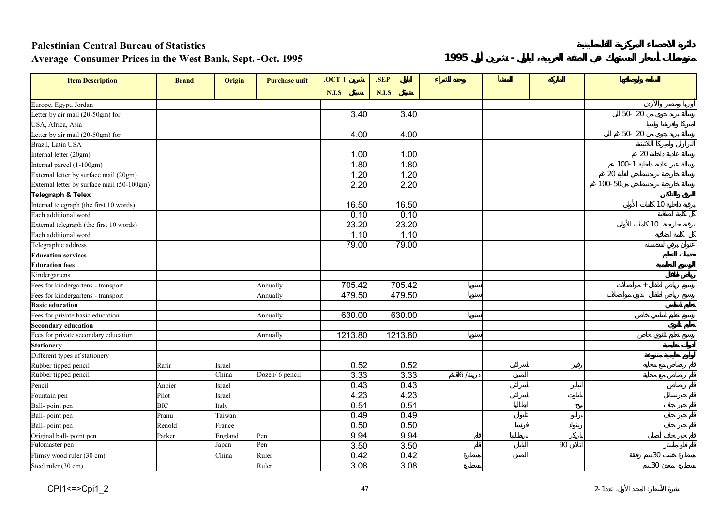<span id="page-43-0"></span>

| <b>Item Description</b>                    | <b>Brand</b> | Origin  | <b>Purchase unit</b> | <b>.OCT 1</b> | SEP     |    |    |                 |
|--------------------------------------------|--------------|---------|----------------------|---------------|---------|----|----|-----------------|
|                                            |              |         |                      | N.I.S         | N.I.S   |    |    |                 |
| Europe, Egypt, Jordan                      |              |         |                      |               |         |    |    |                 |
| Letter by air mail (20-50gm) for           |              |         |                      | 3.40          | 3.40    |    |    | $50 - 20$       |
| USA, Africa, Asia                          |              |         |                      |               |         |    |    |                 |
| Letter by air mail (20-50gm) for           |              |         |                      | 4.00          | 4.00    |    |    | $50 - 20$       |
| Brazil, Latin USA                          |              |         |                      |               |         |    |    |                 |
| Internal letter (20gm)                     |              |         |                      | 1.00          | 1.00    |    |    | 20              |
| Internal parcel (1-100gm)                  |              |         |                      | 1.80          | 1.80    |    |    | $100 - 1$       |
| External letter by surface mail (20gm)     |              |         |                      | 1.20          | 1.20    |    |    | 20              |
| External letter by surface mail (50-100gm) |              |         |                      | 2.20          | 2.20    |    |    | $100 - 50$      |
| Telegraph & Telex                          |              |         |                      |               |         |    |    |                 |
| Internal telegraph (the first 10 words)    |              |         |                      | 16.50         | 16.50   |    |    | $\overline{10}$ |
| Each additional word                       |              |         |                      | 0.10          | 0.10    |    |    |                 |
| External telegraph (the first 10 words)    |              |         |                      | 23.20         | 23.20   |    |    | 10              |
| Each additional word                       |              |         |                      | 1.10          | 1.10    |    |    |                 |
| Telegraphic address                        |              |         |                      | 79.00         | 79.00   |    |    |                 |
| <b>Education services</b>                  |              |         |                      |               |         |    |    |                 |
| <b>Education fees</b>                      |              |         |                      |               |         |    |    |                 |
| Kindergartens                              |              |         |                      |               |         |    |    |                 |
| Fees for kindergartens - transport         |              |         | Annually             | 705.42        | 705.42  |    |    | $+$             |
| Fees for kindergartens - transport         |              |         | Annually             | 479.50        | 479.50  |    |    |                 |
| <b>Basic education</b>                     |              |         |                      |               |         |    |    |                 |
| Fees for private basic education           |              |         | Annually             | 630.00        | 630.00  |    |    |                 |
| Secondary education                        |              |         |                      |               |         |    |    |                 |
| Fees for private secondary education       |              |         | Annually             | 1213.80       | 1213.80 |    |    |                 |
| <b>Stationery</b>                          |              |         |                      |               |         |    |    |                 |
| Different types of stationery              |              |         |                      |               |         |    |    |                 |
| Rubber tipped pencil                       | Rafir        | Israel  |                      | 0.52          | 0.52    |    |    |                 |
| Rubber tipped pencil                       |              | China   | Dozen/ 6 pencil      | 3.33          | 3.33    | 6/ |    |                 |
| Pencil                                     | Anbier       | Israel  |                      | 0.43          | 0.43    |    |    |                 |
| Fountain pen                               | Pilot        | Israel  |                      | 4.23          | 4.23    |    |    |                 |
| Ball-point pen                             | <b>BIC</b>   | Italy   |                      | 0.51          | 0.51    |    |    |                 |
| Ball-point pen                             | Pranu        | Taiwan  |                      | 0.49          | 0.49    |    |    |                 |
| Ball-point pen                             | Renold       | France  |                      | 0.50          | 0.50    |    |    |                 |
| Original ball-point pen                    | Parker       | England | Pen                  | 9.94          | 9.94    |    |    |                 |
| Fulomaster pen                             |              | Japan   | Pen                  | 3.50          | 3.50    |    | 90 |                 |
| Flimsy wood ruler (30 cm)                  |              | China   | Ruler                | 0.42          | 0.42    |    |    | 30              |
| Steel ruler (30 cm)                        |              |         | Ruler                | 3.08          | 3.08    |    |    | 30              |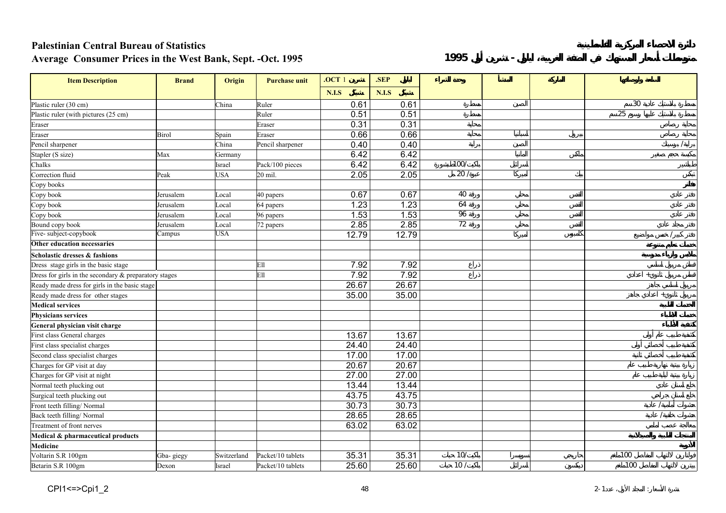<span id="page-44-0"></span>

| <b>Item Description</b>                               | <b>Brand</b> | Origin      | <b>Purchase unit</b> | <b>.OCT 1</b> | .SEP  |                 |  |     |           |
|-------------------------------------------------------|--------------|-------------|----------------------|---------------|-------|-----------------|--|-----|-----------|
|                                                       |              |             |                      | N.I.S         | N.I.S |                 |  |     |           |
| Plastic ruler (30 cm)                                 |              | China       | Ruler                | 0.61          | 0.61  |                 |  | 30  |           |
| Plastic ruler (with pictures (25 cm)                  |              |             | Ruler                | 0.51          | 0.51  |                 |  | 25  |           |
| Eraser                                                |              |             | Eraser               | 0.31          | 0.31  |                 |  |     |           |
| Eraser                                                | <b>Birol</b> | Spain       | Eraser               | 0.66          | 0.66  |                 |  |     |           |
| Pencil sharpener                                      |              | China       | Pencil sharpener     | 0.40          | 0.40  |                 |  |     |           |
| Stapler (S size)                                      | Max          | Germany     |                      | 6.42          | 6.42  |                 |  |     |           |
| Chalks                                                |              | Israel      | Pack/100 pieces      | 6.42          | 6.42  | 100/            |  |     |           |
| Correction fluid                                      | Peak         | <b>USA</b>  | 20 mil.              | 2.05          | 2.05  | 20/             |  |     |           |
| Copy books                                            |              |             |                      |               |       |                 |  |     |           |
| Copy book                                             | Jerusalem    | Local       | 40 papers            | 0.67          | 0.67  | 40              |  |     |           |
| Copy book                                             | Jerusalem    | Local       | 64 papers            | 1.23          | 1.23  | 64              |  |     |           |
| Copy book                                             | Jerusalem    | Local       | 96 papers            | 1.53          | 1.53  | 96              |  |     |           |
| Bound copy book                                       | Jerusalem    | Local       | 72 papers            | 2.85          | 2.85  | $\overline{72}$ |  |     |           |
| Five-subject-copybook                                 | Campus       | <b>USA</b>  |                      | 12.79         | 12.79 |                 |  |     |           |
| Other education necessaries                           |              |             |                      |               |       |                 |  |     |           |
| Scholastic dresses & fashions                         |              |             |                      |               |       |                 |  |     |           |
| Dress stage girls in the basic stage                  |              |             | Ell                  | 7.92          | 7.92  |                 |  |     |           |
| Dress for girls in the secondary & preparatory stages |              |             | Ell                  | 7.92          | 7.92  |                 |  |     | $^{+}$    |
| Ready made dress for girls in the basic stage         |              |             |                      | 26.67         | 26.67 |                 |  |     |           |
| Ready made dress for other stages                     |              |             |                      | 35.00         | 35.00 |                 |  |     | $\ddot{}$ |
| <b>Medical services</b>                               |              |             |                      |               |       |                 |  |     |           |
| <b>Physicians services</b>                            |              |             |                      |               |       |                 |  |     |           |
| General physician visit charge                        |              |             |                      |               |       |                 |  |     |           |
| First class General charges                           |              |             |                      | 13.67         | 13.67 |                 |  |     |           |
| First class specialist charges                        |              |             |                      | 24.40         | 24.40 |                 |  |     |           |
| Second class specialist charges                       |              |             |                      | 17.00         | 17.00 |                 |  |     |           |
| Charges for GP visit at day                           |              |             |                      | 20.67         | 20.67 |                 |  |     |           |
| Charges for GP visit at night                         |              |             |                      | 27.00         | 27.00 |                 |  |     |           |
| Normal teeth plucking out                             |              |             |                      | 13.44         | 13.44 |                 |  |     |           |
| Surgical teeth plucking out                           |              |             |                      | 43.75         | 43.75 |                 |  |     |           |
| Front teeth filling/Normal                            |              |             |                      | 30.73         | 30.73 |                 |  |     |           |
| Back teeth filling/Normal                             |              |             |                      | 28.65         | 28.65 |                 |  |     |           |
| Treatment of front nerves                             |              |             |                      | 63.02         | 63.02 |                 |  |     |           |
| Medical & pharmaceutical products                     |              |             |                      |               |       |                 |  |     |           |
| <b>Medicine</b>                                       |              |             |                      |               |       |                 |  |     |           |
| Voltarin S.R 100gm                                    | Gba-giegy    | Switzerland | Packet/10 tablets    | 35.31         | 35.31 | 10/             |  | 100 |           |
| Betarin S.R 100gm                                     | Dexon        | Israel      | Packet/10 tablets    | 25.60         | 25.60 | 10/             |  | 100 |           |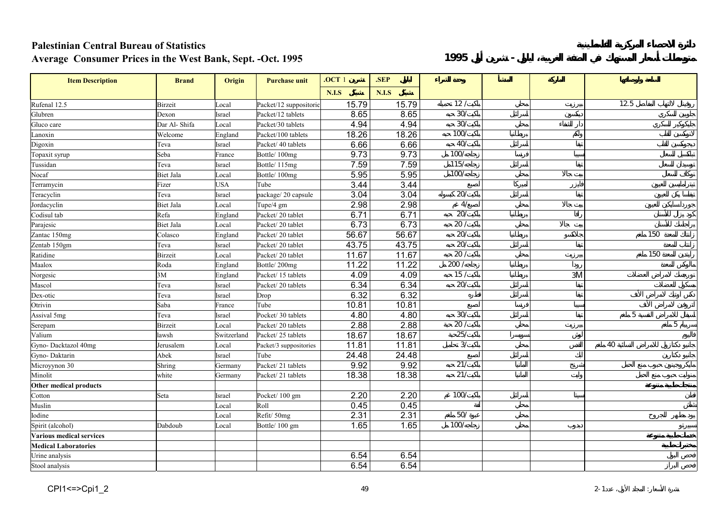1995

 $\blacksquare$ 

| <b>Item Description</b>     | <b>Brand</b>     | <b>Origin</b> | <b>Purchase unit</b>   | .0CT <sub>1</sub> | SEP   |      |    |      |     |   |
|-----------------------------|------------------|---------------|------------------------|-------------------|-------|------|----|------|-----|---|
|                             |                  |               |                        | N.I.S             | N.I.S |      |    |      |     |   |
| Rufenal 12.5                | Birzeit          | Local         | Packet/12 suppositorie | 15.79             | 15.79 | 12/  |    | 12.5 |     |   |
| Glubren                     | Dexon            | Israel        | Packet/12 tablets      | 8.65              | 8.65  | 30/  |    |      |     |   |
| Gluco care                  | Dar Al- Shifa    | Local         | Packet/30 tablets      | 4.94              | 4.94  | 30/  |    |      |     |   |
| Lanoxin                     | Welcome          | England       | Packet/100 tablets     | 18.26             | 18.26 | 100/ |    |      |     |   |
| Digoxin                     | Teva             | Israel        | Packet/ 40 tablets     | 6.66              | 6.66  | 40/  |    |      |     |   |
| Topaxit syrup               | Seba             | France        | Bottle/100mg           | 9.73              | 9.73  | 100/ |    |      |     |   |
| Tussidan                    | Teva             | Israel        | Bottle/115mg           | 7.59              | 7.59  | 115/ |    |      |     |   |
| Nocaf                       | <b>Biet Jala</b> | Local         | Bottle/100mg           | 5.95              | 5.95  | 100/ |    |      |     |   |
| Terramycin                  | Fizer            | <b>USA</b>    | Tube                   | 3.44              | 3.44  |      |    |      |     |   |
| Teracyclin                  | Teva             | Israel        | package/20 capsule     | 3.04              | 3.04  | 20/  |    |      |     |   |
| Jordacyclin                 | Biet Jala        | Local         | Tupe/4 gm              | 2.98              | 2.98  | 4/   |    |      |     |   |
| Codisul tab                 | Refa             | England       | Packet/20 tablet       | 6.71              | 6.71  | 20/  |    |      |     |   |
| Parajesic                   | <b>Biet Jala</b> | Local         | Packet/20 tablet       | 6.73              | 6.73  | 20/  |    |      |     |   |
| Zantac 150mg                | Colasco          | England       | Packet/20 tablet       | 56.67             | 56.67 | 20/  |    |      | 150 |   |
| Zentab 150gm                | Teva             | Israel        | Packet/20 tablet       | 43.75             | 43.75 | 20/  |    |      |     |   |
| Ratidine                    | Birzeit          | Local         | Packet/20 tablet       | 11.67             | 11.67 | 20/  |    |      | 150 |   |
| Maalox                      | Roda             | England       | Bottle/200mg           | 11.22             | 11.22 | 200/ |    |      |     |   |
| Norgesic                    | 3M               | England       | Packet/15 tablets      | 4.09              | 4.09  | 15/  | 3M |      |     |   |
| Mascol                      | Teva             | Israel        | Packet/20 tablets      | 6.34              | 6.34  | 20/  |    |      |     |   |
| Dex-otic                    | Teva             | Israel        | Drop                   | 6.32              | 6.32  |      |    |      |     |   |
| Otrivin                     | Saba             | France        | Tube                   | 10.81             | 10.81 |      |    |      |     |   |
| Assival 5mg                 | Teva             | Israel        | Pocket/30 tablets      | 4.80              | 4.80  | 30/  |    |      | 5   |   |
| Serepam                     | <b>Birzeit</b>   | Local         | Packet/20 tablets      | 2.88              | 2.88  | 20/  |    |      |     | 5 |
| Valium                      | lawsh            | Switzerland   | Packet/25 tablets      | 18.67             | 18.67 | 25/  |    |      |     |   |
| Gyno-Dacktazol 40mg         | Jerusalem        | Local         | Packet/3 suppositories | 11.81             | 11.81 | 3/   |    | 40   |     |   |
| Gyno-Daktarin               | Abek             | Israel        | Tube                   | 24.48             | 24.48 |      |    |      |     |   |
| Microyynon 30               | Shring           | Germany       | Packet/21 tablets      | 9.92              | 9.92  | 21/  |    |      |     |   |
| Minolit                     | white            | Germany       | Packet/21 tablets      | 18.38             | 18.38 | 21/  |    |      |     |   |
| Other medical products      |                  |               |                        |                   |       |      |    |      |     |   |
| Cotton                      | Seta             | Israel        | Pocket/100 gm          | 2.20              | 2.20  | 100/ |    |      |     |   |
| Muslin                      |                  | Local         | Roll                   | 0.45              | 0.45  |      |    |      |     |   |
| Iodine                      |                  | Local         | Refit/50mg             | 2.31              | 2.31  | 50/  |    |      |     |   |
| Spirit (alcohol)            | Dabdoub          | Local         | Bottle/100 gm          | 1.65              | 1.65  | 100/ |    |      |     |   |
| Various medical services    |                  |               |                        |                   |       |      |    |      |     |   |
| <b>Medical Laboratories</b> |                  |               |                        |                   |       |      |    |      |     |   |
| Urine analysis              |                  |               |                        | 6.54              | 6.54  |      |    |      |     |   |
| Stool analysis              |                  |               |                        | 6.54              | 6.54  |      |    |      |     |   |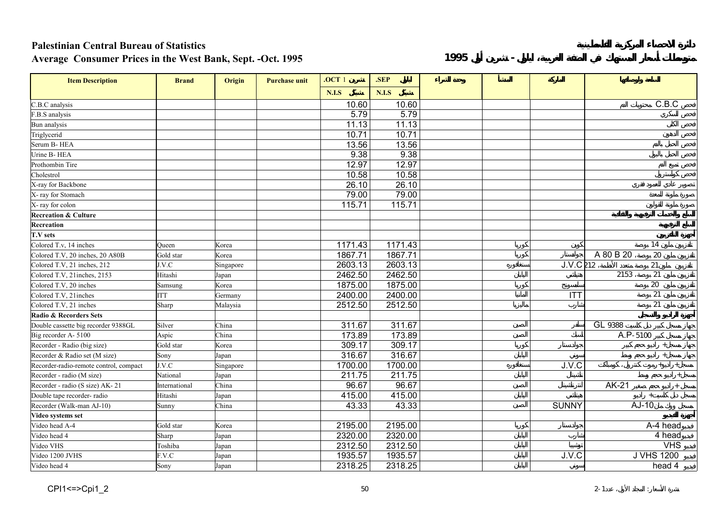<span id="page-46-0"></span>

| <b>Item Description</b>                | <b>Brand</b>  | <b>Origin</b> | <b>Purchase unit</b> | .0CT <sub>1</sub> | SEP     |  |              |           |                   |
|----------------------------------------|---------------|---------------|----------------------|-------------------|---------|--|--------------|-----------|-------------------|
|                                        |               |               |                      | N.I.S             | N.I.S   |  |              |           |                   |
| C.B.C analysis                         |               |               |                      | 10.60             | 10.60   |  |              |           | C.B.C             |
| F.B.S analysis                         |               |               |                      | 5.79              | 5.79    |  |              |           |                   |
| Bun analysis                           |               |               |                      | 11.13             | 11.13   |  |              |           |                   |
| Triglycerid                            |               |               |                      | 10.71             | 10.71   |  |              |           |                   |
| Serum B-HEA                            |               |               |                      | 13.56             | 13.56   |  |              |           |                   |
| Urine B-HEA                            |               |               |                      | 9.38              | 9.38    |  |              |           |                   |
| Prothombin Tire                        |               |               |                      | 12.97             | 12.97   |  |              |           |                   |
| Cholestrol                             |               |               |                      | 10.58             | 10.58   |  |              |           |                   |
| X-ray for Backbone                     |               |               |                      | 26.10             | 26.10   |  |              |           |                   |
| X- ray for Stomach                     |               |               |                      | 79.00             | 79.00   |  |              |           |                   |
| X-ray for colon                        |               |               |                      | 115.71            | 115.71  |  |              |           |                   |
| <b>Recreation &amp; Culture</b>        |               |               |                      |                   |         |  |              |           |                   |
| Recreation                             |               |               |                      |                   |         |  |              |           |                   |
| <b>T.V</b> sets                        |               |               |                      |                   |         |  |              |           |                   |
| Colored T.v. 14 inches                 | Oueen         | Korea         |                      | 1171.43           | 1171.43 |  |              |           | 14                |
| Colored T.V, 20 inches, 20 A80B        | Gold star     | Korea         |                      | 1867.71           | 1867.71 |  |              | A 80 B 20 | 20                |
| Colored T.V, 21 inches, 212            | J.V.C         | Singapore     |                      | 2603.13           | 2603.13 |  | J.V.C 212    |           | 21                |
| Colored T.V, 21 inches, 2153           | Hitashi       | Japan         |                      | 2462.50           | 2462.50 |  |              | 2153      | 21                |
| Colored T.V, 20 inches                 | Samsung       | Korea         |                      | 1875.00           | 1875.00 |  |              |           | $\overline{20}$   |
| Colored T.V, 21 inches                 | <b>ITT</b>    | Germany       |                      | 2400.00           | 2400.00 |  | <b>ITT</b>   |           | 21                |
| Colored T.V, 21 inches                 | Sharp         | Malaysia      |                      | 2512.50           | 2512.50 |  |              |           | 21                |
| Radio & Recorders Sets                 |               |               |                      |                   |         |  |              |           |                   |
| Double cassette big recorder 9388GL    | Silver        | China         |                      | 311.67            | 311.67  |  |              | GL 9388   |                   |
| Big recorder A-5100                    | Aspic         | China         |                      | 173.89            | 173.89  |  |              | A.P-5100  |                   |
| Recorder - Radio (big size)            | Gold star     | Korea         |                      | 309.17            | 309.17  |  |              |           | $+$               |
| Recorder & Radio set (M size)          | Sony          | Japan         |                      | 316.67            | 316.67  |  |              |           | $\overline{+}$    |
| Recorder-radio-remote control, compact | J.V.C         | Singapore     |                      | 1700.00           | 1700.00 |  | J.V.C        |           | $+$<br>$\ddag$    |
| Recorder - radio (M size)              | National      | Japan         |                      | 211.75            | 211.75  |  |              |           | $+$               |
| Recorder - radio (S size) AK-21        | International | China         |                      | 96.67             | 96.67   |  |              | $AK-21$   | $+$               |
| Double tape recorder- radio            | Hitashi       | Japan         |                      | 415.00            | 415.00  |  |              |           | $+$               |
| Recorder (Walk-man AJ-10)              | Sunny         | China         |                      | 43.33             | 43.33   |  | <b>SUNNY</b> |           | $AJ-10$           |
| Video systems set                      |               |               |                      |                   |         |  |              |           |                   |
| Video head A-4                         | Gold star     | Korea         |                      | 2195.00           | 2195.00 |  |              |           | A-4 head          |
| Video head 4                           | Sharp         | Japan         |                      | 2320.00           | 2320.00 |  |              |           | 4 head            |
| Video VHS                              | Toshiba       | Japan         |                      | 2312.50           | 2312.50 |  |              |           | <b>VHS</b>        |
| Video 1200 JVHS                        | F.V.C         | Japan         |                      | 1935.57           | 1935.57 |  | J.V.C        |           | <b>J VHS 1200</b> |
| Video head 4                           | Sony          | Japan         |                      | 2318.25           | 2318.25 |  |              |           | head 4            |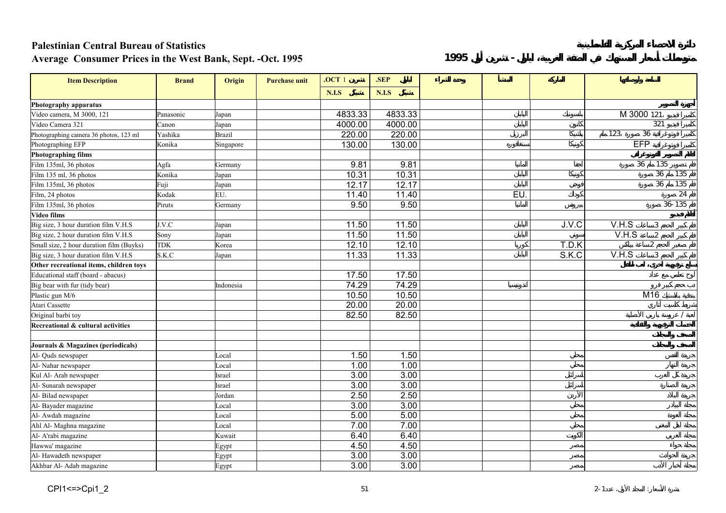| <b>Item Description</b>                  | <b>Brand</b> | <b>Origin</b> | <b>Purchase unit</b> | <b>.OCT 1</b>     | .SEP    |    |       |       |                |
|------------------------------------------|--------------|---------------|----------------------|-------------------|---------|----|-------|-------|----------------|
|                                          |              |               |                      | N.I.S             | N.I.S   |    |       |       |                |
| Photography apparatus                    |              |               |                      |                   |         |    |       |       |                |
| Video camera, M 3000, 121                | Panasonic    | Japan         |                      | 4833.33           | 4833.33 |    |       |       | M 3000 121     |
| Video Camera 321                         | Canon        | Japan         |                      | 4000.00           | 4000.00 |    |       |       | 321            |
| Photographing camera 36 photos, 123 ml   | Yashika      | <b>Brazil</b> |                      | 220.00            | 220.00  |    |       | 123   | 36             |
| Photographing EFP                        | Konika       | Singapore     |                      | 130.00            | 130.00  |    |       |       | EFP            |
| <b>Photographing films</b>               |              |               |                      |                   |         |    |       |       |                |
| Film 135ml, 36 photos                    | Agfa         | Germany       |                      | 9.81              | 9.81    |    |       |       | 36<br>135      |
| Film 135 ml, 36 photos                   | Konika       | Japan         |                      | 10.31             | 10.31   |    |       |       | 36<br>135      |
| Film 135ml, 36 photos                    | Fuji         | Japan         |                      | 12.17             | 12.17   |    |       |       | 36<br>135      |
| Film, 24 photos                          | Kodak        | EU.           |                      | 11.40             | 11.40   | EU |       |       | 24             |
| Film 135ml, 36 photos                    | Piruts       | Germany       |                      | 9.50              | 9.50    |    |       |       | $36 - 135$     |
| Video films                              |              |               |                      |                   |         |    |       |       |                |
| Big size, 3 hour duration film V.H.S     | J.V.C        | Japan         |                      | 11.50             | 11.50   |    | J.V.C | V.H.S | $\mathfrak{Z}$ |
| Big size, 2 hour duration film V.H.S     | Sony         | Japan         |                      | 11.50             | 11.50   |    |       | V.H.S | $\sqrt{2}$     |
| Small size, 2 hour duration film (Buyks) | <b>TDK</b>   | Korea         |                      | 12.10             | 12.10   |    | T.D.K |       | $\overline{2}$ |
| Big size, 3 hour duration film V.H.S     | S.K.C        | Japan         |                      | 11.33             | 11.33   |    | S.K.C | V.H.S | 3              |
| Other recreational items, children toys  |              |               |                      |                   |         |    |       |       |                |
| Educational staff (board - abacus)       |              |               |                      | 17.50             | 17.50   |    |       |       |                |
| Big bear with fur (tidy bear)            |              | Indonesia     |                      | 74.29             | 74.29   |    |       |       |                |
| Plastic gun M/6                          |              |               |                      | 10.50             | 10.50   |    |       |       | M16            |
| Atari Cassette                           |              |               |                      | 20.00             | 20.00   |    |       |       |                |
| Original barbi toy                       |              |               |                      | 82.50             | 82.50   |    |       |       |                |
| Recreational & cultural activities       |              |               |                      |                   |         |    |       |       |                |
| Journals & Magazines (periodicals)       |              |               |                      |                   |         |    |       |       |                |
| Al- Quds newspaper                       |              | Local         |                      | 1.50              | 1.50    |    |       |       |                |
| Al- Nahar newspaper                      |              | Local         |                      | 1.00              | 1.00    |    |       |       |                |
| Kul Al- Arab newspaper                   |              | Israel        |                      | $\overline{3.00}$ | 3.00    |    |       |       |                |
| Al- Sunarah newspaper                    |              | Israel        |                      | $\overline{3.00}$ | 3.00    |    |       |       |                |
| Al- Bilad newspaper                      |              | Jordan        |                      | 2.50              | 2.50    |    |       |       |                |
| Al-Bayader magazine                      |              | Local         |                      | 3.00              | 3.00    |    |       |       |                |
| Al- Awdah magazine                       |              | Local         |                      | 5.00              | 5.00    |    |       |       |                |
| Ahl Al- Maghna magazine                  |              | Local         |                      | 7.00              | 7.00    |    |       |       |                |
| Al- A'rabi magazine                      |              | Kuwait        |                      | 6.40              | 6.40    |    |       |       |                |
| Hawwa' magazine                          |              | Egypt         |                      | 4.50              | 4.50    |    |       |       |                |
| Al-Hawadeth newspaper                    |              | Egypt         |                      | 3.00              | 3.00    |    |       |       |                |
| Akhbar Al- Adab magazine                 |              | Egypt         |                      | 3.00              | 3.00    |    |       |       |                |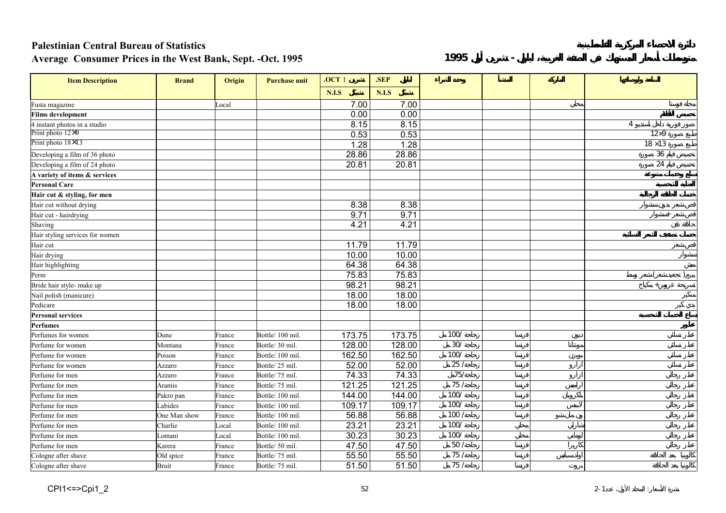<span id="page-48-0"></span>

| <b>Item Description</b>         | <b>Brand</b> | <b>Origin</b> | <b>Purchase unit</b> | .0CT <sub>1</sub> | .SEP   |      |  |                |
|---------------------------------|--------------|---------------|----------------------|-------------------|--------|------|--|----------------|
|                                 |              |               |                      | N.I.S             | N.I.S  |      |  |                |
| Fusta magazine                  |              | Local         |                      | 7.00              | 7.00   |      |  |                |
| <b>Films development</b>        |              |               |                      | 0.00              | 0.00   |      |  |                |
| 4 instant photos in a studio    |              |               |                      | 8.15              | 8.15   |      |  | 4              |
| Print photo $12\times9$         |              |               |                      | 0.53              | 0.53   |      |  | $12\times9$    |
| Print photo $18 \times 13$      |              |               |                      | 1.28              | 1.28   |      |  | $18 \times 13$ |
| Developing a film of 36 photo   |              |               |                      | 28.86             | 28.86  |      |  | 36             |
| Developing a film of 24 photo   |              |               |                      | 20.81             | 20.81  |      |  | 24             |
| A variety of items & services   |              |               |                      |                   |        |      |  |                |
| <b>Personal Care</b>            |              |               |                      |                   |        |      |  |                |
| Hair cut & styling, for men     |              |               |                      |                   |        |      |  |                |
| Hair cut without drying         |              |               |                      | 8.38              | 8.38   |      |  |                |
| Hair cut - hairdrying           |              |               |                      | 9.71              | 9.71   |      |  | $\overline{+}$ |
| Shaving                         |              |               |                      | 4.21              | 4.21   |      |  |                |
| Hair styling services for women |              |               |                      |                   |        |      |  |                |
| Hair cut                        |              |               |                      | 11.79             | 11.79  |      |  |                |
| Hair drying                     |              |               |                      | 10.00             | 10.00  |      |  |                |
| Hair highlighting               |              |               |                      | 64.38             | 64.38  |      |  |                |
| Perm                            |              |               |                      | 75.83             | 75.83  |      |  |                |
| Bride hair style- make up       |              |               |                      | 98.21             | 98.21  |      |  | $^{+}$         |
| Nail polish (manicure)          |              |               |                      | 18.00             | 18.00  |      |  |                |
| Pedicare                        |              |               |                      | 18.00             | 18.00  |      |  |                |
| <b>Personal services</b>        |              |               |                      |                   |        |      |  |                |
| <b>Perfumes</b>                 |              |               |                      |                   |        |      |  |                |
| Perfumes for women              | Dune         | France        | Bottle/100 mil.      | 173.75            | 173.75 | 100/ |  |                |
| Perfume for women               | Montana      | France        | Bottle/ 30 mil.      | 128.00            | 128.00 | 30/  |  |                |
| Perfume for women               | Poison       | France        | Bottle/100 mil.      | 162.50            | 162.50 | 100/ |  |                |
| Perfume for women               | Azzaro       | France        | Bottle/25 mil.       | 52.00             | 52.00  | 25/  |  |                |
| Perfume for men                 | Azzaro       | France        | Bottle/ 75 mil.      | 74.33             | 74.33  | 75/  |  |                |
| Perfume for men                 | Aramis       | France        | Bottle/75 mil.       | 121.25            | 121.25 | 75/  |  |                |
| Perfume for men                 | Pakro pan    | France        | Bottle/100 mil.      | 144.00            | 144.00 | 100/ |  |                |
| Perfume for men                 | abides       | France        | Bottle/100 mil.      | 109.17            | 109.17 | 100/ |  |                |
| Perfume for men                 | One Man show | France        | Bottle/100 mil.      | 56.88             | 56.88  | 100/ |  |                |
| Perfume for men                 | Charlie      | Local         | Bottle/100 mil.      | 23.21             | 23.21  | 100/ |  |                |
| Perfume for men                 | Lomani       | Local         | Bottle/100 mil.      | 30.23             | 30.23  | 100/ |  |                |
| Perfume for men                 | Karera       | France        | Bottle/ 50 mil.      | 47.50             | 47.50  | 50/  |  |                |
| Cologne after shave             | Old spice    | France        | Bottle/ 75 mil.      | 55.50             | 55.50  | 75/  |  |                |
| Cologne after shave             | Bruit        | France        | Bottle/75 mil.       | 51.50             | 51.50  | 75/  |  |                |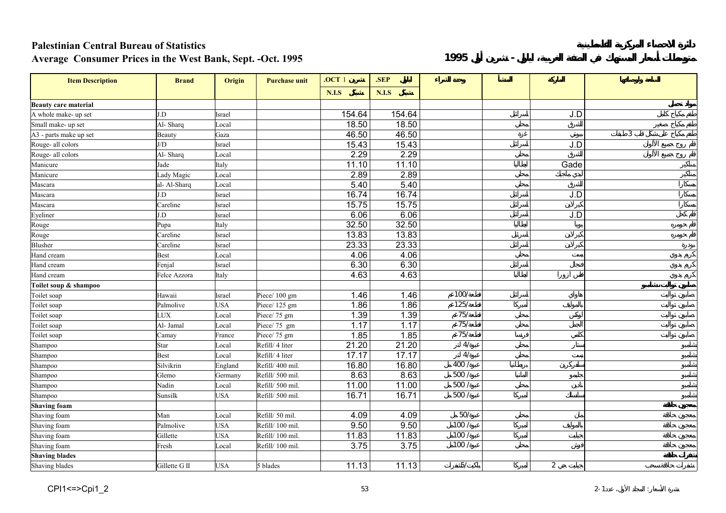| <b>Item Description</b>     | <b>Brand</b>  | <b>Origin</b> | <b>Purchase unit</b> | <b>.OCT 1</b> | .SEP               |       |      |   |
|-----------------------------|---------------|---------------|----------------------|---------------|--------------------|-------|------|---|
|                             |               |               |                      | N.I.S         | N.I.S              |       |      |   |
| <b>Beauty care material</b> |               |               |                      |               |                    |       |      |   |
| A whole make- up set        | .D            | Israel        |                      | 154.64        | 154.64             |       | J.D  |   |
| Small make- up set          | Al- Sharq     | Local         |                      | 18.50         | 18.50              |       |      |   |
| A3 - parts make up set      | <b>Beauty</b> | Gaza          |                      | 46.50         | 46.50              |       |      | 3 |
| Rouge- all colors           | J/D           | Israel        |                      | 15.43         | 15.43              |       | J.D  |   |
| Rouge- all colors           | Al-Sharq      | Local         |                      | 2.29          | 2.29               |       |      |   |
| Manicure                    | Jade          | Italy         |                      | 11.10         | 11.10              |       | Gade |   |
| Manicure                    | Lady Magic    | Local         |                      | 2.89          | 2.89               |       |      |   |
| Mascara                     | al- Al-Sharq  | Local         |                      | 5.40          | 5.40               |       |      |   |
| Mascara                     | D.            | Israel        |                      | 16.74         | 16.74              |       | J.D  |   |
| Mascara                     | Careline      | Israel        |                      | 15.75         | 15.75              |       |      |   |
| Eyeliner                    | D.            | Israel        |                      | 6.06          | 6.06               |       | J.D  |   |
| Rouge                       | Pupa          | Italy         |                      | 32.50         | 32.50              |       |      |   |
| Rouge                       | Careline      | Israel        |                      | 13.83         | 13.83              |       |      |   |
| Blusher                     | Careline      | Israel        |                      | 23.33         | 23.33              |       |      |   |
| Hand cream                  | Best          | Local         |                      | 4.06          | 4.06               |       |      |   |
| Hand cream                  | Fenjal        | Israel        |                      | 6.30          | 6.30               |       |      |   |
| Hand cream                  | Felce Azzora  | Italy         |                      | 4.63          | 4.63               |       |      |   |
| Toilet soup & shampoo       |               |               |                      |               |                    |       |      |   |
| Toilet soap                 | Hawaii        | Israel        | Piece/100 gm         | 1.46          | 1.46               | 100/  |      |   |
| Toilet soap                 | Palmolive     | <b>USA</b>    | Piece/125 gm         | 1.86          | 1.86               | 125/  |      |   |
| Toilet soap                 | LUX           | Local         | Piece/75 gm          | 1.39          | 1.39               | 75/   |      |   |
| Toilet soap                 | Al- Jamal     | Local         | Piece/75 gm          | 1.17          | 1.17               | 75/   |      |   |
| Toilet soap                 | Camay         | France        | Piece/75 gm          | 1.85          | 1.85               | 75/   |      |   |
| Shampoo                     | Star          | Local         | Refill/ 4 liter      | 21.20         | 21.20              | 4/    |      |   |
| Shampoo                     | Best          | Local         | Refill/ 4 liter      | 17.17         | 17.17              | 4/    |      |   |
| Shampoo                     | Silvikrin     | England       | Refill/ 400 mil.     | 16.80         | 16.80              | 400 / |      |   |
| Shampoo                     | Glemo         | Germany       | Refill/ 500 mil.     | 8.63          | 8.63               | 500/  |      |   |
| Shampoo                     | Nadin         | Local         | Refill/ 500 mil.     | 11.00         | 11.00              | 500/  |      |   |
| Shampoo                     | Sunsilk       | <b>USA</b>    | Refill/ 500 mil.     | 16.71         | 16.71              | 500/  |      |   |
| <b>Shaving foam</b>         |               |               |                      |               |                    |       |      |   |
| Shaving foam                | Man           | Local         | Refill/ 50 mil.      | 4.09          | 4.09               | 50/   |      |   |
| Shaving foam                | Palmolive     | <b>USA</b>    | Refill/ 100 mil.     | 9.50          | 9.50               | 100/  |      |   |
| Shaving foam                | Gillette      | <b>USA</b>    | Refill/ 100 mil.     | 11.83         | $11.\overline{83}$ | 100/  |      |   |
| Shaving foam                | Fresh         | Local         | Refill/ 100 mil.     | 3.75          | 3.75               | 100/  |      |   |
| <b>Shaving blades</b>       |               |               |                      |               |                    |       |      |   |
| Shaving blades              | Gillette G II | <b>USA</b>    | 5 blades             | 11.13         | 11.13              | 5/    | 2    |   |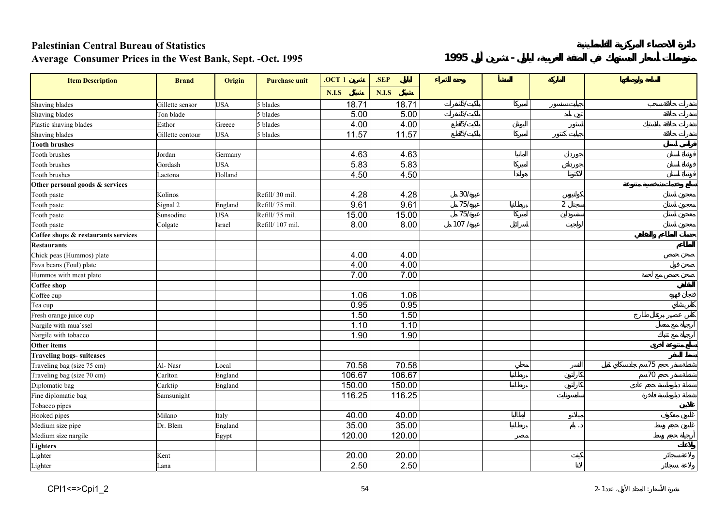| <b>Item Description</b>             | <b>Brand</b>     | Origin     | <b>Purchase unit</b> | <b>.OCT 1</b> | .SEP   |                 |                |    |  |
|-------------------------------------|------------------|------------|----------------------|---------------|--------|-----------------|----------------|----|--|
|                                     |                  |            |                      | N.I.S         | N.I.S  |                 |                |    |  |
| Shaving blades                      | Gillette sensor  | <b>USA</b> | 5 blades             | 18.71         | 18.71  | 5/              |                |    |  |
| Shaving blades                      | Ton blade        |            | 5 blades             | 5.00          | 5.00   | $\overline{5/}$ |                |    |  |
| Plastic shaving blades              | Esthor           | Greece     | 5 blades             | 4.00          | 4.00   | $\overline{5/}$ |                |    |  |
| Shaving blades                      | Gillette contour | <b>USA</b> | 5 blades             | 11.57         | 11.57  | 5/              |                |    |  |
| <b>Tooth brushes</b>                |                  |            |                      |               |        |                 |                |    |  |
| Tooth brushes                       | Jordan           | Germany    |                      | 4.63          | 4.63   |                 |                |    |  |
| Tooth brushes                       | Gordash          | <b>USA</b> |                      | 5.83          | 5.83   |                 |                |    |  |
| Tooth brushes                       | Lactona          | Holland    |                      | 4.50          | 4.50   |                 |                |    |  |
| Other personal goods & services     |                  |            |                      |               |        |                 |                |    |  |
| Tooth paste                         | Kolinos          |            | Refill/30 mil.       | 4.28          | 4.28   | 30/             |                |    |  |
| Tooth paste                         | Signal 2         | England    | Refill/ 75 mil.      | 9.61          | 9.61   | 75/             | $\overline{2}$ |    |  |
| Tooth paste                         | Sunsodine        | <b>USA</b> | Refill/ 75 mil.      | 15.00         | 15.00  | 75/             |                |    |  |
| Tooth paste                         | Colgate          | Israel     | Refill/ 107 mil.     | 8.00          | 8.00   | 107/            |                |    |  |
| Coffee shops & restaurants services |                  |            |                      |               |        |                 |                |    |  |
| <b>Restaurants</b>                  |                  |            |                      |               |        |                 |                |    |  |
| Chick peas (Hummos) plate           |                  |            |                      | 4.00          | 4.00   |                 |                |    |  |
| Fava beans (Foul) plate             |                  |            |                      | 4.00          | 4.00   |                 |                |    |  |
| Hummos with meat plate              |                  |            |                      | 7.00          | 7.00   |                 |                |    |  |
| Coffee shop                         |                  |            |                      |               |        |                 |                |    |  |
| Coffee cup                          |                  |            |                      | 1.06          | 1.06   |                 |                |    |  |
| Tea cup                             |                  |            |                      | 0.95          | 0.95   |                 |                |    |  |
| Fresh orange juice cup              |                  |            |                      | 1.50          | 1.50   |                 |                |    |  |
| Nargile with mua'ssel               |                  |            |                      | 1.10          | 1.10   |                 |                |    |  |
| Nargile with tobacco                |                  |            |                      | 1.90          | 1.90   |                 |                |    |  |
| Other items                         |                  |            |                      |               |        |                 |                |    |  |
| <b>Traveling bags- suitcases</b>    |                  |            |                      |               |        |                 |                |    |  |
| Traveling bag (size 75 cm)          | Al-Nasr          | Local      |                      | 70.58         | 70.58  |                 |                | 75 |  |
| Traveling bag (size 70 cm)          | Carlton          | England    |                      | 106.67        | 106.67 |                 |                | 70 |  |
| Diplomatic bag                      | Carktip          | England    |                      | 150.00        | 150.00 |                 |                |    |  |
| Fine diplomatic bag                 | Samsunight       |            |                      | 116.25        | 116.25 |                 |                |    |  |
| Tobacco pipes                       |                  |            |                      |               |        |                 |                |    |  |
| Hooked pipes                        | Milano           | Italy      |                      | 40.00         | 40.00  |                 |                |    |  |
| Medium size pipe                    | Dr. Blem         | England    |                      | 35.00         | 35.00  |                 |                |    |  |
| Medium size nargile                 |                  | Egypt      |                      | 120.00        | 120.00 |                 |                |    |  |
| <b>Lighters</b>                     |                  |            |                      |               |        |                 |                |    |  |
| Lighter                             | Kent             |            |                      | 20.00         | 20.00  |                 |                |    |  |
| Lighter                             | Lana             |            |                      | 2.50          | 2.50   |                 |                |    |  |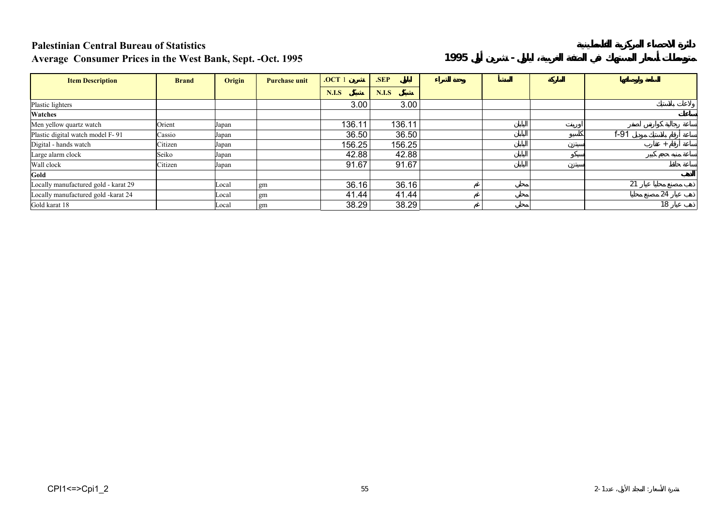| <b>Item Description</b>              | <b>Brand</b> | Origin | <b>Purchase unit</b> | .0CT <sub>1</sub> | .SEP   |  |        |
|--------------------------------------|--------------|--------|----------------------|-------------------|--------|--|--------|
|                                      |              |        |                      | N.I.S             | N.I.S  |  |        |
| Plastic lighters                     |              |        |                      | 3.00              | 3.00   |  |        |
| Watches                              |              |        |                      |                   |        |  |        |
| Men yellow quartz watch              | Orient       | Japan  |                      | 136.11            | 136.11 |  |        |
| Plastic digital watch model F-91     | Cassio       | Japan  |                      | 36.50             | 36.50  |  | $f-91$ |
| Digital - hands watch                | Citizen      | Japan  |                      | 156.25            | 156.25 |  |        |
| Large alarm clock                    | Seiko        | Japan  |                      | 42.88             | 42.88  |  |        |
| Wall clock                           | Citizen      | Japan  |                      | 91.67             | 91.67  |  |        |
| Gold                                 |              |        |                      |                   |        |  |        |
| Locally manufactured gold - karat 29 |              | Local  | gm                   | 36.16             | 36.16  |  | 21     |
| Locally manufactured gold -karat 24  |              | Local  | gm                   | 41.44             | 41.44  |  | 24     |
| Gold karat 18                        |              | Local  | gm                   | 38.29             | 38.29  |  | 18     |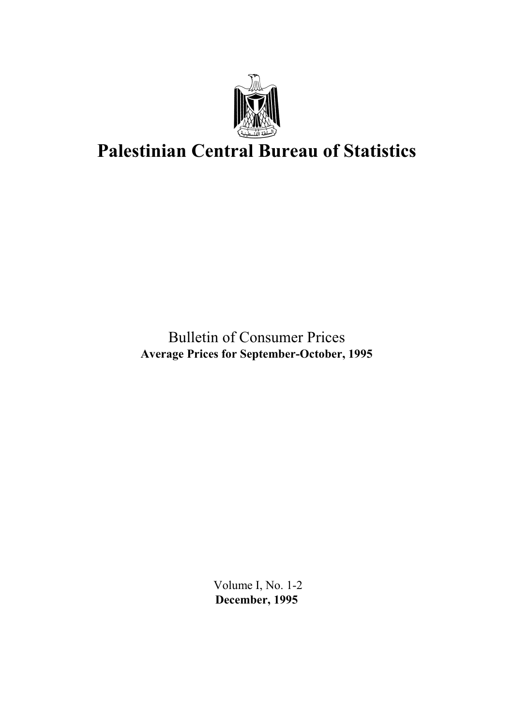

# **Palestinian Central Bureau of Statistics**

# **Bulletin of Consumer Prices Average Prices for September-October, 1995**

Volume I, No. 1-2 December, 1995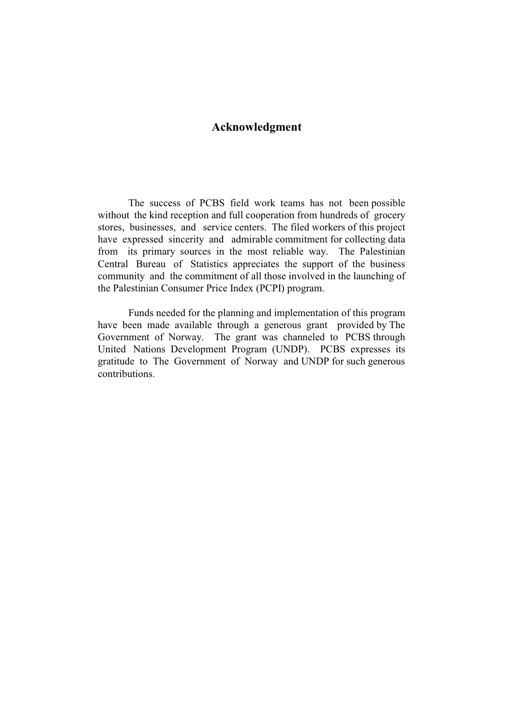#### Acknowledgment

The success of PCBS field work teams has not been possible without the kind reception and full cooperation from hundreds of grocery stores, businesses, and service centers. The filed workers of this project have expressed sincerity and admirable commitment for collecting data from its primary sources in the most reliable way. The Palestinian Central Bureau of Statistics appreciates the support of the business community and the commitment of all those involved in the launching of the Palestinian Consumer Price Index (PCPI) program.

Funds needed for the planning and implementation of this program have been made available through a generous grant provided by The Government of Norway. The grant was channeled to PCBS through United Nations Development Program (UNDP). PCBS expresses its gratitude to The Government of Norway and UNDP for such generous contributions.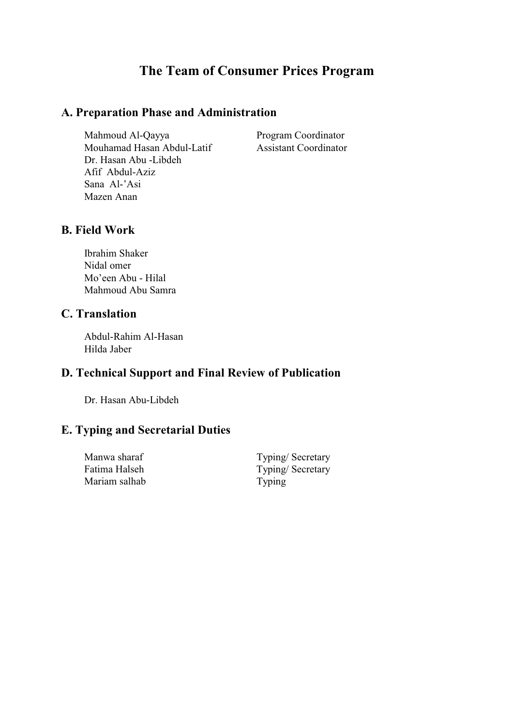# The Team of Consumer Prices Program

#### A. Preparation Phase and Administration

Mahmoud Al-Qayya Mouhamad Hasan Abdul-Latif Dr. Hasan Abu - Libdeh Afif Abdul-Aziz Sana Al-'Asi Mazen Anan

Program Coordinator **Assistant Coordinator** 

#### **B.** Field Work

Ibrahim Shaker Nidal omer Mo'een Abu - Hilal Mahmoud Abu Samra

#### C. Translation

Abdul-Rahim Al-Hasan Hilda Jaber

#### D. Technical Support and Final Review of Publication

Dr. Hasan Abu-Libdeh

#### **E. Typing and Secretarial Duties**

Manwa sharaf Fatima Halseh Mariam salhab

Typing/Secretary Typing/ Secretary Typing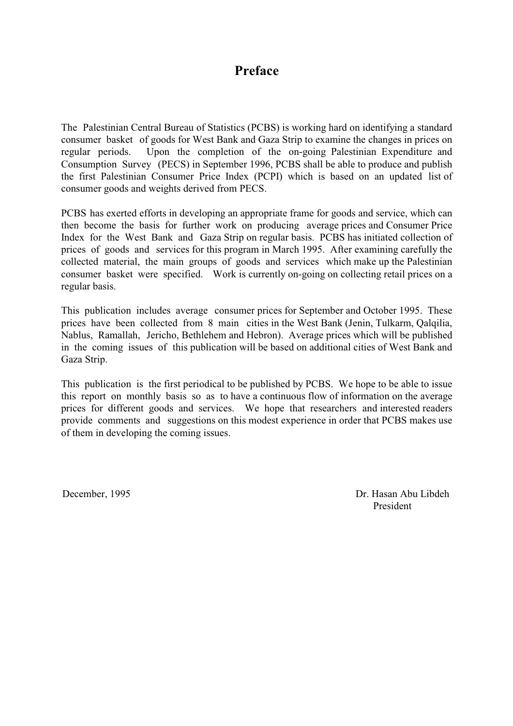# **Preface**

The Palestinian Central Bureau of Statistics (PCBS) is working hard on identifying a standard consumer basket of goods for West Bank and Gaza Strip to examine the changes in prices on Upon the completion of the on-going Palestinian Expenditure and regular periods. Consumption Survey (PECS) in September 1996, PCBS shall be able to produce and publish the first Palestinian Consumer Price Index (PCPI) which is based on an updated list of consumer goods and weights derived from PECS.

PCBS has exerted efforts in developing an appropriate frame for goods and service, which can then become the basis for further work on producing average prices and Consumer Price Index for the West Bank and Gaza Strip on regular basis. PCBS has initiated collection of prices of goods and services for this program in March 1995. After examining carefully the collected material, the main groups of goods and services which make up the Palestinian consumer basket were specified. Work is currently on-going on collecting retail prices on a regular basis.

This publication includes average consumer prices for September and October 1995. These prices have been collected from 8 main cities in the West Bank (Jenin, Tulkarm, Qalqilia, Nablus, Ramallah, Jericho, Bethlehem and Hebron). Average prices which will be published in the coming issues of this publication will be based on additional cities of West Bank and Gaza Strip.

This publication is the first periodical to be published by PCBS. We hope to be able to issue this report on monthly basis so as to have a continuous flow of information on the average prices for different goods and services. We hope that researchers and interested readers provide comments and suggestions on this modest experience in order that PCBS makes use of them in developing the coming issues.

December, 1995

Dr. Hasan Abu Libdeh President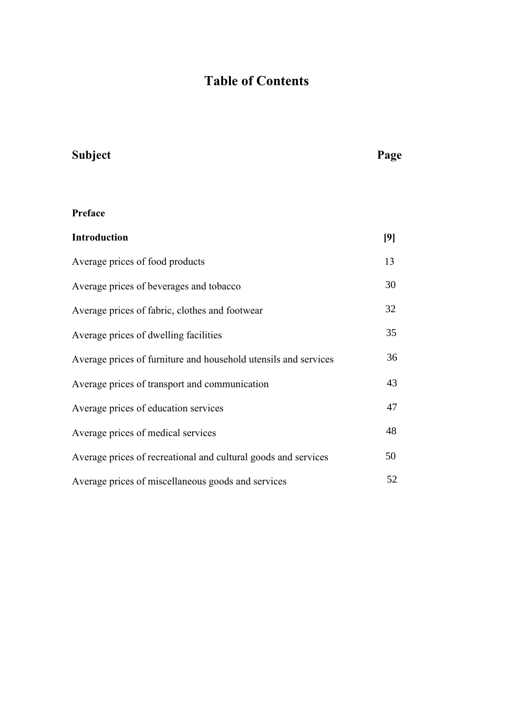# **Table of Contents**

# Subject

# Page

# Preface

| <b>Introduction</b>                                             | [9] |
|-----------------------------------------------------------------|-----|
| Average prices of food products                                 | 13  |
| Average prices of beverages and tobacco                         | 30  |
| Average prices of fabric, clothes and footwear                  | 32  |
| Average prices of dwelling facilities                           | 35  |
| Average prices of furniture and household utensils and services | 36  |
| Average prices of transport and communication                   | 43  |
| Average prices of education services                            | 47  |
| Average prices of medical services                              | 48  |
| Average prices of recreational and cultural goods and services  | 50  |
| Average prices of miscellaneous goods and services              | 52  |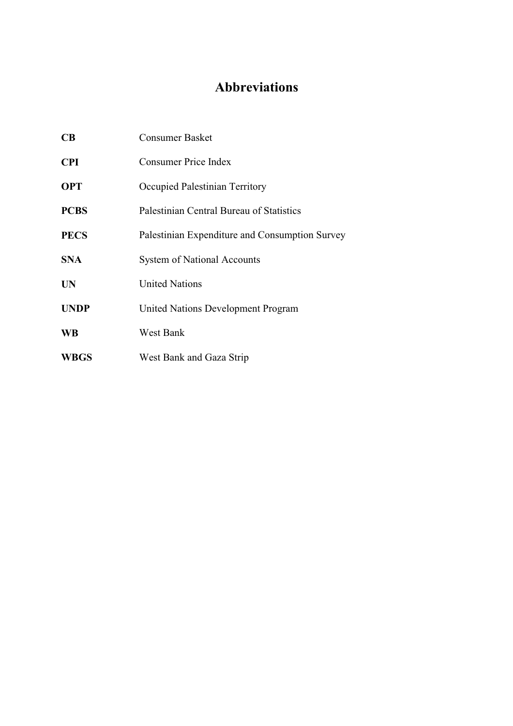# Abbreviations

| CB          | <b>Consumer Basket</b>                         |
|-------------|------------------------------------------------|
| <b>CPI</b>  | <b>Consumer Price Index</b>                    |
| <b>OPT</b>  | Occupied Palestinian Territory                 |
| <b>PCBS</b> | Palestinian Central Bureau of Statistics       |
| <b>PECS</b> | Palestinian Expenditure and Consumption Survey |
| <b>SNA</b>  | <b>System of National Accounts</b>             |
| <b>UN</b>   | <b>United Nations</b>                          |
| <b>UNDP</b> | <b>United Nations Development Program</b>      |
| <b>WB</b>   | <b>West Bank</b>                               |
| <b>WBGS</b> | West Bank and Gaza Strip                       |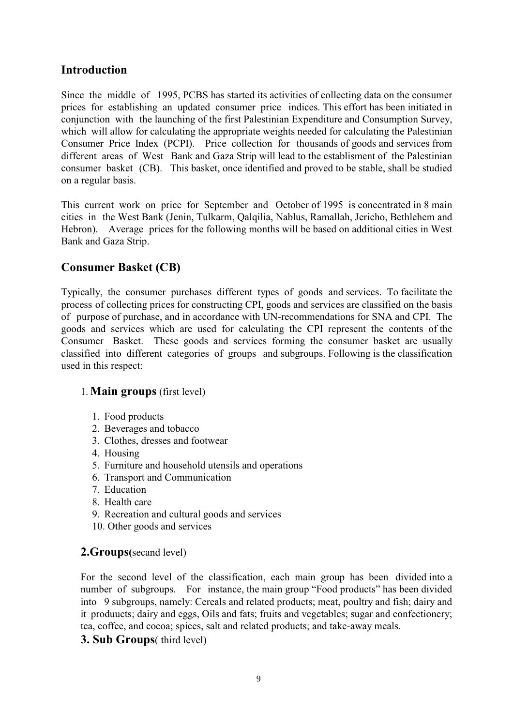#### <span id="page-58-0"></span>**Introduction**

Since the middle of 1995, PCBS has started its activities of collecting data on the consumer prices for establishing an updated consumer price indices. This effort has been initiated in conjunction with the launching of the first Palestinian Expenditure and Consumption Survey, which will allow for calculating the appropriate weights needed for calculating the Palestinian Consumer Price Index (PCPI). Price collection for thousands of goods and services from different areas of West Bank and Gaza Strip will lead to the establisment of the Palestinian consumer basket (CB). This basket, once identified and proved to be stable, shall be studied on a regular basis.

This current work on price for September and October of 1995 is concentrated in 8 main cities in the West Bank (Jenin, Tulkarm, Qalqilia, Nablus, Ramallah, Jericho, Bethlehem and Hebron). Average prices for the following months will be based on additional cities in West Bank and Gaza Strip.

#### **Consumer Basket (CB)**

Typically, the consumer purchases different types of goods and services. To facilitate the process of collecting prices for constructing CPI, goods and services are classified on the basis of purpose of purchase, and in accordance with UN-recommendations for SNA and CPI. The goods and services which are used for calculating the CPI represent the contents of the Consumer Basket. These goods and services forming the consumer basket are usually classified into different categories of groups and subgroups. Following is the classification used in this respect:

#### 1. Main groups (first level)

- 1. Food products
- 2. Beverages and tobacco
- 3. Clothes, dresses and footwear
- 4. Housing
- 5. Furniture and household utensils and operations
- 6. Transport and Communication
- 7 Education
- 8. Health care
- 9. Recreation and cultural goods and services
- 10. Other goods and services

#### 2. Groups (secand level)

For the second level of the classification, each main group has been divided into a number of subgroups. For instance, the main group "Food products" has been divided into 9 subgroups, namely: Cereals and related products; meat, poultry and fish; dairy and it products; dairy and eggs, Oils and fats; fruits and vegetables; sugar and confectionery; tea, coffee, and cocoa; spices, salt and related products; and take-away meals.

**3. Sub Groups**(third level)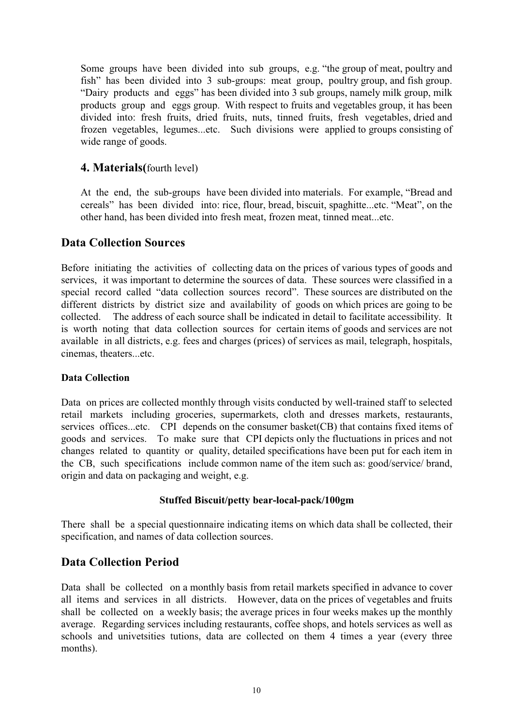Some groups have been divided into sub groups, e.g. "the group of meat, poultry and fish" has been divided into 3 sub-groups: meat group, poultry group, and fish group. "Dairy products and eggs" has been divided into 3 sub groups, namely milk group, milk products group and eggs group. With respect to fruits and vegetables group, it has been divided into: fresh fruits, dried fruits, nuts, tinned fruits, fresh vegetables, dried and frozen vegetables, legumes...etc. Such divisions were applied to groups consisting of wide range of goods.

#### 4. Materials (fourth level)

At the end, the sub-groups have been divided into materials. For example, "Bread and cereals" has been divided into: rice, flour, bread, biscuit, spaghitte...etc. "Meat", on the other hand, has been divided into fresh meat, frozen meat, tinned meat...etc.

#### **Data Collection Sources**

Before initiating the activities of collecting data on the prices of various types of goods and services, it was important to determine the sources of data. These sources were classified in a special record called "data collection sources record". These sources are distributed on the different districts by district size and availability of goods on which prices are going to be collected. The address of each source shall be indicated in detail to facilitate accessibility. It is worth noting that data collection sources for certain items of goods and services are not available in all districts, e.g. fees and charges (prices) of services as mail, telegraph, hospitals, cinemas, theaters...etc.

#### **Data Collection**

Data on prices are collected monthly through visits conducted by well-trained staff to selected retail markets including groceries, supermarkets, cloth and dresses markets, restaurants, services offices...etc. CPI depends on the consumer basket (CB) that contains fixed items of goods and services. To make sure that CPI depicts only the fluctuations in prices and not changes related to quantity or quality, detailed specifications have been put for each item in the CB, such specifications include common name of the item such as: good/service/brand, origin and data on packaging and weight, e.g.

#### Stuffed Biscuit/petty bear-local-pack/100gm

There shall be a special questionnaire indicating items on which data shall be collected, their specification, and names of data collection sources.

#### **Data Collection Period**

Data shall be collected on a monthly basis from retail markets specified in advance to cover all items and services in all districts. However, data on the prices of vegetables and fruits shall be collected on a weekly basis; the average prices in four weeks makes up the monthly average. Regarding services including restaurants, coffee shops, and hotels services as well as schools and universities tutions, data are collected on them 4 times a year (every three months).